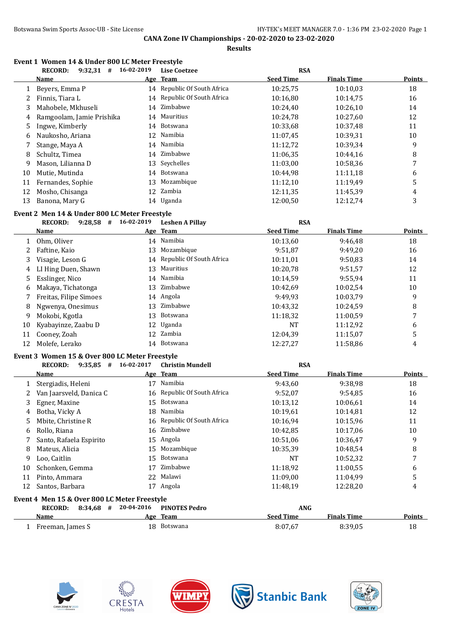**Results**

|    | Event 1 Women 14 & Under 800 LC Meter Freestyle<br>$9:32,31$ # 16-02-2019<br><b>RECORD:</b> |            | <b>Lise Coetzee</b>         | <b>RSA</b>       |                    |                  |
|----|---------------------------------------------------------------------------------------------|------------|-----------------------------|------------------|--------------------|------------------|
|    | <b>Name</b>                                                                                 |            | Age Team                    | <b>Seed Time</b> | <b>Finals Time</b> | <b>Points</b>    |
| 1  | Beyers, Emma P                                                                              |            | 14 Republic Of South Africa | 10:25,75         | 10:10,03           | 18               |
| 2  | Finnis, Tiara L                                                                             |            | 14 Republic Of South Africa | 10:16,80         | 10:14,75           | 16               |
| 3  | Mahobele, Mkhuseli                                                                          | 14         | Zimbabwe                    | 10:24,40         | 10:26,10           | 14               |
| 4  | Ramgoolam, Jamie Prishika                                                                   | 14         | Mauritius                   | 10:24,78         | 10:27,60           | 12               |
| 5  | Ingwe, Kimberly                                                                             | 14         | Botswana                    | 10:33,68         | 10:37,48           | 11               |
| 6  | Naukosho, Ariana                                                                            | 12         | Namibia                     | 11:07,45         | 10:39,31           | 10               |
| 7  | Stange, Maya A                                                                              | 14         | Namibia                     | 11:12,72         | 10:39,34           | 9                |
| 8  | Schultz, Timea                                                                              | 14         | Zimbabwe                    | 11:06,35         | 10:44,16           | 8                |
| 9  | Mason, Lilianna D                                                                           | 13         | Seychelles                  | 11:03,00         | 10:58,36           | 7                |
| 10 | Mutie, Mutinda                                                                              | 14         | Botswana                    | 10:44,98         | 11:11,18           | 6                |
| 11 | Fernandes, Sophie                                                                           | 13         | Mozambique                  | 11:12,10         | 11:19,49           | 5                |
| 12 | Mosho, Chisanga                                                                             |            | 12 Zambia                   | 12:11,35         | 11:45,39           | 4                |
| 13 | Banona, Mary G                                                                              |            | 14 Uganda                   | 12:00,50         | 12:12,74           | 3                |
|    | Event 2 Men 14 & Under 800 LC Meter Freestyle                                               |            |                             |                  |                    |                  |
|    | 9:28,58 # 16-02-2019<br><b>RECORD:</b>                                                      |            | <b>Leshen A Pillay</b>      | <b>RSA</b>       |                    |                  |
|    | <u>Name</u>                                                                                 |            | Age Team                    | <b>Seed Time</b> | <b>Finals Time</b> | <b>Points</b>    |
| 1  | Ohm, Oliver                                                                                 |            | 14 Namibia                  | 10:13,60         | 9:46,48            | 18               |
| 2  | Faftine, Kaio                                                                               | 13         | Mozambique                  | 9:51,87          | 9:49,20            | 16               |
| 3  | Visagie, Leson G                                                                            |            | 14 Republic Of South Africa | 10:11,01         | 9:50,83            | 14               |
| 4  | LI Hing Duen, Shawn                                                                         | 13         | Mauritius                   | 10:20,78         | 9:51,57            | 12               |
| 5  | Esslinger, Nico                                                                             |            | 14 Namibia                  | 10:14,59         | 9:55,94            | 11               |
| 6  | Makaya, Tichatonga                                                                          | 13         | Zimbabwe                    | 10:42,69         | 10:02,54           | $10\,$           |
| 7  | Freitas, Filipe Simoes                                                                      |            | 14 Angola                   | 9:49,93          | 10:03,79           | 9                |
| 8  | Ngwenya, Onesimus                                                                           | 13         | Zimbabwe                    | 10:43,32         | 10:24,59           | 8                |
| 9  | Mokobi, Kgotla                                                                              | 13         | Botswana                    | 11:18,32         | 11:00,59           | $\boldsymbol{7}$ |
| 10 | Kyabayinze, Zaabu D                                                                         | 12         | Uganda                      | NT               | 11:12,92           | 6                |
| 11 | Cooney, Zoah                                                                                |            | 12 Zambia                   | 12:04,39         | 11:15,07           | 5                |
| 12 | Molefe, Lerako                                                                              |            | 14 Botswana                 | 12:27,27         | 11:58,86           | 4                |
|    | Event 3 Women 15 & Over 800 LC Meter Freestyle                                              |            |                             |                  |                    |                  |
|    | <b>RECORD:</b><br>$9:35,85$ # 16-02-2017                                                    |            | <b>Christin Mundell</b>     | <b>RSA</b>       |                    |                  |
|    | <b>Name</b>                                                                                 |            | Age Team                    | <b>Seed Time</b> | <b>Finals Time</b> | <b>Points</b>    |
| 1  | Stergiadis, Heleni                                                                          |            | 17 Namibia                  | 9:43,60          | 9:38,98            | 18               |
| 2  | Van Jaarsveld, Danica C                                                                     |            | 16 Republic Of South Africa | 9:52,07          | 9:54,85            | 16               |
| 3  | Egner, Maxine                                                                               | 15         | Botswana                    | 10:13,12         | 10:06,61           | 14               |
| 4  | Botha, Vicky A                                                                              | 18         | Namibia                     | 10:19,61         | 10:14,81           | 12               |
| 5  | Mbite, Christine R                                                                          | 16         | Republic Of South Africa    | 10:16,94         | 10:15,96           | 11               |
| 6  | Rollo, Riana                                                                                |            | 16 Zimbabwe                 | 10:42,85         | 10:17,06           | 10               |
|    | Santo, Rafaela Espirito                                                                     |            | 15 Angola                   | 10:51,06         | 10:36,47           | 9                |
| 8  | Mateus, Alicia                                                                              | 15         | Mozambique                  | 10:35,39         | 10:48,54           | 8                |
| 9  | Loo, Caitlin                                                                                | 15         | Botswana                    | NT               | 10:52,32           | 7                |
| 10 | Schonken, Gemma                                                                             | 17         | Zimbabwe                    | 11:18,92         | 11:00,55           | 6                |
| 11 | Pinto, Ammara                                                                               | 22         | Malawi                      | 11:09,00         | 11:04,99           | 5                |
| 12 | Santos, Barbara                                                                             |            | 17 Angola                   | 11:48,19         | 12:28,20           | 4                |
|    | Event 4 Men 15 & Over 800 LC Meter Freestyle                                                |            |                             |                  |                    |                  |
|    | <b>RECORD:</b><br>$8:34,68$ #                                                               | 20-04-2016 | <b>PINOTES Pedro</b>        | ANG              |                    |                  |
|    | <u>Name</u>                                                                                 |            | Age Team                    | <b>Seed Time</b> | <b>Finals Time</b> | <b>Points</b>    |
|    | 1 Freeman, James S                                                                          |            | 18 Botswana                 | 8:07,67          | 8:39,05            | 18               |









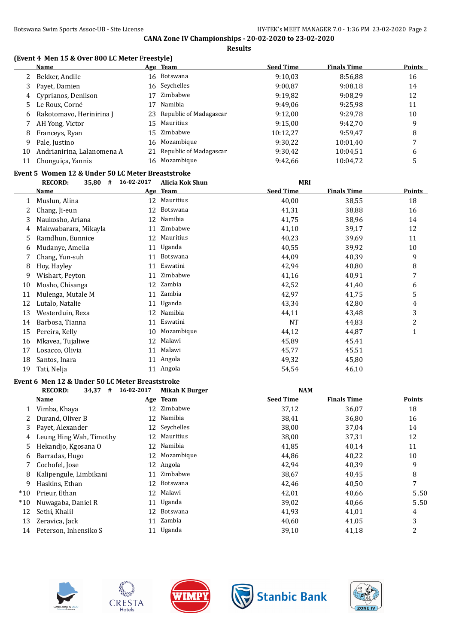**Results**

### **(Event 4 Men 15 & Over 800 LC Meter Freestyle)**

|    | <b>Name</b>                |    | Age Team                  | <b>Seed Time</b> | <b>Finals Time</b> | <b>Points</b> |
|----|----------------------------|----|---------------------------|------------------|--------------------|---------------|
|    | Bekker, Andile             |    | 16 Botswana               | 9:10.03          | 8:56,88            | 16            |
| 3  | Payet, Damien              |    | 16 Seychelles             | 9:00.87          | 9:08.18            | 14            |
| 4  | Cyprianos, Denilson        | 17 | Zimbabwe                  | 9:19,82          | 9:08.29            | 12            |
| 5  | Le Roux, Corné             | 17 | Namibia                   | 9:49.06          | 9:25.98            | 11            |
| 6  | Rakotomavo, Herinirina J   |    | 23 Republic of Madagascar | 9:12.00          | 9:29,78            | 10            |
|    | AH Yong, Victor            |    | 15 Mauritius              | 9:15.00          | 9:42.70            | 9             |
| 8  | Franceys, Ryan             |    | 15 Zimbabwe               | 10:12,27         | 9:59.47            | 8             |
| 9. | Pale, Justino              |    | 16 Mozambique             | 9:30.22          | 10:01.40           |               |
| 10 | Andrianirina, Lalanomena A | 21 | Republic of Madagascar    | 9:30,42          | 10:04,51           | 6             |
| 11 | Chonguiça, Yannis          | 16 | Mozambique                | 9:42.66          | 10:04.72           |               |

#### **Event 5 Women 12 & Under 50 LC Meter Breaststroke**

|    | #<br><b>RECORD:</b><br>35,80 | 16-02-2017 | Alicia Kok Shun | <b>MRI</b>       |                    |                |
|----|------------------------------|------------|-----------------|------------------|--------------------|----------------|
|    | <b>Name</b>                  | <u>Age</u> | <b>Team</b>     | <b>Seed Time</b> | <b>Finals Time</b> | <b>Points</b>  |
|    | Muslun, Alina                | 12         | Mauritius       | 40,00            | 38,55              | 18             |
|    | Chang, Ji-eun                | 12         | Botswana        | 41,31            | 38,88              | 16             |
| 3  | Naukosho, Ariana             | 12         | Namibia         | 41,75            | 38,96              | 14             |
| 4  | Makwabarara, Mikayla         | 11         | Zimbabwe        | 41,10            | 39,17              | 12             |
| 5  | Ramdhun, Eunnice             | 12         | Mauritius       | 40,23            | 39,69              | 11             |
| 6  | Mudanye, Amelia              | 11         | Uganda          | 40,55            | 39,92              | 10             |
|    | Chang, Yun-suh               | 11         | Botswana        | 44,09            | 40,39              | 9              |
| 8  | Hoy, Hayley                  | 11         | Eswatini        | 42,94            | 40,80              | 8              |
| 9  | Wishart, Peyton              | 11         | Zimbabwe        | 41,16            | 40,91              | 7              |
| 10 | Mosho, Chisanga              | 12         | Zambia          | 42,52            | 41,40              | 6              |
| 11 | Mulenga, Mutale M            | 11         | Zambia          | 42,97            | 41,75              | 5              |
| 12 | Lutalo, Natalie              | 11         | Uganda          | 43,34            | 42,80              | 4              |
| 13 | Westerduin, Reza             | 12         | Namibia         | 44,11            | 43,48              | 3              |
| 14 | Barbosa, Tianna              | 11         | Eswatini        | <b>NT</b>        | 44,83              | $\overline{c}$ |
| 15 | Pereira, Kelly               | 10         | Mozambique      | 44,12            | 44,87              | 1              |
| 16 | Mkayea, Tujaliwe             | 12         | Malawi          | 45,89            | 45,41              |                |
| 17 | Losacco, Olivia              | 11         | Malawi          | 45,77            | 45,51              |                |
| 18 | Santos, Inara                | 11         | Angola          | 49,32            | 45,80              |                |
| 19 | Tati, Nelja                  | 11         | Angola          | 54,54            | 46,10              |                |

#### **Event 6 Men 12 & Under 50 LC Meter Breaststroke**

|       | <b>RECORD:</b><br>34,37<br># | 16-02-2017 | <b>Mikah K Burger</b> | <b>NAM</b>       |                    |               |
|-------|------------------------------|------------|-----------------------|------------------|--------------------|---------------|
|       | Name                         |            | Age Team              | <b>Seed Time</b> | <b>Finals Time</b> | <b>Points</b> |
|       | Vimba, Khaya                 |            | 12 Zimbabwe           | 37,12            | 36,07              | 18            |
|       | Durand, Oliver B             |            | 12 Namibia            | 38,41            | 36,80              | 16            |
| 3     | Payet, Alexander             |            | 12 Seychelles         | 38,00            | 37,04              | 14            |
| 4     | Leung Hing Wah, Timothy      |            | 12 Mauritius          | 38,00            | 37,31              | 12            |
| 5     | Hekandjo, Kgosana O          |            | 12 Namibia            | 41,85            | 40,14              | 11            |
| 6     | Barradas, Hugo               |            | 12 Mozambique         | 44,86            | 40,22              | 10            |
|       | Cochofel, Jose               |            | 12 Angola             | 42,94            | 40,39              | 9             |
| 8     | Kalipengule, Limbikani       | 11         | Zimbabwe              | 38,67            | 40,45              | 8             |
| 9     | Haskins, Ethan               | 12         | Botswana              | 42,46            | 40,50              | 7             |
| $*10$ | Prieur, Ethan                |            | 12 Malawi             | 42,01            | 40,66              | 5.50          |
| $*10$ | Nuwagaba, Daniel R           | 11         | Uganda                | 39,02            | 40,66              | 5.50          |
| 12    | Sethi, Khalil                | 12         | Botswana              | 41,93            | 41,01              | 4             |
| 13    | Zeravica, Jack               | 11         | Zambia                | 40,60            | 41,05              | 3             |
| 14    | Peterson, Inhensiko S        | 11         | Uganda                | 39,10            | 41,18              | 2             |









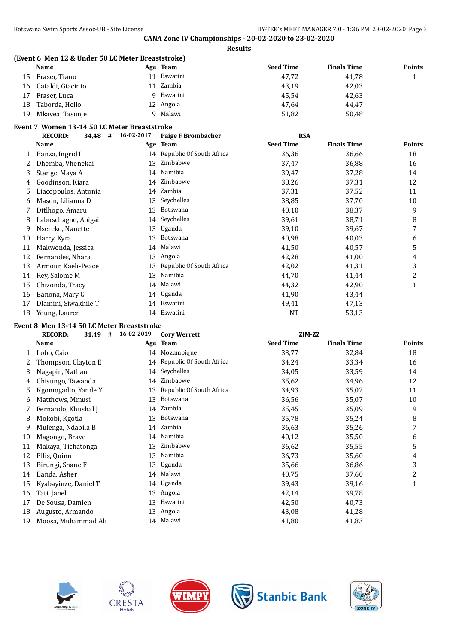|              | <b>Name</b>                                  |                    | Age Team                    | <b>Seed Time</b> | <b>Finals Time</b> | <b>Points</b>         |
|--------------|----------------------------------------------|--------------------|-----------------------------|------------------|--------------------|-----------------------|
| 15           | Fraser, Tiano                                |                    | 11 Eswatini                 | 47,72            | 41,78              | 1                     |
| 16           | Cataldi, Giacinto                            |                    | 11 Zambia                   | 43,19            | 42,03              |                       |
| 17           | Fraser, Luca                                 | 9                  | Eswatini                    | 45,54            | 42,63              |                       |
| 18           | Taborda, Helio                               | 12                 | Angola                      | 47,64            | 44,47              |                       |
| 19           | Mkavea, Tasunje                              | 9                  | Malawi                      | 51,82            | 50,48              |                       |
|              | Event 7 Women 13-14 50 LC Meter Breaststroke |                    |                             |                  |                    |                       |
|              | <b>RECORD:</b>                               | 34,48 # 16-02-2017 | <b>Paige F Brombacher</b>   | <b>RSA</b>       |                    |                       |
|              | <u>Name</u>                                  |                    | Age Team                    | <b>Seed Time</b> | <b>Finals Time</b> | Points                |
| 1            | Banza, Ingrid I                              |                    | 14 Republic Of South Africa | 36,36            | 36,66              | 18                    |
| 2            | Dhemba, Vhenekai                             |                    | 13 Zimbabwe                 | 37,47            | 36,88              | 16                    |
| 3            | Stange, Maya A                               |                    | 14 Namibia                  | 39,47            | 37,28              | 14                    |
| 4            | Goodinson, Kiara                             |                    | 14 Zimbabwe                 | 38,26            | 37,31              | 12                    |
| 5            | Liacopoulos, Antonia                         |                    | 14 Zambia                   | 37,31            | 37,52              | 11                    |
| 6            | Mason, Lilianna D                            | 13                 | Seychelles                  | 38,85            | 37,70              | 10                    |
| 7            | Ditlhogo, Amaru                              | 13                 | Botswana                    | 40,10            | 38,37              | 9                     |
| 8            | Labuschagne, Abigail                         |                    | 14 Seychelles               | 39,61            | 38,71              | 8                     |
| 9            | Nsereko, Nanette                             | 13                 | Uganda                      | 39,10            | 39,67              | 7                     |
| 10           | Harry, Kyra                                  | 13                 | Botswana                    | 40,98            | 40,03              | 6                     |
| 11           | Makwenda, Jessica                            |                    | 14 Malawi                   | 41,50            | 40,57              | 5                     |
| 12           | Fernandes, Nhara                             |                    | 13 Angola                   | 42,28            | 41,00              | 4                     |
| 13           | Armour, Kaeli-Peace                          |                    | 13 Republic Of South Africa | 42,02            | 41,31              | 3                     |
| 14           | Rey, Salome M                                |                    | 13 Namibia                  | 44,70            | 41,44              | $\overline{c}$        |
| 15           | Chizonda, Tracy                              |                    | 14 Malawi                   | 44,32            | 42,90              | $\mathbf{1}$          |
| 16           | Banona, Mary G                               |                    | 14 Uganda                   | 41,90            | 43,44              |                       |
| 17           | Dlamini, Siwakhile T                         |                    | 14 Eswatini                 | 49,41            | 47,13              |                       |
| 18           | Young, Lauren                                |                    | 14 Eswatini                 | <b>NT</b>        | 53,13              |                       |
|              | Event 8 Men 13-14 50 LC Meter Breaststroke   |                    |                             |                  |                    |                       |
|              | <b>RECORD:</b><br>$31,49$ #                  | 16-02-2019         | <b>Cory Werrett</b>         | ZIM-ZZ           |                    |                       |
|              | Name                                         |                    | Age Team                    | <b>Seed Time</b> | <b>Finals Time</b> | <b>Points</b>         |
| $\mathbf{1}$ | Lobo, Caio                                   |                    | 14 Mozambique               | 33,77            | 32,84              | 18                    |
| 2            | Thompson, Clayton E                          |                    | 14 Republic Of South Africa | 34,24            | 33,34              | 16                    |
| 3            | Nagapin, Nathan                              |                    | 14 Seychelles               | 34,05            | 33,59              | 14                    |
| 4            | Chisungo, Tawanda                            |                    | 14 Zimbabwe                 | 35,62            | 34,96              | 12                    |
| 5            | Kgomogadio, Yande Y                          |                    | 13 Republic Of South Africa | 34,93            | 35,02              | 11                    |
| 6            | Matthews, Mmusi                              |                    | 13 Botswana                 | 36,56            | 35,07              | $10\,$                |
| 7            | Fernando, Khushal J                          |                    | 14 Zambia                   | 35,45            | 35,09              | 9                     |
| 8            | Mokobi, Kgotla                               | 13                 | Botswana                    | 35,78            | 35,24              | 8                     |
| 9            | Mulenga, Ndabila B                           |                    | 14 Zambia                   | 36,63            | 35,26              | 7                     |
| 10           | Magongo, Brave                               |                    | 14 Namibia                  | 40,12            | 35,50              | 6                     |
| 11           | Makaya, Tichatonga                           | 13                 | Zimbabwe                    | 36,62            | 35,55              | 5                     |
| 12           | Ellis, Quinn                                 | 13                 | Namibia                     |                  |                    |                       |
| 13           | Birungi, Shane F                             | 13                 | Uganda                      | 36,73            | 35,60              | $\boldsymbol{4}$<br>3 |
|              |                                              |                    | Malawi                      | 35,66            | 36,86              |                       |
| 14           | Banda, Asher                                 | 14                 |                             | 40,75            | 37,60              | $\overline{c}$        |
| 15           | Kyabayinze, Daniel T                         |                    | 14 Uganda                   | 39,43            | 39,16              | $\mathbf{1}$          |

- 16 Tati, Janel 29,78
- De Sousa, Damien 13 Eswatini 42,50 40,73
- Augusto, Armando 13 Angola 43,08 41,28
- 19 Moosa, Muhammad Ali 14 Malawi 14 Martii 14 Malawi 14 Malawi 41,80 41,83
	- **CRESTA** Hotels





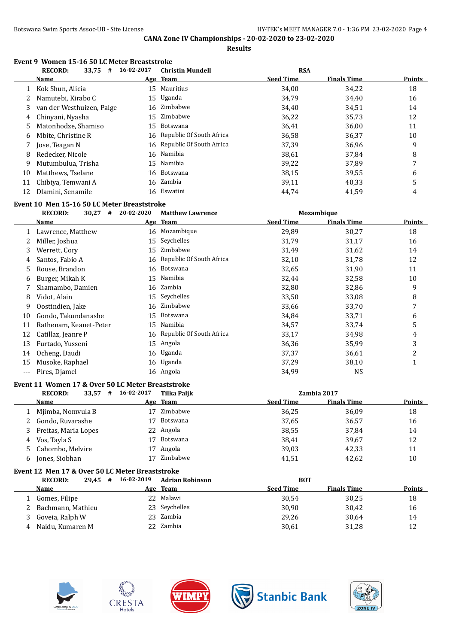**Results**

# **Event 9 Women 15-16 50 LC Meter Breaststroke**

|    | <b>RECORD:</b><br>33,75<br># | 16-02-2017 | <b>Christin Mundell</b>     | <b>RSA</b>       |                    |               |
|----|------------------------------|------------|-----------------------------|------------------|--------------------|---------------|
|    | <b>Name</b>                  |            | Age Team                    | <b>Seed Time</b> | <b>Finals Time</b> | <b>Points</b> |
|    | Kok Shun, Alicia             | 15         | Mauritius                   | 34,00            | 34,22              | 18            |
|    | Namutebi, Kirabo C           |            | 15 Uganda                   | 34,79            | 34,40              | 16            |
| 3  | van der Westhuizen, Paige    | 16         | Zimbabwe                    | 34,40            | 34,51              | 14            |
| 4  | Chinyani, Nyasha             | 15         | Zimbabwe                    | 36,22            | 35,73              | 12            |
| 5  | Matonhodze, Shamiso          | 15.        | Botswana                    | 36,41            | 36,00              | 11            |
| 6  | Mbite, Christine R           | 16         | Republic Of South Africa    | 36,58            | 36,37              | 10            |
|    | Jose, Teagan N               |            | 16 Republic Of South Africa | 37,39            | 36,96              | 9             |
| 8  | Redecker, Nicole             |            | 16 Namibia                  | 38,61            | 37.84              | 8             |
| 9  | Mutumbulua. Trisha           | 15         | Namibia                     | 39,22            | 37,89              | 7             |
| 10 | Matthews, Tselane            |            | 16 Botswana                 | 38,15            | 39,55              | 6             |
| 11 | Chibiya, Temwani A           |            | 16 Zambia                   | 39,11            | 40,33              | 5             |
| 12 | Dlamini, Senamile            | 16         | Eswatini                    | 44,74            | 41,59              | 4             |

#### **Event 10 Men 15-16 50 LC Meter Breaststroke**

|     | <b>RECORD:</b><br>30,27<br># | 20-02-2020 | <b>Matthew Lawrence</b>     |           | Mozambique         |        |
|-----|------------------------------|------------|-----------------------------|-----------|--------------------|--------|
|     | <b>Name</b>                  |            | Age Team                    | Seed Time | <b>Finals Time</b> | Points |
|     | Lawrence, Matthew            | 16         | Mozambique                  | 29,89     | 30,27              | 18     |
|     | Miller, Joshua               | 15         | Seychelles                  | 31,79     | 31,17              | 16     |
| 3   | Werrett, Cory                | 15         | Zimbabwe                    | 31,49     | 31,62              | 14     |
| 4   | Santos, Fabio A              |            | 16 Republic Of South Africa | 32,10     | 31,78              | 12     |
| 5.  | Rouse, Brandon               | 16         | Botswana                    | 32,65     | 31,90              | 11     |
| 6   | Burger, Mikah K              | 15         | Namibia                     | 32,44     | 32,58              | 10     |
|     | Shamambo, Damien             |            | 16 Zambia                   | 32,80     | 32,86              | 9      |
| 8   | Vidot, Alain                 |            | 15 Seychelles               | 33,50     | 33,08              | 8      |
| 9   | Oostindien, Jake             |            | 16 Zimbabwe                 | 33,66     | 33,70              | 7      |
| 10  | Gondo, Takundanashe          | 15         | <b>Botswana</b>             | 34,84     | 33,71              | 6      |
| 11  | Rathenam, Keanet-Peter       | 15         | Namibia                     | 34,57     | 33,74              | 5      |
| 12  | Catillaz, Jeanre P           |            | 16 Republic Of South Africa | 33,17     | 34,98              | 4      |
| 13  | Furtado, Yusseni             | 15         | Angola                      | 36,36     | 35,99              | 3      |
| 14  | Ocheng, Daudi                |            | 16 Uganda                   | 37,37     | 36,61              | 2      |
| 15  | Musoke, Raphael              |            | 16 Uganda                   | 37,29     | 38,10              | 1      |
| --- | Pires, Diamel                |            | 16 Angola                   | 34,99     | <b>NS</b>          |        |

#### **Event 11 Women 17 & Over 50 LC Meter Breaststroke**

|    | 33,57<br><b>RECORD:</b><br># | 16-02-2017 | Tilka Paljk |                  | Zambia 2017        |               |
|----|------------------------------|------------|-------------|------------------|--------------------|---------------|
|    | Name                         |            | Age Team    | <b>Seed Time</b> | <b>Finals Time</b> | <b>Points</b> |
|    | Mjimba, Nomvula B            | 17         | Zimbabwe    | 36,25            | 36,09              | 18            |
|    | 2 Gondo, Ruvarashe           |            | Botswana    | 37,65            | 36,57              | 16            |
| 3  | Freitas, Maria Lopes         |            | 22 Angola   | 38,55            | 37,84              | 14            |
| 4  | Vos, Tayla S                 |            | Botswana    | 38,41            | 39,67              | 12            |
| 5. | Cahombo, Melvire             | 17         | Angola      | 39,03            | 42,33              | 11            |
| 6  | Jones, Siobhan               |            | Zimbabwe    | 41,51            | 42,62              | 10            |

## **Event 12 Men 17 & Over 50 LC Meter Breaststroke**

|   | <b>RECORD:</b><br>$29.45$ # | 16-02-2019 | Adrian Robinson |                  | <b>BOT</b>         |        |
|---|-----------------------------|------------|-----------------|------------------|--------------------|--------|
|   | Name                        |            | Age Team        | <b>Seed Time</b> | <b>Finals Time</b> | Points |
|   | Gomes, Filipe               |            | 22 Malawi       | 30,54            | 30,25              | 18     |
|   | Bachmann, Mathieu           |            | 23 Seychelles   | 30,90            | 30,42              | 16     |
| 3 | Goveia, Ralph W             |            | 23 Zambia       | 29,26            | 30,64              | 14     |
| 4 | Naidu, Kumaren M            |            | 22 Zambia       | 30,61            | 31,28              | 12     |









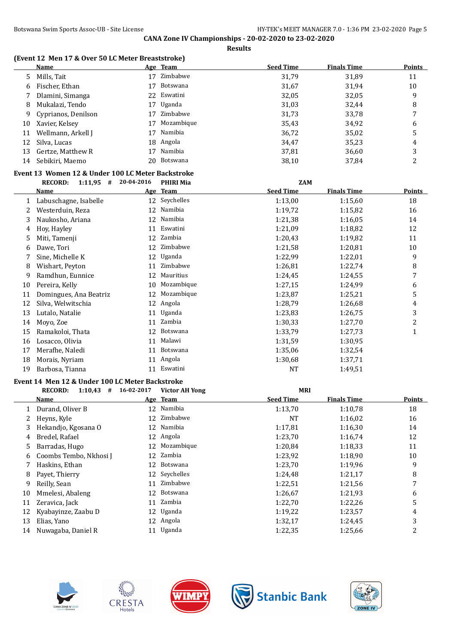#### **(Event 12 Men 17 & Over 50 LC Meter Breaststroke)**

|                                                    | <b>Name</b>                   |            | Age Team         | <b>Seed Time</b> | <b>Finals Time</b> | <b>Points</b>  |  |  |
|----------------------------------------------------|-------------------------------|------------|------------------|------------------|--------------------|----------------|--|--|
| 5                                                  | Mills, Tait                   | 17         | Zimbabwe         | 31,79            | 31,89              | 11             |  |  |
| 6                                                  | Fischer, Ethan                | 17         | Botswana         | 31,67            | 31,94              | 10             |  |  |
| 7                                                  | Dlamini, Simanga              | 22         | Eswatini         | 32,05            | 32,05              | 9              |  |  |
| 8                                                  | Mukalazi, Tendo               | 17         | Uganda           | 31,03            | 32,44              | 8              |  |  |
| 9                                                  | Cyprianos, Denilson           | 17         | Zimbabwe         | 31,73            | 33,78              | 7              |  |  |
| 10                                                 | Xavier, Kelsey                | 17         | Mozambique       | 35,43            | 34,92              | 6              |  |  |
| 11                                                 | Wellmann, Arkell J            | 17         | Namibia          | 36,72            | 35,02              | 5              |  |  |
| 12                                                 | Silva, Lucas                  | 18         | Angola           | 34,47            | 35,23              | 4              |  |  |
| 13                                                 | Gertze, Matthew R             | 17         | Namibia          | 37,81            | 36,60              | 3              |  |  |
| 14                                                 | Sebikiri, Maemo               | 20         | Botswana         | 38,10            | 37,84              | $\overline{c}$ |  |  |
| Event 13  Women 12 & Under 100 LC Meter Backstroke |                               |            |                  |                  |                    |                |  |  |
|                                                    | <b>RECORD:</b><br>$1:11,95$ # | 20-04-2016 | <b>PHIRI Mia</b> | <b>ZAM</b>       |                    |                |  |  |
|                                                    |                               |            |                  |                  |                    |                |  |  |
|                                                    | <b>Name</b>                   |            | Age Team         | <b>Seed Time</b> | <b>Finals Time</b> | <b>Points</b>  |  |  |
| 1                                                  | Labuschagne, Isabelle         | 12         | Seychelles       | 1:13,00          | 1:15,60            | 18             |  |  |
| 2                                                  | Westerduin, Reza              | 12         | Namibia          | 1:19,72          | 1:15,82            | 16             |  |  |
| 3                                                  | Naukosho, Ariana              | 12         | Namibia          | 1:21,38          | 1:16.05            | 14             |  |  |
| 4                                                  | Hoy, Hayley                   | 11         | Eswatini         | 1:21,09          | 1:18,82            | 12             |  |  |
| 5                                                  | Miti, Tamenji                 | 12         | Zambia           | 1:20,43          | 1:19,82            | 11             |  |  |
| 6                                                  | Dawe, Tori                    | 12         | Zimbabwe         | 1:21,58          | 1:20,81            | 10             |  |  |
| 7                                                  | Sine, Michelle K              | 12         | Uganda           | 1:22,99          | 1:22,01            | 9              |  |  |
| 8                                                  | Wishart, Peyton               | 11         | Zimbabwe         | 1:26,81          | 1:22,74            | 8              |  |  |
| 9                                                  | Ramdhun, Eunnice              | 12         | Mauritius        | 1:24,45          | 1:24,55            | 7              |  |  |
| 10                                                 | Pereira, Kelly                | 10         | Mozambique       | 1:27,15          | 1:24,99            | 6              |  |  |
| 11                                                 | Domingues, Ana Beatriz        | 12         | Mozambique       | 1:23,87          | 1:25,21            | 5              |  |  |

|    | <b>Name</b>                                     | Age Team              | <b>Seed Time</b> | <b>Finals Time</b> | <b>Points</b> |
|----|-------------------------------------------------|-----------------------|------------------|--------------------|---------------|
|    | 16-02-2017<br>#<br>1:10,43<br><b>RECORD:</b>    | <b>Victor AH Yong</b> | MRI              |                    |               |
|    | Event 14 Men 12 & Under 100 LC Meter Backstroke |                       |                  |                    |               |
| 19 | Barbosa, Tianna                                 | 11 Eswatini           | NT               | 1:49.51            |               |
|    | 18 Morais, Nyriam                               | 11 Angola             | 1:30,68          | 1:37,71            |               |
| 17 | Merafhe, Naledi                                 | 11 Botswana           | 1:35,06          | 1:32,54            |               |
| 16 | Losacco, Olivia                                 | 11 Malawi             | 1:31,59          | 1:30,95            |               |
|    | 15 Ramakoloi, Thata                             | 12 Botswana           | 1:33,79          | 1:27.73            |               |
|    | 14 Moyo, Zoe                                    | 11 Zambia             | 1:30,33          | 1:27.70            | 2             |
| 13 | Lutalo, Natalie                                 | Uganda                | 1:23,83          | 1:26,75            | 3             |

| LVEIIU IT MEILLE & UIIUEL TUU LUMEUEL DAUNSUUNE |  |  |                              |                |  |  |  |
|-------------------------------------------------|--|--|------------------------------|----------------|--|--|--|
|                                                 |  |  | RECORD: 1:10,43 # 16-02-2017 | Victor AH Yong |  |  |  |

|    | NEGUND.<br>$1.10,10 + 1$ | $10.04$ $101$ | VILLUI AII IUIIE | MN               |                    |               |
|----|--------------------------|---------------|------------------|------------------|--------------------|---------------|
|    | Name                     |               | Age Team         | <b>Seed Time</b> | <b>Finals Time</b> | <b>Points</b> |
|    | Durand, Oliver B         |               | 12 Namibia       | 1:13,70          | 1:10,78            | 18            |
| 2  | Heyns, Kyle              | 12            | Zimbabwe         | NT               | 1:16,02            | 16            |
| 3  | Hekandjo, Kgosana O      | 12            | Namibia          | 1:17,81          | 1:16,30            | 14            |
| 4  | Bredel, Rafael           | 12            | Angola           | 1:23,70          | 1:16,74            | 12            |
| 5. | Barradas, Hugo           |               | 12 Mozambique    | 1:20,84          | 1:18.33            | 11            |
| 6  | Coombs Tembo, Nkhosi J   | 12            | Zambia           | 1:23,92          | 1:18,90            | 10            |
|    | Haskins, Ethan           | 12            | Botswana         | 1:23,70          | 1:19,96            | 9             |
| 8  | Payet, Thierry           |               | 12 Seychelles    | 1:24,48          | 1:21,17            | 8             |
| 9  | Reilly, Sean             | 11            | Zimbabwe         | 1:22,51          | 1:21,56            | 7             |
| 10 | Mmelesi, Abaleng         | 12            | Botswana         | 1:26,67          | 1:21,93            | 6             |
| 11 | Zeravica, Jack           | 11            | Zambia           | 1:22,70          | 1:22,26            | 5             |
| 12 | Kyabayinze, Zaabu D      |               | 12 Uganda        | 1:19,22          | 1:23,57            | 4             |
| 13 | Elias, Yano              |               | 12 Angola        | 1:32,17          | 1:24,45            | 3             |
| 14 | Nuwagaba, Daniel R       |               | 11 Uganda        | 1:22,35          | 1:25,66            | 2             |









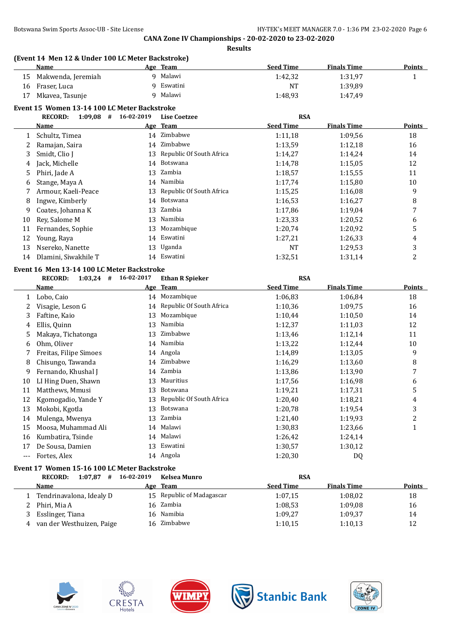|          |                                                                  |            | <b>Results</b>           |                  |                    |               |
|----------|------------------------------------------------------------------|------------|--------------------------|------------------|--------------------|---------------|
|          | (Event 14 Men 12 & Under 100 LC Meter Backstroke)<br><b>Name</b> |            | Age Team                 | <b>Seed Time</b> | <b>Finals Time</b> | <b>Points</b> |
| 15       | Makwenda, Jeremiah                                               |            | 9 Malawi                 | 1:42,32          | 1:31,97            | 1             |
| 16       | Fraser, Luca                                                     |            | 9 Eswatini               | <b>NT</b>        | 1:39,89            |               |
| 17       | Mkavea, Tasunje                                                  |            | 9 Malawi                 | 1:48,93          | 1:47,49            |               |
|          | Event 15 Women 13-14 100 LC Meter Backstroke                     |            |                          |                  |                    |               |
|          | $1:09,08$ # 16-02-2019<br><b>RECORD:</b>                         |            | <b>Lise Coetzee</b>      | <b>RSA</b>       |                    |               |
|          | <b>Name</b>                                                      |            | Age Team                 | <b>Seed Time</b> | <b>Finals Time</b> | <b>Points</b> |
| 1        | Schultz, Timea                                                   |            | 14 Zimbabwe              | 1:11,18          | 1:09,56            | 18            |
| 2        | Ramajan, Saira                                                   | 14         | Zimbabwe                 | 1:13,59          | 1:12,18            | 16            |
| 3        | Smidt, Clio J                                                    | 13         | Republic Of South Africa | 1:14,27          | 1:14,24            | 14            |
| 4        | Jack, Michelle                                                   | 14         | Botswana                 | 1:14,78          | 1:15,05            | 12            |
| 5        | Phiri, Jade A                                                    | 13         | Zambia                   | 1:18,57          | 1:15,55            | 11            |
| 6        | Stange, Maya A                                                   | 14         | Namibia                  | 1:17,74          | 1:15,80            | 10            |
| 7        | Armour, Kaeli-Peace                                              | 13         | Republic Of South Africa | 1:15,25          | 1:16,08            | 9             |
| 8        | Ingwe, Kimberly                                                  | 14         | Botswana                 | 1:16,53          | 1:16,27            | 8             |
| 9        | Coates, Johanna K                                                | 13         | Zambia                   | 1:17,86          | 1:19,04            | 7             |
| 10       | Rey, Salome M                                                    | 13         | Namibia                  | 1:23,33          | 1:20,52            | 6             |
| 11       | Fernandes, Sophie                                                | 13         | Mozambique               | 1:20,74          | 1:20,92            | 5             |
| 12       | Young, Raya                                                      |            | 14 Eswatini              | 1:27,21          | 1:26,33            | 4             |
| 13       | Nsereko, Nanette                                                 | 13         | Uganda                   | <b>NT</b>        | 1:29,53            | 3             |
| 14       | Dlamini, Siwakhile T                                             |            | 14 Eswatini              | 1:32,51          | 1:31,14            | 2             |
|          | Event 16 Men 13-14 100 LC Meter Backstroke                       |            |                          |                  |                    |               |
|          | <b>RECORD:</b><br>$1:03,24$ #                                    | 16-02-2017 | <b>Ethan R Spieker</b>   | <b>RSA</b>       |                    |               |
|          | Name                                                             |            | Age Team                 | <b>Seed Time</b> | <b>Finals Time</b> | Points        |
| 1        | Lobo, Caio                                                       |            | 14 Mozambique            | 1:06,83          | 1:06,84            | 18            |
| 2        | Visagie, Leson G                                                 | 14         | Republic Of South Africa | 1:10,36          | 1:09,75            | 16            |
| 3        | Faftine, Kaio                                                    | 13         | Mozambique               | 1:10,44          | 1:10,50            | 14            |
| 4        | Ellis, Quinn                                                     | 13         | Namibia                  | 1:12,37          | 1:11,03            | 12            |
| 5        | Makaya, Tichatonga                                               | 13         | Zimbabwe                 | 1:13,46          | 1:12,14            | 11            |
| 6        | Ohm, Oliver                                                      | 14         | Namibia                  | 1:13,22          | 1:12,44            | 10            |
|          | Freitas, Filipe Simoes                                           |            | 14 Angola                | 1:14,89          | 1:13,05            | 9             |
| 8        | Chisungo, Tawanda                                                |            | 14 Zimbabwe              | 1:16,29          | 1:13,60            | 8             |
| 9        | Fernando, Khushal J                                              |            | 14 Zambia                | 1:13,86          | 1:13,90            | 7             |
| 10       | LI Hing Duen, Shawn                                              |            | 13 Mauritius             | 1:17,56          | 1:16,98            | 6             |
| 11       | Matthews, Mmusi                                                  |            | 13 Botswana              | 1:19,21          | 1:17,31            | 5             |
| 12       | Kgomogadio, Yande Y                                              | 13         | Republic Of South Africa | 1:20,40          | 1:18,21            | 4             |
| 13       | Mokobi, Kgotla                                                   | 13         | Botswana                 | 1:20,78          | 1:19,54            | 3             |
| 14       | Mulenga, Mwenya                                                  | 13         | Zambia                   | 1:21,40          | 1:19,93            | 2             |
| 15       | Moosa, Muhammad Ali                                              |            | 14 Malawi                | 1:30,83          | 1:23,66            | 1             |
| 16       | Kumbatira, Tsinde                                                |            | 14 Malawi                | 1:26,42          | 1:24,14            |               |
| 17       | De Sousa, Damien                                                 |            | 13 Eswatini              | 1:30,57          | 1:30,12            |               |
| $\cdots$ | Fortes, Alex                                                     |            | 14 Angola                | 1:20,30          | DQ                 |               |

# **Event 17 Women 15-16 100 LC Meter Backstroke**

| $1:07.87$ #<br><b>RECORD:</b> | 16-02-2019 | Kelsea Munro              | <b>RSA</b>       |                    |        |
|-------------------------------|------------|---------------------------|------------------|--------------------|--------|
| <b>Name</b>                   |            | Age Team                  | <b>Seed Time</b> | <b>Finals Time</b> | Points |
| Tendrinavalona, Idealy D      |            | 15 Republic of Madagascar | 1:07.15          | 1:08.02            | 18     |
| Phiri, Mia A                  |            | 16 Zambia                 | 1:08.53          | 1:09.08            | 16     |
| Esslinger, Tiana              |            | 16 Namibia                | 1:09.27          | 1:09,37            | 14     |
| van der Westhuizen, Paige     |            | 16 Zimbabwe               | 1:10.15          | 1:10,13            | 12     |









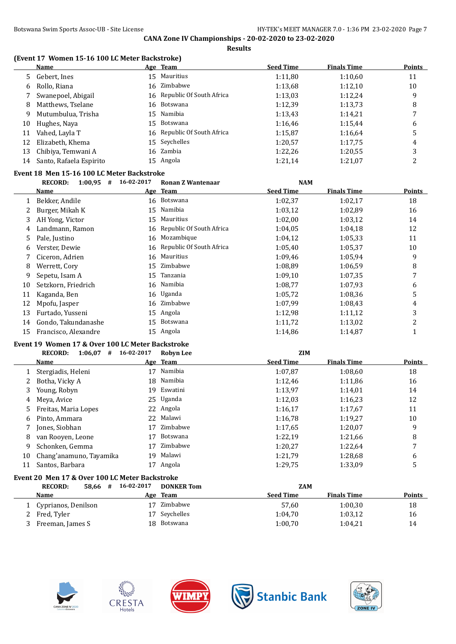### **(Event 17 Women 15-16 100 LC Meter Backstroke)**

|    | Name                                                                                                                                                                                                                                                                   | Age Team                    | <b>Seed Time</b> | <b>Finals Time</b> | <b>Points</b> |
|----|------------------------------------------------------------------------------------------------------------------------------------------------------------------------------------------------------------------------------------------------------------------------|-----------------------------|------------------|--------------------|---------------|
|    | 5 Gebert, Ines                                                                                                                                                                                                                                                         | 15 Mauritius                | 1:11,80          | 1:10,60            | 11            |
| 6  | Rollo, Riana                                                                                                                                                                                                                                                           | 16 Zimbabwe                 | 1:13,68          | 1:12,10            | 10            |
|    | Swanepoel, Abigail                                                                                                                                                                                                                                                     | 16 Republic Of South Africa | 1:13,03          | 1:12,24            | 9             |
| 8  | Matthews, Tselane                                                                                                                                                                                                                                                      | 16 Botswana                 | 1:12.39          | 1:13,73            | 8             |
| 9  | Mutumbulua, Trisha                                                                                                                                                                                                                                                     | 15 Namibia                  | 1:13,43          | 1:14,21            | 7             |
| 10 | Hughes, Naya                                                                                                                                                                                                                                                           | 15 Botswana                 | 1:16,46          | 1:15,44            | 6             |
| 11 | Vahed, Layla T                                                                                                                                                                                                                                                         | 16 Republic Of South Africa | 1:15,87          | 1:16,64            | 5             |
| 12 | Elizabeth, Khema                                                                                                                                                                                                                                                       | 15 Seychelles               | 1:20,57          | 1:17,75            | 4             |
| 13 | Chibiya, Temwani A                                                                                                                                                                                                                                                     | 16 Zambia                   | 1:22,26          | 1:20.55            | 3             |
| 14 | Santo, Rafaela Espirito                                                                                                                                                                                                                                                | 15 Angola                   | 1:21,14          | 1:21,07            | 2             |
|    | $\sim$ 40 M $\sim$ 400 M $\sim$ 400 M $\sim$ 500 M $\sim$ 500 M $\sim$ 500 M $\sim$ 500 M $\sim$ 500 M $\sim$ 500 M $\sim$ 500 M $\sim$ 500 M $\sim$ 500 M $\sim$ 500 M $\sim$ 500 M $\sim$ 500 M $\sim$ 500 M $\sim$ 500 M $\sim$ 500 M $\sim$ 500 M $\sim$ 500 M $\$ |                             |                  |                    |               |

# **Event 18 Men 15-16 100 LC Meter Backstroke**

|    | 1:00,95<br><b>RECORD:</b><br># | 16-02-2017 | <b>Ronan Z Wantenaar</b> | <b>NAM</b>       |                    |                |
|----|--------------------------------|------------|--------------------------|------------------|--------------------|----------------|
|    | Name                           |            | Age Team                 | <b>Seed Time</b> | <b>Finals Time</b> | <b>Points</b>  |
|    | Bekker, Andile                 | 16         | Botswana                 | 1:02,37          | 1:02,17            | 18             |
|    | Burger, Mikah K                | 15         | Namibia                  | 1:03,12          | 1:02.89            | 16             |
| 3  | AH Yong, Victor                | 15         | Mauritius                | 1:02,00          | 1:03,12            | 14             |
| 4  | Landmann, Ramon                | 16         | Republic Of South Africa | 1:04.05          | 1:04.18            | 12             |
| 5. | Pale, Justino                  | 16         | Mozambique               | 1:04,12          | 1:05.33            | 11             |
| 6  | Verster, Dewie                 | 16         | Republic Of South Africa | 1:05,40          | 1:05,37            | 10             |
|    | Ciceron, Adrien                | 16         | Mauritius                | 1:09,46          | 1:05,94            | 9              |
| 8  | Werrett, Cory                  | 15         | Zimbabwe                 | 1:08.89          | 1:06.59            | 8              |
| 9  | Sepetu, Isam A                 | 15         | Tanzania                 | 1:09,10          | 1:07.35            | 7              |
| 10 | Setzkorn, Friedrich            | 16         | Namibia                  | 1:08,77          | 1:07.93            | 6              |
| 11 | Kaganda, Ben                   |            | 16 Uganda                | 1:05,72          | 1:08.36            | 5              |
| 12 | Mpofu, Jasper                  | 16         | Zimbabwe                 | 1:07,99          | 1:08.43            | 4              |
| 13 | Furtado, Yusseni               | 15         | Angola                   | 1:12,98          | 1:11,12            | 3              |
| 14 | Gondo, Takundanashe            | 15         | Botswana                 | 1:11,72          | 1:13,02            | $\overline{2}$ |
| 15 | Francisco, Alexandre           | 15         | Angola                   | 1:14,86          | 1:14,87            |                |

# **Event 19 Women 17 & Over 100 LC Meter Backstroke**

|    | 1:06.07<br><b>RECORD:</b><br>#                 | 16-02-2017 | <b>Robyn Lee</b>  | <b>ZIM</b>       |                    |        |
|----|------------------------------------------------|------------|-------------------|------------------|--------------------|--------|
|    | Name                                           |            | Age Team          | <b>Seed Time</b> | <b>Finals Time</b> | Points |
|    | Stergiadis, Heleni                             | 17         | Namibia           | 1:07,87          | 1:08.60            | 18     |
|    | Botha, Vicky A                                 | 18         | Namibia           | 1:12,46          | 1:11,86            | 16     |
| 3  | Young, Robyn                                   | 19.        | Eswatini          | 1:13,97          | 1:14,01            | 14     |
| 4  | Meya, Avice                                    |            | 25 Uganda         | 1:12.03          | 1:16,23            | 12     |
| 5. | Freitas, Maria Lopes                           |            | 22 Angola         | 1:16,17          | 1:17,67            | 11     |
| 6  | Pinto, Ammara                                  | 22         | Malawi            | 1:16.78          | 1:19.27            | 10     |
|    | Jones, Siobhan                                 | 17         | Zimbabwe          | 1:17,65          | 1:20,07            | 9      |
| 8  | van Rooven, Leone                              | 17         | Botswana          | 1:22.19          | 1:21,66            | 8      |
| 9  | Schonken, Gemma                                | 17         | Zimbabwe          | 1:20,27          | 1:22,64            | 7      |
| 10 | Chang'anamuno, Tayamika                        | 19         | Malawi            | 1:21.79          | 1:28,68            | 6      |
| 11 | Santos, Barbara                                | 17         | Angola            | 1:29,75          | 1:33,09            | 5      |
|    | Event 20 Men 17 & Over 100 LC Meter Backstroke |            |                   |                  |                    |        |
|    | <b>RECORD:</b><br>58,66<br>#                   | 16-02-2017 | <b>DONKER Tom</b> | <b>ZAM</b>       |                    |        |

| KELUKD:<br><b>30.00 #</b> | 10-04-4017                           |                                                                      |                    |               |
|---------------------------|--------------------------------------|----------------------------------------------------------------------|--------------------|---------------|
| <b>Name</b>               |                                      | <b>Seed Time</b>                                                     | <b>Finals Time</b> | <b>Points</b> |
|                           |                                      | 57.60                                                                | 1:00,30            | 18            |
|                           | 17                                   | 1:04.70                                                              | 1:03,12            | 16            |
| Freeman, James S          |                                      | 1:00,70                                                              | 1:04,21            | 14            |
|                           | Cyprianos, Denilson<br>2 Fred, Tyler | LUNNER IOIII<br>Age Team<br>Zimbabwe<br>Sevchelles<br>Botswana<br>18 |                    | <i>LAN</i>    |









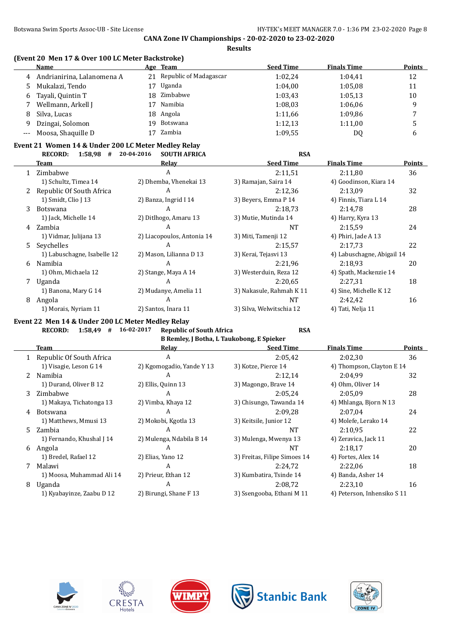| (Event 20 Men 17 & Over 100 LC Meter Backstroke) |  |  |
|--------------------------------------------------|--|--|
|                                                  |  |  |

|   | Name                       |    | Age Team                  | <b>Seed Time</b> | <b>Finals Time</b> | <b>Points</b> |
|---|----------------------------|----|---------------------------|------------------|--------------------|---------------|
| 4 | Andrianirina, Lalanomena A |    | 21 Republic of Madagascar | 1:02.24          | 1:04,41            | 12            |
|   | Mukalazi, Tendo            | 17 | Uganda                    | 1:04.00          | 1:05,08            | 11            |
| 6 | Tayali, Quintin T          | 18 | Zimbabwe                  | 1:03.43          | 1:05.13            | 10            |
|   | Wellmann, Arkell J         |    | Namibia                   | 1:08.03          | 1:06.06            | q             |
| 8 | Silva, Lucas               |    | 18 Angola                 | 1:11,66          | 1:09.86            |               |
| 9 | Dzingai, Solomon           | 19 | Botswana                  | 1:12.13          | 1:11,00            |               |
|   | --- Moosa, Shaquille D     |    | Zambia                    | 1:09.55          | DQ                 | o             |

# **Event 21 Women 14 & Under 200 LC Meter Medley Relay**

|    | $1:58,98$ #<br><b>RECORD:</b> | 20-04-2016<br><b>SOUTH AFRICA</b> | <b>RSA</b>               |                            |               |
|----|-------------------------------|-----------------------------------|--------------------------|----------------------------|---------------|
|    | Team                          | Relay                             | <b>Seed Time</b>         | <b>Finals Time</b>         | <b>Points</b> |
|    | Zimbabwe                      | A                                 | 2:11,51                  | 2:11.80                    | 36            |
|    | 1) Schultz, Timea 14          | 2) Dhemba, Vhenekai 13            | 3) Ramajan, Saira 14     | 4) Goodinson, Kiara 14     |               |
| 2  | Republic Of South Africa      | A                                 | 2:12,36                  | 2:13,09                    | 32            |
|    | 1) Smidt, Clio J 13           | 2) Banza, Ingrid I 14             | 3) Beyers, Emma P 14     | 4) Finnis, Tiara L 14      |               |
| 3  | Botswana                      | A                                 | 2:18.73                  | 2:14.78                    | 28            |
|    | 1) Jack, Michelle 14          | 2) Ditlhogo, Amaru 13             | 3) Mutie, Mutinda 14     | 4) Harry, Kyra 13          |               |
| 4  | Zambia                        | A                                 | <b>NT</b>                | 2:15.59                    | 24            |
|    | 1) Vidmar, Julijana 13        | 2) Liacopoulos, Antonia 14        | 3) Miti, Tamenji 12      | 4) Phiri, Jade A 13        |               |
| 5. | Seychelles                    | A                                 | 2:15.57                  | 2:17.73                    | 22            |
|    | 1) Labuschagne, Isabelle 12   | 2) Mason, Lilianna D 13           | 3) Kerai, Tejasvi 13     | 4) Labuschagne, Abigail 14 |               |
| 6  | Namibia                       | A                                 | 2:21,96                  | 2:18.93                    | 20            |
|    | 1) Ohm, Michaela 12           | 2) Stange, Maya A 14              | 3) Westerduin, Reza 12   | 4) Spath, Mackenzie 14     |               |
|    | Uganda                        | A                                 | 2:20.65                  | 2:27,31                    | 18            |
|    | 1) Banona, Mary G 14          | 2) Mudanye, Amelia 11             | 3) Nakasule, Rahmah K 11 | 4) Sine, Michelle K 12     |               |
| 8  | Angola                        | A                                 | <b>NT</b>                | 2:42,42                    | 16            |
|    | 1) Morais, Nyriam 11          | 2) Santos, Inara 11               | 3) Silva, Welwitschia 12 | 4) Tati, Nelja 11          |               |

#### **Event 22 Men 14 & Under 200 LC Meter Medley Relay RECORD: 1:58,49 # 16-02-2017 Republic of South Africa RSA**

|               | B Remley, J Botha, L Taukobong, E Spieker |                           |                              |                             |               |  |  |  |
|---------------|-------------------------------------------|---------------------------|------------------------------|-----------------------------|---------------|--|--|--|
|               | Team                                      | Relay                     | <b>Seed Time</b>             | <b>Finals Time</b>          | <b>Points</b> |  |  |  |
|               | 1 Republic Of South Africa                | A                         | 2:05,42                      | 2:02,30                     | 36            |  |  |  |
|               | 1) Visagie, Leson G 14                    | 2) Kgomogadio, Yande Y 13 | 3) Kotze, Pierce 14          | 4) Thompson, Clayton E 14   |               |  |  |  |
| $\mathcal{Z}$ | Namibia                                   | A                         | 2:12,14                      | 2:04.99                     | 32            |  |  |  |
|               | 1) Durand, Oliver B 12                    | 2) Ellis, Quinn 13        | 3) Magongo, Brave 14         | 4) Ohm, Oliver 14           |               |  |  |  |
| 3.            | Zimbabwe                                  | A                         | 2:05.24                      | 2:05.09                     | 28            |  |  |  |
|               | 1) Makaya, Tichatonga 13                  | 2) Vimba, Khaya 12        | 3) Chisungo, Tawanda 14      | 4) Mhlanga, Bjorn N 13      |               |  |  |  |
| 4             | <b>Botswana</b>                           | A                         | 2:09.28                      | 2:07.04                     | 24            |  |  |  |
|               | 1) Matthews, Mmusi 13                     | 2) Mokobi, Kgotla 13      | 3) Keitsile, Junior 12       | 4) Molefe, Lerako 14        |               |  |  |  |
| 5.            | Zambia                                    | A                         | NT                           | 2:10.95                     | 22            |  |  |  |
|               | 1) Fernando, Khushal J 14                 | 2) Mulenga, Ndabila B 14  | 3) Mulenga, Mwenya 13        | 4) Zeravica, Jack 11        |               |  |  |  |
| 6             | Angola                                    | A                         | NT                           | 2:18.17                     | 20            |  |  |  |
|               | 1) Bredel, Rafael 12                      | 2) Elias, Yano 12         | 3) Freitas, Filipe Simoes 14 | 4) Fortes, Alex 14          |               |  |  |  |
|               | Malawi                                    | A                         | 2:24,72                      | 2:22,06                     | 18            |  |  |  |
|               | 1) Moosa, Muhammad Ali 14                 | 2) Prieur, Ethan 12       | 3) Kumbatira, Tsinde 14      | 4) Banda, Asher 14          |               |  |  |  |
| 8             | Uganda                                    | A                         | 2:08.72                      | 2:23,10                     | 16            |  |  |  |
|               | 1) Kyabayinze, Zaabu D 12                 | 2) Birungi, Shane F 13    | 3) Ssengooba, Ethani M 11    | 4) Peterson, Inhensiko S 11 |               |  |  |  |









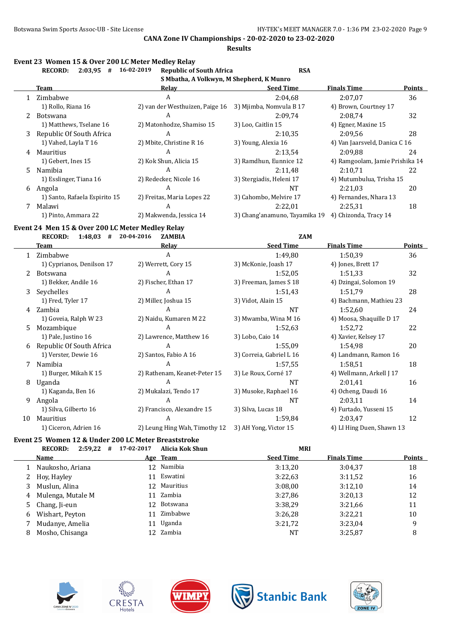**Results**

#### **Event 23 Women 15 & Over 200 LC Meter Medley Relay**

|    | <b>RECORD:</b><br>2:03.95<br># | 16-02-2019<br><b>Republic of South Africa</b> | <b>RSA</b>                    |                                 |               |
|----|--------------------------------|-----------------------------------------------|-------------------------------|---------------------------------|---------------|
|    |                                | S Mbatha, A Volkwyn, M Shepherd, K Munro      |                               |                                 |               |
|    | Team                           | Relay                                         | <b>Seed Time</b>              | <b>Finals Time</b>              | <b>Points</b> |
|    | 1 Zimbabwe                     | A                                             | 2:04.68                       | 2:07.07                         | 36            |
|    | 1) Rollo, Riana 16             | 2) van der Westhuizen, Paige 16               | 3) Mjimba, Nomvula B 17       | 4) Brown, Courtney 17           |               |
| 2  | Botswana                       | A                                             | 2:09.74                       | 2:08.74                         | 32            |
|    | 1) Matthews, Tselane 16        | 2) Matonhodze, Shamiso 15                     | 3) Loo, Caitlin 15            | 4) Egner, Maxine 15             |               |
| 3  | Republic Of South Africa       | A                                             | 2:10.35                       | 2:09.56                         | 28            |
|    | 1) Vahed, Layla T 16           | 2) Mbite, Christine R 16                      | 3) Young, Alexia 16           | 4) Van Jaarsveld, Danica C 16   |               |
| 4  | Mauritius                      | A                                             | 2:13.54                       | 2:09.88                         | 24            |
|    | 1) Gebert, Ines 15             | 2) Kok Shun, Alicia 15                        | 3) Ramdhun, Eunnice 12        | 4) Ramgoolam, Jamie Prishika 14 |               |
| 5. | Namibia                        | A                                             | 2:11.48                       | 2:10.71                         | 22            |
|    | 1) Esslinger, Tiana 16         | 2) Redecker, Nicole 16                        | 3) Stergiadis, Heleni 17      | 4) Mutumbulua, Trisha 15        |               |
| 6  | Angola                         | A                                             | NΤ                            | 2:21.03                         | 20            |
|    | 1) Santo, Rafaela Espirito 15  | 2) Freitas, Maria Lopes 22                    | 3) Cahombo, Melvire 17        | 4) Fernandes, Nhara 13          |               |
|    | Malawi                         | A                                             | 2:22.01                       | 2:25.31                         | 18            |
|    | 1) Pinto, Ammara 22            | 2) Makwenda, Jessica 14                       | 3) Chang'anamuno, Tayamika 19 | 4) Chizonda, Tracy 14           |               |

# **Event 24 Men 15 & Over 200 LC Meter Medley Relay**

**RECORD: 1:48,03 # 20-04-2016 ZAMBIA ZAM Team Relay Seed Time Finals Time Points** 1 Zimbabwe A 1:49,80 1:50,39 36 1) Cyprianos, Denilson 17 2) Werrett, Cory 15 3) McKonie, Joash 17 4) Jones, Brett 17 2 Botswana A 1:52,05 1:51,33 32 1) Bekker, Andile 16 2) Fischer, Ethan 17 3) Freeman, James S 18 4) Dzingai, Solomon 19 3 Seychelles A 1:51,43 1:51,79 28 1) Fred, Tyler 17 2) Miller, Joshua 15 3) Vidot, Alain 15 4) Bachmann, Mathieu 23 4 Zambia A NT 1:52,60 24 1) Goveia, Ralph W 23 2) Naidu, Kumaren M 22 3) Mwamba, Wina M 16 4) Moosa, Shaquille D 17 5 Mozambique A 1:52,63 1:52,72 22 1) Pale, Justino 16 2) Lawrence, Matthew 16 3) Lobo, Caio 14 4) Xavier, Kelsey 17 6 Republic Of South Africa A 1:55,09 1:54,98 20 1) Verster, Dewie 16 2) Santos, Fabio A 16 3) Correia, Gabriel L 16 4) Landmann, Ramon 16 7 Namibia 1.57,55 1.58,51 18 1) Burger, Mikah K 15 2) Rathenam, Keanet-Peter 15 3) Le Roux, Corneé 17 4) Wellmann, Arkell J 17 8 Uganda A NT 2:01,41 16 1) Kaganda, Ben 16 2) Mukalazi, Tendo 17 3) Musoke, Raphael 16 4) Ocheng, Daudi 16 9 Angola A NT 2:03,11 14 1) Silva, Gilberto 16 2) Francisco, Alexandre 15 3) Silva, Lucas 18 4) Furtado, Yusseni 15 10 Mauritius 1992 12 A 1:59,84 2:03,47 12 1) Ciceron, Adrien 16 2) Leung Hing Wah, Timothy 12 3) AH Yong, Victor 15 4) LI Hing Duen, Shawn 13

#### **Event 25 Women 12 & Under 200 LC Meter Breaststroke**

|   | 2:59,22<br><b>RECORD:</b><br># | 17-02-2017 | Alicia Kok Shun | <b>MRI</b>       |                    |        |
|---|--------------------------------|------------|-----------------|------------------|--------------------|--------|
|   | Name                           |            | Age Team        | <b>Seed Time</b> | <b>Finals Time</b> | Points |
|   | Naukosho, Ariana               |            | 12 Namibia      | 3:13.20          | 3:04,37            | 18     |
|   | 2 Hoy, Hayley                  | 11         | Eswatini        | 3:22.63          | 3:11,52            | 16     |
| 3 | Muslun, Alina                  |            | 12 Mauritius    | 3:08,00          | 3:12,10            | 14     |
| 4 | Mulenga, Mutale M              |            | 11 Zambia       | 3:27.86          | 3:20,13            | 12     |
|   | 5 Chang, Ji-eun                |            | 12 Botswana     | 3:38.29          | 3:21,66            | 11     |
| 6 | Wishart, Peyton                | 11         | Zimbabwe        | 3:26.28          | 3:22,21            | 10     |
|   | Mudanye, Amelia                | 11         | Uganda          | 3:21.72          | 3:23,04            | 9      |
| 8 | Mosho, Chisanga                |            | 12 Zambia       | NT               | 3:25,87            | 8      |









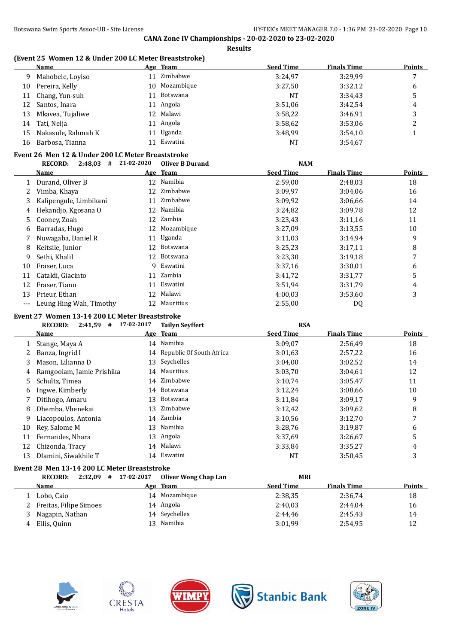#### **(Event 25 Women 12 & Under 200 LC Meter Breaststroke)**

|    | Name               |    | Age Team   | <b>Seed Time</b> | <b>Finals Time</b> | <b>Points</b> |
|----|--------------------|----|------------|------------------|--------------------|---------------|
| 9. | Mahobele, Loyiso   | 11 | Zimbabwe   | 3:24.97          | 3:29.99            |               |
| 10 | Pereira, Kelly     | 10 | Mozambique | 3:27.50          | 3:32,12            | 6             |
|    | 11 Chang, Yun-suh  | 11 | Botswana   | <b>NT</b>        | 3:34,43            |               |
| 12 | Santos, Inara      |    | 11 Angola  | 3:51.06          | 3:42,54            | 4             |
| 13 | Mkavea, Tujaliwe   |    | 12 Malawi  | 3:58,22          | 3:46,91            |               |
| 14 | Tati, Nelja        |    | 11 Angola  | 3:58.62          | 3:53,06            |               |
| 15 | Nakasule, Rahmah K | 11 | Uganda     | 3:48.99          | 3:54,10            |               |
| 16 | Barbosa, Tianna    |    | Eswatini   | NT               | 3:54,67            |               |

## **Event 26 Men 12 & Under 200 LC Meter Breaststroke**

|     | <b>RECORD:</b><br>2:48,03<br># | 21-02-2020 | <b>Oliver B Durand</b> | <b>NAM</b>       |                    |               |
|-----|--------------------------------|------------|------------------------|------------------|--------------------|---------------|
|     | <b>Name</b>                    |            | Age Team               | <b>Seed Time</b> | <b>Finals Time</b> | <b>Points</b> |
|     | Durand, Oliver B               | 12         | Namibia                | 2:59,00          | 2:48.03            | 18            |
|     | Vimba, Khaya                   | 12         | Zimbabwe               | 3:09,97          | 3:04.06            | 16            |
| 3   | Kalipengule, Limbikani         | 11         | Zimbabwe               | 3:09,92          | 3:06.66            | 14            |
| 4   | Hekandjo, Kgosana O            | 12         | Namibia                | 3:24,82          | 3:09.78            | 12            |
| 5.  | Cooney, Zoah                   |            | 12 Zambia              | 3:23,43          | 3:11,16            | 11            |
| 6   | Barradas, Hugo                 | 12         | Mozambique             | 3:27,09          | 3:13.55            | 10            |
|     | Nuwagaba, Daniel R             |            | 11 Uganda              | 3:11,03          | 3:14,94            | 9             |
| 8   | Keitsile, Junior               | 12         | Botswana               | 3:25,23          | 3:17,11            | 8             |
| 9   | Sethi, Khalil                  |            | 12 Botswana            | 3:23,30          | 3:19,18            | 7             |
| 10  | Fraser, Luca                   | 9          | Eswatini               | 3:37,16          | 3:30,01            | 6             |
| 11  | Cataldi, Giacinto              | 11         | Zambia                 | 3:41,72          | 3:31,77            | 5             |
| 12  | Fraser, Tiano                  |            | 11 Eswatini            | 3:51,94          | 3:31,79            | 4             |
| 13  | Prieur, Ethan                  | 12         | Malawi                 | 4:00.03          | 3:53,60            | 3             |
| --- | Leung Hing Wah, Timothy        | 12         | Mauritius              | 2:55,00          | DQ                 |               |

#### **Event 27 Women 13-14 200 LC Meter Breaststroke**

|    | $2:41,59$ #<br><b>RECORD:</b>                | 17-02-2017 | <b>Tailyn Seyffert</b>      | <b>RSA</b>       |             |        |
|----|----------------------------------------------|------------|-----------------------------|------------------|-------------|--------|
|    | Name                                         |            | Age Team                    | <b>Seed Time</b> | Finals Time | Points |
|    | Stange, Maya A                               |            | 14 Namibia                  | 3:09.07          | 2:56,49     | 18     |
|    | Banza, Ingrid I                              |            | 14 Republic Of South Africa | 3:01.63          | 2:57,22     | 16     |
| 3  | Mason, Lilianna D                            |            | 13 Seychelles               | 3:04,00          | 3:02,52     | 14     |
| 4  | Ramgoolam, Jamie Prishika                    |            | 14 Mauritius                | 3:03.70          | 3:04.61     | 12     |
| 5. | Schultz, Timea                               |            | 14 Zimbabwe                 | 3:10,74          | 3:05,47     | 11     |
| 6  | Ingwe, Kimberly                              |            | 14 Botswana                 | 3:12,24          | 3:08,66     | 10     |
|    | Ditlhogo, Amaru                              |            | 13 Botswana                 | 3:11,84          | 3:09,17     | 9      |
| 8  | Dhemba, Vhenekai                             | 13         | Zimbabwe                    | 3:12,42          | 3:09.62     | 8      |
| 9  | Liacopoulos, Antonia                         | 14         | Zambia                      | 3:10.56          | 3:12,70     | 7      |
| 10 | Rev. Salome M                                |            | 13 Namibia                  | 3:28,76          | 3:19,87     | 6      |
| 11 | Fernandes, Nhara                             |            | 13 Angola                   | 3:37,69          | 3:26,67     | 5      |
| 12 | Chizonda, Tracy                              |            | 14 Malawi                   | 3:33,84          | 3:35,27     | 4      |
| 13 | Dlamini, Siwakhile T                         |            | 14 Eswatini                 | NT               | 3:50,45     | 3      |
|    | Event 28 Men 13-14 200 LC Meter Breaststroke |            |                             |                  |             |        |
|    | $2:32.09$ # 17-02-2017<br><b>RECORD:</b>     |            | Oliver Wong Chan Lan        | <b>MRI</b>       |             |        |

| www.<br>$2.32.02 \times 7 = 2.022$ | <b>Unver wong chap Lan</b> | 1.1.1.1          |                    |               |
|------------------------------------|----------------------------|------------------|--------------------|---------------|
| <b>Name</b>                        | Age Team                   | <b>Seed Time</b> | <b>Finals Time</b> | <b>Points</b> |
| Lobo, Caio                         | 14 Mozambique              | 2:38.35          | 2:36,74            | 18            |
| 2 Freitas, Filipe Simoes           | 14 Angola                  | 2:40.03          | 2:44,04            | 16            |
| 3 Nagapin, Nathan                  | 14 Sevchelles              | 2:44.46          | 2:45,43            | 14            |
| Ellis, Quinn                       | 13 Namibia                 | 3:01,99          | 2:54,95            | 12            |









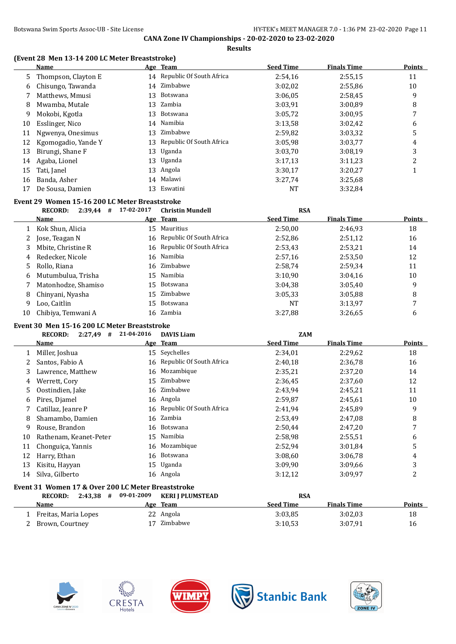**Results**

### **(Event 28 Men 13-14 200 LC Meter Breaststroke)**

|    | <b>Name</b>         |    | Age Team                    | <b>Seed Time</b> | <b>Finals Time</b> | <b>Points</b> |
|----|---------------------|----|-----------------------------|------------------|--------------------|---------------|
| 5. | Thompson, Clayton E |    | 14 Republic Of South Africa | 2:54,16          | 2:55,15            | 11            |
| 6  | Chisungo, Tawanda   |    | 14 Zimbabwe                 | 3:02,02          | 2:55,86            | 10            |
|    | Matthews, Mmusi     | 13 | Botswana                    | 3:06.05          | 2:58,45            | 9             |
| 8  | Mwamba, Mutale      |    | 13 Zambia                   | 3:03,91          | 3:00.89            | 8             |
| 9  | Mokobi, Kgotla      | 13 | Botswana                    | 3:05,72          | 3:00.95            | 7             |
| 10 | Esslinger, Nico     | 14 | Namibia                     | 3:13.58          | 3:02,42            | 6             |
| 11 | Ngwenya, Onesimus   | 13 | Zimbabwe                    | 2:59,82          | 3:03.32            | 5             |
| 12 | Kgomogadio, Yande Y |    | 13 Republic Of South Africa | 3:05,98          | 3:03,77            | 4             |
| 13 | Birungi, Shane F    | 13 | Uganda                      | 3:03.70          | 3:08.19            | 3             |
| 14 | Agaba, Lionel       | 13 | Uganda                      | 3:17,13          | 3:11,23            | 2             |
| 15 | Tati, Janel         | 13 | Angola                      | 3:30.17          | 3:20,27            |               |
| 16 | Banda, Asher        | 14 | Malawi                      | 3:27,74          | 3:25,68            |               |
| 17 | De Sousa, Damien    | 13 | Eswatini                    | NT               | 3:32,84            |               |

#### **Event 29 Women 15-16 200 LC Meter Breaststroke**

|    | <b>RECORD:</b><br>2:39,44<br># | 17-02-2017 | <b>Christin Mundell</b>     | <b>RSA</b>       |                    |        |
|----|--------------------------------|------------|-----------------------------|------------------|--------------------|--------|
|    | Name                           |            | Age Team                    | <b>Seed Time</b> | <b>Finals Time</b> | Points |
|    | Kok Shun, Alicia               | 15         | Mauritius                   | 2:50.00          | 2:46.93            | 18     |
| 2  | Jose, Teagan N                 |            | 16 Republic Of South Africa | 2:52,86          | 2:51,12            | 16     |
|    | Mbite, Christine R             |            | 16 Republic Of South Africa | 2:53,43          | 2:53,21            | 14     |
| 4  | Redecker, Nicole               |            | 16 Namibia                  | 2:57,16          | 2:53,50            | 12     |
| 5. | Rollo, Riana                   |            | 16 Zimbabwe                 | 2:58,74          | 2:59.34            | 11     |
| 6  | Mutumbulua, Trisha             | 15         | Namibia                     | 3:10.90          | 3:04.16            | 10     |
|    | Matonhodze, Shamiso            | 15         | Botswana                    | 3:04.38          | 3:05,40            | 9      |
| 8  | Chinyani, Nyasha               |            | 15 Zimbabwe                 | 3:05.33          | 3:05,88            | 8      |
| 9  | Loo, Caitlin                   | 15         | Botswana                    | NT               | 3:13,97            | 7      |
| 10 | Chibiya, Temwani A             |            | 16 Zambia                   | 3:27.88          | 3:26.65            | 6      |

#### **Event 30 Men 15-16 200 LC Meter Breaststroke**

|    | <b>RECORD:</b><br>$2:27,49$ # | 21-04-2016 | <b>DAVIS Liam</b>           | <b>ZAM</b>       |                    |        |
|----|-------------------------------|------------|-----------------------------|------------------|--------------------|--------|
|    | Name                          |            | Age Team                    | <b>Seed Time</b> | <b>Finals Time</b> | Points |
|    | Miller, Joshua                | 15         | Seychelles                  | 2:34,01          | 2:29,62            | 18     |
|    | Santos, Fabio A               |            | 16 Republic Of South Africa | 2:40,18          | 2:36,78            | 16     |
| 3  | Lawrence, Matthew             |            | 16 Mozambique               | 2:35,21          | 2:37,20            | 14     |
| 4  | Werrett, Cory                 | 15         | Zimbabwe                    | 2:36,45          | 2:37,60            | 12     |
| 5. | Oostindien, Jake              |            | 16 Zimbabwe                 | 2:43,94          | 2:45,21            | 11     |
| 6  | Pires, Djamel                 |            | 16 Angola                   | 2:59,87          | 2:45,61            | 10     |
|    | Catillaz, Jeanre P            |            | 16 Republic Of South Africa | 2:41,94          | 2:45,89            | 9      |
| 8  | Shamambo, Damien              |            | 16 Zambia                   | 2:53,49          | 2:47,08            | 8      |
| 9  | Rouse, Brandon                |            | 16 Botswana                 | 2:50,44          | 2:47,20            | 7      |
| 10 | Rathenam, Keanet-Peter        | 15         | Namibia                     | 2:58,98          | 2:55,51            | 6      |
| 11 | Chonguiça, Yannis             |            | 16 Mozambique               | 2:52,94          | 3:01.84            | 5      |
| 12 | Harry, Ethan                  |            | 16 Botswana                 | 3:08,60          | 3:06,78            | 4      |
| 13 | Kisitu, Hayyan                | 15         | Uganda                      | 3:09,90          | 3:09.66            | 3      |
| 14 | Silva, Gilberto               |            | 16 Angola                   | 3:12,12          | 3:09,97            | 2      |
|    |                               |            |                             |                  |                    |        |

## **Event 31 Women 17 & Over 200 LC Meter Breaststroke**

| 2:43.38<br><b>RECORD:</b><br># | 09-01-2009 | KERI I PLUMSTEAD | <b>RSA</b>       |                    |               |
|--------------------------------|------------|------------------|------------------|--------------------|---------------|
| Name                           |            | Age Team         | <b>Seed Time</b> | <b>Finals Time</b> | <b>Points</b> |
| 1 Freitas, Maria Lopes         |            | 22 Angola        | 3:03.85          | 3:02.03            | 18            |
| 2 Brown, Courtney              |            | 17 Zimbabwe      | 3:10.53          | 3:07.91            | 16            |









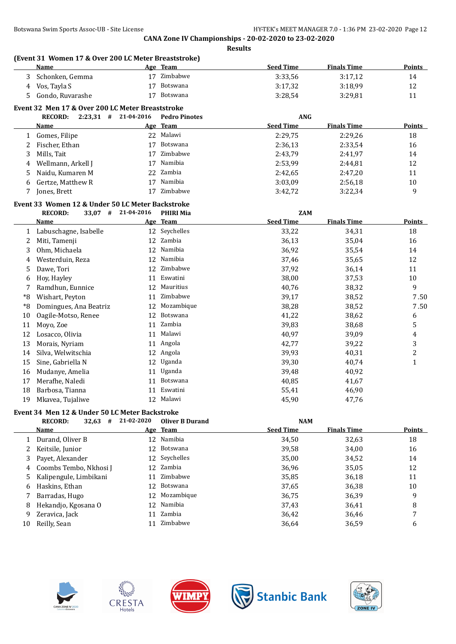|    | <b>Name</b>                                      |            | Age Team               | <b>Seed Time</b> | <b>Finals Time</b> | <b>Points</b>           |
|----|--------------------------------------------------|------------|------------------------|------------------|--------------------|-------------------------|
| 3  | Schonken, Gemma                                  |            | 17 Zimbabwe            | 3:33,56          | 3:17,12            | 14                      |
| 4  | Vos, Tayla S                                     | 17         | Botswana               | 3:17,32          | 3:18,99            | 12                      |
| 5  | Gondo, Ruvarashe                                 | 17         | Botswana               | 3:28,54          | 3:29,81            | 11                      |
|    | Event 32 Men 17 & Over 200 LC Meter Breaststroke |            |                        |                  |                    |                         |
|    | $2:23,31$ # 21-04-2016<br><b>RECORD:</b>         |            | <b>Pedro Pinotes</b>   | <b>ANG</b>       |                    |                         |
|    | <b>Name</b>                                      |            | Age Team               | <b>Seed Time</b> | <b>Finals Time</b> | <b>Points</b>           |
| 1  | Gomes, Filipe                                    |            | 22 Malawi              | 2:29,75          | 2:29,26            | 18                      |
| 2  | Fischer, Ethan                                   | 17         | Botswana               | 2:36,13          | 2:33,54            | 16                      |
| 3  | Mills, Tait                                      | 17         | Zimbabwe               | 2:43,79          | 2:41,97            | 14                      |
| 4  | Wellmann, Arkell J                               | 17         | Namibia                | 2:53,99          | 2:44,81            | 12                      |
| 5  | Naidu, Kumaren M                                 | 22         | Zambia                 | 2:42,65          | 2:47,20            | 11                      |
| 6  | Gertze, Matthew R                                | 17         | Namibia                | 3:03,09          | 2:56,18            | 10                      |
| 7  | Jones, Brett                                     | 17         | Zimbabwe               | 3:42,72          | 3:22,34            | 9                       |
|    | Event 33 Women 12 & Under 50 LC Meter Backstroke |            |                        |                  |                    |                         |
|    | $33,07$ #<br><b>RECORD:</b>                      | 21-04-2016 | <b>PHIRI Mia</b>       | <b>ZAM</b>       |                    |                         |
|    | Name                                             |            | Age Team               | <b>Seed Time</b> | <b>Finals Time</b> | <b>Points</b>           |
| 1  | Labuschagne, Isabelle                            |            | 12 Seychelles          | 33,22            | 34,31              | 18                      |
| 2  | Miti, Tamenji                                    |            | 12 Zambia              | 36,13            | 35,04              | 16                      |
| 3  | Ohm, Michaela                                    | 12         | Namibia                | 36,92            | 35,54              | 14                      |
| 4  | Westerduin, Reza                                 | 12         | Namibia                | 37,46            | 35,65              | 12                      |
| 5  | Dawe, Tori                                       | 12         | Zimbabwe               | 37,92            | 36,14              | 11                      |
| 6  | Hoy, Hayley                                      |            | 11 Eswatini            | 38,00            | 37,53              | $10\,$                  |
| 7  | Ramdhun, Eunnice                                 |            | 12 Mauritius           | 40,76            | 38,32              | 9                       |
| *8 | Wishart, Peyton                                  | 11         | Zimbabwe               | 39,17            | 38,52              | 7.50                    |
| *8 | Domingues, Ana Beatriz                           |            | 12 Mozambique          | 38,28            | 38,52              | 7.50                    |
| 10 | Oagile-Motso, Renee                              | 12         | Botswana               | 41,22            | 38,62              | 6                       |
| 11 | Moyo, Zoe                                        |            | 11 Zambia              | 39,83            | 38,68              | 5                       |
| 12 | Losacco, Olivia                                  | 11         | Malawi                 | 40,97            | 39,09              | 4                       |
| 13 | Morais, Nyriam                                   |            | 11 Angola              | 42,77            | 39,22              | 3                       |
| 14 | Silva, Welwitschia                               | 12         | Angola                 | 39,93            | 40,31              | $\overline{\mathbf{c}}$ |
| 15 | Sine, Gabriella N                                | 12         | Uganda                 | 39,30            | 40,74              | $\mathbf{1}$            |
| 16 | Mudanye, Amelia                                  | 11         | Uganda                 | 39,48            | 40,92              |                         |
| 17 | Merafhe, Naledi                                  | 11         | Botswana               | 40,85            |                    |                         |
| 18 | Barbosa, Tianna                                  |            | 11 Eswatini            | 55,41            | 41,67<br>46,90     |                         |
| 19 | Mkavea, Tujaliwe                                 |            | 12 Malawi              | 45,90            | 47,76              |                         |
|    |                                                  |            |                        |                  |                    |                         |
|    | Event 34 Men 12 & Under 50 LC Meter Backstroke   |            |                        |                  |                    |                         |
|    | <b>RECORD:</b><br>$32.63$ #                      | 21-02-2020 | <b>Oliver B Durand</b> | <b>NAM</b>       |                    |                         |
|    | <b>Name</b>                                      |            | Age Team               | <b>Seed Time</b> | <b>Finals Time</b> | Points                  |
| 1  | Durand, Oliver B                                 |            | 12 Namibia             | 34,50            | 32,63              | 18                      |
| 2  | Keitsile, Junior                                 | 12         | Botswana               | 39,58            | 34,00              | 16                      |
| 3  | Payet, Alexander                                 | 12         | Seychelles             | 35,00            | 34,52              | 14                      |
| 4  | Coombs Tembo, Nkhosi J                           | 12         | Zambia                 | 36,96            | 35,05              | 12                      |
| 5  | Kalipengule, Limbikani                           | 11         | Zimbabwe               | 35,85            | 36,18              | 11                      |
| 6  | Haskins, Ethan                                   | 12         | Botswana               | 37,65            | 36,38              | 10                      |
| 7  | Barradas, Hugo                                   | 12         | Mozambique             | 36,75            | 36,39              | 9                       |
| 8  | Hekandjo, Kgosana O                              | 12         | Namibia                | 37,43            | 36,41              | 8                       |
| 9  | Zeravica, Jack                                   | 11         | Zambia                 | 36,42            | 36,46              | 7                       |
| 10 | Reilly, Sean                                     | 11         | Zimbabwe               | 36,64            | 36,59              | 6                       |









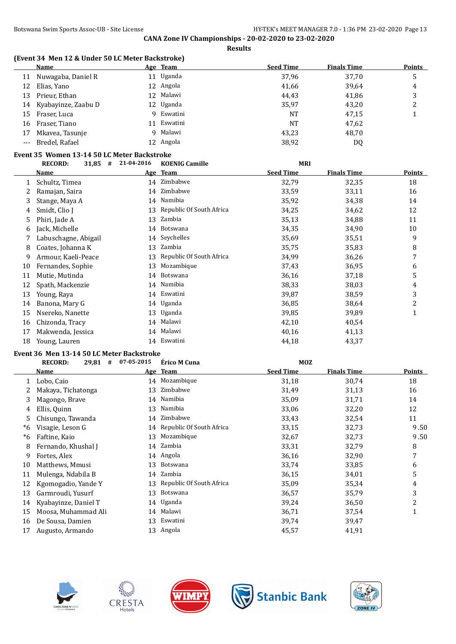**Results**

### **(Event 34 Men 12 & Under 50 LC Meter Backstroke)**

|     | Name                   | Age Team    | <b>Seed Time</b> | <b>Finals Time</b> | <b>Points</b> |
|-----|------------------------|-------------|------------------|--------------------|---------------|
|     | 11 Nuwagaba, Daniel R  | 11 Uganda   | 37,96            | 37,70              |               |
| 12  | Elias, Yano            | 12 Angola   | 41,66            | 39,64              | 4             |
|     | 13 Prieur, Ethan       | 12 Malawi   | 44,43            | 41,86              | 3             |
|     | 14 Kyabayinze, Zaabu D | 12 Uganda   | 35,97            | 43,20              |               |
|     | 15 Fraser, Luca        | 9 Eswatini  | NT               | 47.15              |               |
|     | 16 Fraser, Tiano       | 11 Eswatini | NT               | 47,62              |               |
|     | 17 Mkayea, Tasunje     | 9 Malawi    | 43,23            | 48,70              |               |
| --- | Bredel, Rafael         | 12 Angola   | 38,92            | DQ                 |               |

#### **Event 35 Women 13-14 50 LC Meter Backstroke**

|    | #<br><b>RECORD:</b><br>31,85 | 21-04-2016 | <b>KOENIG Camille</b>       | <b>MRI</b>       |                    |                |
|----|------------------------------|------------|-----------------------------|------------------|--------------------|----------------|
|    | Name                         |            | Age Team                    | <b>Seed Time</b> | <b>Finals Time</b> | <b>Points</b>  |
|    | Schultz, Timea               | 14         | Zimbabwe                    | 32,79            | 32,35              | 18             |
| 2  | Ramajan, Saira               | 14         | Zimbabwe                    | 33,59            | 33,11              | 16             |
| 3  | Stange, Maya A               | 14         | Namibia                     | 35,92            | 34,38              | 14             |
| 4  | Smidt, Clio J                |            | 13 Republic Of South Africa | 34,25            | 34,62              | 12             |
| 5  | Phiri, Jade A                | 13         | Zambia                      | 35,13            | 34,88              | 11             |
| 6  | Jack, Michelle               |            | 14 Botswana                 | 34,35            | 34,90              | 10             |
|    | Labuschagne, Abigail         | 14         | Seychelles                  | 35,69            | 35,51              | 9              |
| 8  | Coates, Johanna K            | 13         | Zambia                      | 35,75            | 35,83              | 8              |
| 9  | Armour, Kaeli-Peace          | 13         | Republic Of South Africa    | 34,99            | 36,26              | 7              |
| 10 | Fernandes, Sophie            | 13         | Mozambique                  | 37,43            | 36,95              | 6              |
| 11 | Mutie, Mutinda               | 14         | Botswana                    | 36,16            | 37,18              | 5              |
| 12 | Spath, Mackenzie             |            | 14 Namibia                  | 38,33            | 38,03              | 4              |
| 13 | Young, Raya                  |            | 14 Eswatini                 | 39,87            | 38,59              | 3              |
| 14 | Banona, Mary G               |            | 14 Uganda                   | 36,85            | 38,64              | $\overline{c}$ |
| 15 | Nsereko, Nanette             |            | 13 Uganda                   | 39,85            | 39,89              | 1              |
| 16 | Chizonda, Tracy              |            | 14 Malawi                   | 42,10            | 40,54              |                |
| 17 | Makwenda, Jessica            |            | 14 Malawi                   | 40,16            | 41,13              |                |
| 18 | Young, Lauren                |            | 14 Eswatini                 | 44,18            | 43,37              |                |

#### **Event 36 Men 13-14 50 LC Meter Backstroke**

|    | <b>RECORD:</b><br>29,81<br># | 07-05-2015 | Érico M Cuna                | <b>MOZ</b>       |                    |                |
|----|------------------------------|------------|-----------------------------|------------------|--------------------|----------------|
|    | Name                         |            | Age Team                    | <b>Seed Time</b> | <b>Finals Time</b> | Points         |
|    | Lobo, Caio                   |            | 14 Mozambique               | 31,18            | 30,74              | 18             |
|    | Makaya, Tichatonga           | 13         | Zimbabwe                    | 31,49            | 31,13              | 16             |
| 3  | Magongo, Brave               | 14         | Namibia                     | 35,09            | 31,71              | 14             |
| 4  | Ellis, Quinn                 | 13         | Namibia                     | 33,06            | 32,20              | 12             |
| 5  | Chisungo, Tawanda            | 14         | Zimbabwe                    | 33,43            | 32,54              | 11             |
| *6 | Visagie, Leson G             |            | 14 Republic Of South Africa | 33,15            | 32,73              | 9.50           |
| *6 | Faftine, Kaio                | 13         | Mozambique                  | 32,67            | 32,73              | 9.50           |
| 8  | Fernando, Khushal J          | 14         | Zambia                      | 33,31            | 32,79              | 8              |
| 9  | Fortes, Alex                 |            | 14 Angola                   | 36,16            | 32,90              | 7              |
| 10 | Matthews, Mmusi              | 13         | Botswana                    | 33,74            | 33,85              | 6              |
| 11 | Mulenga, Ndabila B           | 14         | Zambia                      | 36,15            | 34,01              | 5              |
| 12 | Kgomogadio, Yande Y          | 13         | Republic Of South Africa    | 35,09            | 35,34              | 4              |
| 13 | Garmroudi, Yusurf            | 13         | Botswana                    | 36,57            | 35,79              | 3              |
| 14 | Kyabayinze, Daniel T         |            | 14 Uganda                   | 39,24            | 36,50              | $\overline{2}$ |
| 15 | Moosa, Muhammad Ali          | 14         | Malawi                      | 36,71            | 37,54              | 1              |
| 16 | De Sousa, Damien             | 13         | Eswatini                    | 39,74            | 39,47              |                |
| 17 | Augusto, Armando             |            | 13 Angola                   | 45,57            | 41,91              |                |









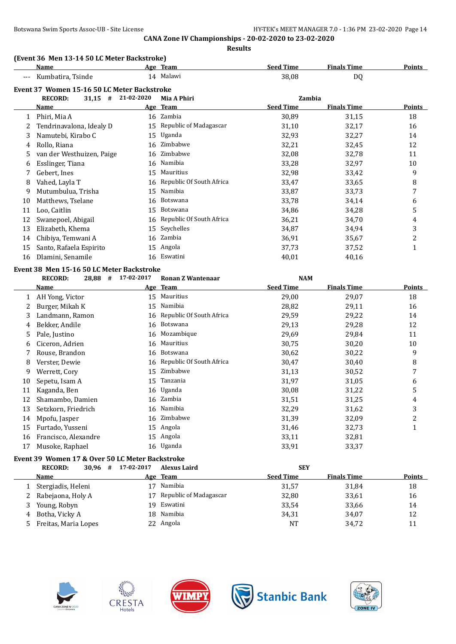#### **Results**

### **(Event 36 Men 13-14 50 LC Meter Backstroke)**

|    | <b>Name</b>                                 |            | Age Team                    | <b>Seed Time</b> | <b>Finals Time</b> | <b>Points</b>  |
|----|---------------------------------------------|------------|-----------------------------|------------------|--------------------|----------------|
|    | Kumbatira, Tsinde                           |            | 14 Malawi                   | 38,08            | DQ                 |                |
|    | Event 37 Women 15-16 50 LC Meter Backstroke |            |                             |                  |                    |                |
|    | <b>RECORD:</b><br>$31,15$ #                 | 21-02-2020 | Mia A Phiri                 | Zambia           |                    |                |
|    | <b>Name</b>                                 |            | Age Team                    | <b>Seed Time</b> | <b>Finals Time</b> | <b>Points</b>  |
|    | 1 Phiri, Mia A                              |            | 16 Zambia                   | 30,89            | 31,15              | 18             |
| 2  | Tendrinavalona, Idealy D                    |            | 15 Republic of Madagascar   | 31,10            | 32,17              | 16             |
| 3  | Namutebi, Kirabo C                          | 15         | Uganda                      | 32,93            | 32,27              | 14             |
| 4  | Rollo, Riana                                | 16         | Zimbabwe                    | 32,21            | 32,45              | 12             |
| 5  | van der Westhuizen, Paige                   | 16         | Zimbabwe                    | 32,08            | 32,78              | 11             |
| 6  | Esslinger, Tiana                            |            | 16 Namibia                  | 33,28            | 32,97              | 10             |
| 7  | Gebert, Ines                                |            | 15 Mauritius                | 32,98            | 33,42              | 9              |
| 8  | Vahed, Layla T                              |            | 16 Republic Of South Africa | 33,47            | 33,65              | 8              |
| 9  | Mutumbulua, Trisha                          | 15         | Namibia                     | 33,87            | 33,73              | 7              |
| 10 | Matthews, Tselane                           | 16         | Botswana                    | 33,78            | 34,14              | 6              |
| 11 | Loo, Caitlin                                | 15         | Botswana                    | 34,86            | 34,28              | 5              |
| 12 | Swanepoel, Abigail                          | 16         | Republic Of South Africa    | 36,21            | 34,70              | 4              |
| 13 | Elizabeth, Khema                            | 15         | Seychelles                  | 34,87            | 34,94              | 3              |
| 14 | Chibiya, Temwani A                          |            | 16 Zambia                   | 36,91            | 35,67              | $\overline{c}$ |
| 15 | Santo, Rafaela Espirito                     |            | 15 Angola                   | 37,73            | 37,52              | $\mathbf{1}$   |
| 16 | Dlamini, Senamile                           |            | 16 Eswatini                 | 40,01            | 40,16              |                |
|    | Event 38 Men 15-16 50 LC Meter Backstroke   |            |                             |                  |                    |                |
|    | <b>RECORD:</b><br>$28,88$ #                 | 17-02-2017 | <b>Ronan Z Wantenaar</b>    | <b>NAM</b>       |                    |                |
|    | <b>Name</b>                                 |            | Age Team                    | <b>Seed Time</b> | <b>Finals Time</b> | Points         |
|    | 1 AH Yong, Victor                           |            | 15 Mauritius                | 29,00            | 29,07              | 18             |
| 2  | Burger, Mikah K                             |            | 15 Namibia                  | 28,82            | 29,11              | 16             |
| 3  | Landmann, Ramon                             | 16         | Republic Of South Africa    | 29,59            | 29,22              | 14             |
| 4  | Bekker, Andile                              |            | 16 Botswana                 | 29,13            | 29,28              | 12             |
| 5  | Pale, Justino                               |            | 16 Mozambique               | 29,69            | 29,84              | 11             |
| 6  | Ciceron, Adrien                             |            | 16 Mauritius                | 30,75            | 30,20              | 10             |
| 7  | Rouse, Brandon                              |            | 16 Botswana                 | 30,62            | 30,22              | 9              |
| 8  | Verster, Dewie                              | 16         | Republic Of South Africa    | 30,47            | 30,40              | 8              |
| 9  | Werrett, Cory                               | 15         | Zimbabwe                    | 31,13            | 30,52              | 7              |
| 10 | Sepetu, Isam A                              | 15         | Tanzania                    | 31,97            | 31,05              | 6              |
| 11 | Kaganda, Ben                                | 16         | Uganda                      | 30,08            | 31,22              | 5              |
| 12 | Shamambo, Damien                            |            | 16 Zambia                   | 31,51            | 31,25              | 4              |
| 13 | Setzkorn, Friedrich                         |            | 16 Namibia                  | 32,29            | 31,62              | 3              |
| 14 | Mpofu, Jasper                               |            | 16 Zimbabwe                 | 31,39            | 32,09              | $\overline{c}$ |
| 15 | Furtado, Yusseni                            |            | 15 Angola                   | 31,46            | 32,73              | $\mathbf{1}$   |
| 16 | Francisco, Alexandre                        |            | 15 Angola                   | 33,11            | 32,81              |                |

#### **Event 39 Women 17 & Over 50 LC Meter Backstroke**

| <b>RECORD:</b><br>30.96# | 17-02-2017 | <b>Alexus Laird</b>       | <b>SEY</b>       |                    |               |
|--------------------------|------------|---------------------------|------------------|--------------------|---------------|
| <b>Name</b>              |            | Age Team                  | <b>Seed Time</b> | <b>Finals Time</b> | <b>Points</b> |
| Stergiadis, Heleni       | 17         | Namibia                   | 31,57            | 31,84              | 18            |
| Rabejaona, Holy A        |            | 17 Republic of Madagascar | 32,80            | 33,61              | 16            |
| Young, Robyn             |            | 19 Eswatini               | 33,54            | 33,66              | 14            |
| Botha, Vicky A           |            | 18 Namibia                | 34,31            | 34,07              | 12            |
| Freitas, Maria Lopes     |            | 22 Angola                 | <b>NT</b>        | 34,72              |               |



 $\overline{a}$ 





17 Musoke, Raphael 16 Uganda 16 Uganda 33,91 33,37



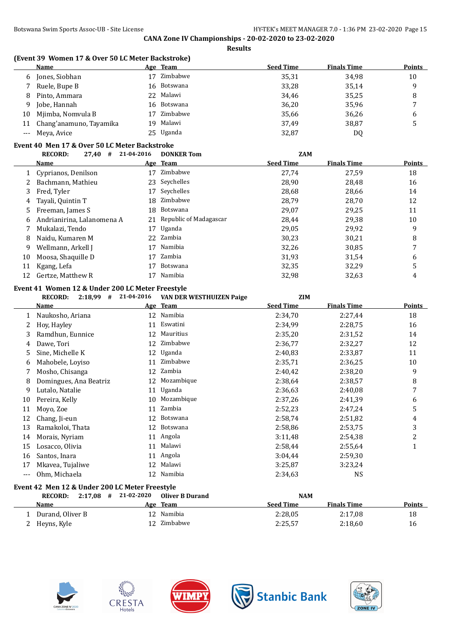**(Event 39 Women 17 & Over 50 LC Meter Backstroke)**

|                      | <b>Name</b>                                                                                  |    | Age Team                  | <b>Seed Time</b> | <b>Finals Time</b> | <b>Points</b>           |
|----------------------|----------------------------------------------------------------------------------------------|----|---------------------------|------------------|--------------------|-------------------------|
| 6                    | Jones, Siobhan                                                                               |    | 17 Zimbabwe               | 35,31            | 34,98              | $10\,$                  |
| 7                    | Ruele, Bupe B                                                                                | 16 | Botswana                  | 33,28            | 35,14              | 9                       |
| 8                    | Pinto, Ammara                                                                                | 22 | Malawi                    | 34,46            | 35,25              | 8                       |
| 9                    | Jobe, Hannah                                                                                 | 16 | Botswana                  | 36,20            | 35,96              | 7                       |
| 10                   | Mjimba, Nomvula B                                                                            | 17 | Zimbabwe                  | 35,66            | 36,26              | 6                       |
| 11                   | Chang'anamuno, Tayamika                                                                      | 19 | Malawi                    | 37,49            | 38,87              | 5                       |
| $\scriptstyle\cdots$ | Meya, Avice                                                                                  |    | 25 Uganda                 | 32,87            | DQ                 |                         |
|                      | Event 40 Men 17 & Over 50 LC Meter Backstroke                                                |    |                           |                  |                    |                         |
|                      | <b>RECORD:</b><br>$27,40$ # 21-04-2016                                                       |    | <b>DONKER Tom</b>         | <b>ZAM</b>       |                    |                         |
|                      | <u>Name</u>                                                                                  |    | Age Team                  | <b>Seed Time</b> | <b>Finals Time</b> | <b>Points</b>           |
| 1                    | Cyprianos, Denilson                                                                          |    | 17 Zimbabwe               | 27,74            | 27,59              | 18                      |
| 2                    | Bachmann, Mathieu                                                                            |    | 23 Seychelles             | 28,90            | 28,48              | 16                      |
| 3                    | Fred, Tyler                                                                                  | 17 | Seychelles                | 28,68            | 28,66              | 14                      |
| 4                    | Tayali, Quintin T                                                                            | 18 | Zimbabwe                  | 28,79            | 28,70              | 12                      |
| 5                    | Freeman, James S                                                                             | 18 | Botswana                  | 29,07            | 29,25              | 11                      |
| 6                    | Andrianirina, Lalanomena A                                                                   |    | 21 Republic of Madagascar | 28,44            | 29,38              | 10                      |
| 7                    | Mukalazi, Tendo                                                                              |    | 17 Uganda                 | 29,05            | 29,92              | 9                       |
| 8                    | Naidu, Kumaren M                                                                             |    | 22 Zambia                 | 30,23            | 30,21              | 8                       |
| 9                    | Wellmann, Arkell J                                                                           |    | 17 Namibia                | 32,26            | 30,85              | 7                       |
| 10                   | Moosa, Shaquille D                                                                           | 17 | Zambia                    | 31,93            | 31,54              | 6                       |
|                      | Kgang, Lefa                                                                                  | 17 | Botswana                  | 32,35            | 32,29              | 5                       |
|                      |                                                                                              |    |                           |                  |                    |                         |
| 11<br>12             | Gertze, Matthew R                                                                            | 17 | Namibia                   | 32,98            | 32,63              | 4                       |
|                      | Event 41 Women 12 & Under 200 LC Meter Freestyle<br>$2:18,99$ # 21-04-2016<br><b>RECORD:</b> |    | VAN DER WESTHUIZEN Paige  | <b>ZIM</b>       |                    |                         |
|                      | Name                                                                                         |    | Age Team                  | <b>Seed Time</b> | <b>Finals Time</b> | <b>Points</b>           |
| 1                    | Naukosho, Ariana                                                                             |    | 12 Namibia                | 2:34,70          | 2:27,44            | 18                      |
| 2                    | Hoy, Hayley                                                                                  | 11 | Eswatini                  | 2:34,99          | 2:28,75            | 16                      |
| 3                    | Ramdhun, Eunnice                                                                             | 12 | Mauritius                 | 2:35,20          | 2:31,52            | 14                      |
| 4                    | Dawe, Tori                                                                                   | 12 | Zimbabwe                  | 2:36,77          | 2:32,27            | 12                      |
| 5                    | Sine, Michelle K                                                                             | 12 | Uganda                    | 2:40,83          | 2:33,87            | 11                      |
| 6                    | Mahobele, Loyiso                                                                             | 11 | Zimbabwe                  | 2:35,71          | 2:36,25            | 10                      |
| 7                    | Mosho, Chisanga                                                                              | 12 | Zambia                    | 2:40,42          | 2:38,20            | 9                       |
| 8                    | Domingues, Ana Beatriz                                                                       |    | 12 Mozambique             | 2:38,64          | 2:38,57            | 8                       |
| 9                    | Lutalo, Natalie                                                                              |    | 11 Uganda                 | 2:36,63          | 2:40,08            | 7                       |
| 10                   | Pereira, Kelly                                                                               |    | 10 Mozambique             | 2:37,26          | 2:41,39            | 6                       |
|                      | 11 Moyo, Zoe                                                                                 |    | 11 Zambia                 | 2:52,23          | 2:47,24            | 5                       |
| 12                   | Chang, Ji-eun                                                                                |    | 12 Botswana               | 2:58,74          | 2:51,82            | 4                       |
| 13                   | Ramakoloi, Thata                                                                             |    | 12 Botswana               | 2:58,86          | 2:53,75            | 3                       |
| 14                   | Morais, Nyriam                                                                               |    | 11 Angola                 | 3:11,48          | 2:54,38            | $\overline{\mathbf{c}}$ |
| 15                   | Losacco, Olivia                                                                              | 11 | Malawi                    | 2:58,44          | 2:55,64            | $\mathbf{1}$            |
| 16                   | Santos, Inara                                                                                |    | 11 Angola                 | 3:04,44          | 2:59,30            |                         |
| 17                   | Mkavea, Tujaliwe                                                                             |    | 12 Malawi                 | 3:25,87          | 3:23,24            |                         |
| $---$                | Ohm, Michaela                                                                                |    | 12 Namibia                | 2:34,63          | <b>NS</b>          |                         |

| 2:17.08<br><b>RECORD:</b> | 21-02-2020<br># | Oliver B Durand |                  | <b>NAM</b>         |               |
|---------------------------|-----------------|-----------------|------------------|--------------------|---------------|
| <b>Name</b>               |                 | Age Team        | <b>Seed Time</b> | <b>Finals Time</b> | <b>Points</b> |
| Durand. Oliver B          | 12              | Namibia         | 2:28.05          | 2:17.08            | 18            |
| 2 Heyns, Kyle             |                 | Zimbabwe        | 2:25,57          | 2:18,60            | 16            |









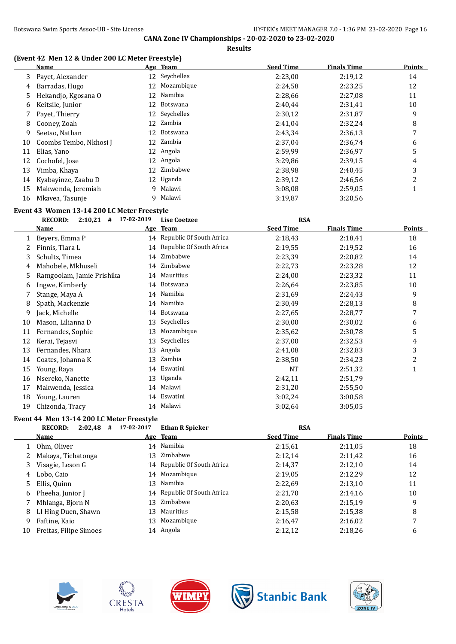**Results**

### **(Event 42 Men 12 & Under 200 LC Meter Freestyle)**

|    | <b>Name</b>            |    | Age Team      | <b>Seed Time</b> | <b>Finals Time</b> | <b>Points</b> |
|----|------------------------|----|---------------|------------------|--------------------|---------------|
| 3  | Payet, Alexander       |    | 12 Seychelles | 2:23,00          | 2:19,12            | 14            |
| 4  | Barradas, Hugo         | 12 | Mozambique    | 2:24,58          | 2:23,25            | 12            |
| 5. | Hekandjo, Kgosana O    | 12 | Namibia       | 2:28,66          | 2:27,08            | 11            |
| 6  | Keitsile, Junior       | 12 | Botswana      | 2:40.44          | 2:31,41            | 10            |
|    | Payet, Thierry         |    | 12 Seychelles | 2:30,12          | 2:31,87            | 9             |
| 8  | Cooney, Zoah           | 12 | Zambia        | 2:41,04          | 2:32,24            | 8             |
| 9  | Seetso, Nathan         | 12 | Botswana      | 2:43,34          | 2:36,13            | 7             |
| 10 | Coombs Tembo, Nkhosi J | 12 | Zambia        | 2:37.04          | 2:36,74            | 6             |
| 11 | Elias, Yano            | 12 | Angola        | 2:59,99          | 2:36,97            | 5             |
| 12 | Cochofel, Jose         | 12 | Angola        | 3:29,86          | 2:39,15            | 4             |
| 13 | Vimba, Khaya           | 12 | Zimbabwe      | 2:38,98          | 2:40.45            | 3             |
| 14 | Kyabayinze, Zaabu D    | 12 | Uganda        | 2:39,12          | 2:46.56            | 2             |
| 15 | Makwenda, Jeremiah     | q  | Malawi        | 3:08,08          | 2:59,05            | 1             |
| 16 | Mkavea, Tasunje        | 9  | Malawi        | 3:19,87          | 3:20,56            |               |

# **Event 43 Women 13-14 200 LC Meter Freestyle**<br>**EXCOPD:** 240.21 # 17-02.2010 Lise

|    | <b>RECORD:</b><br>2:10,21<br># | 17-02-2019 | <b>Lise Coetzee</b>      | <b>RSA</b>       |                    |        |
|----|--------------------------------|------------|--------------------------|------------------|--------------------|--------|
|    | <b>Name</b>                    |            | Age Team                 | <b>Seed Time</b> | <b>Finals Time</b> | Points |
| 1  | Beyers, Emma P                 | 14         | Republic Of South Africa | 2:18,43          | 2:18,41            | 18     |
|    | Finnis, Tiara L                | 14         | Republic Of South Africa | 2:19.55          | 2:19,52            | 16     |
| 3  | Schultz, Timea                 | 14         | Zimbabwe                 | 2:23,39          | 2:20,82            | 14     |
| 4  | Mahobele, Mkhuseli             | 14         | Zimbabwe                 | 2:22,73          | 2:23,28            | 12     |
| 5  | Ramgoolam, Jamie Prishika      | 14         | Mauritius                | 2:24,00          | 2:23,32            | 11     |
| 6  | Ingwe, Kimberly                | 14         | Botswana                 | 2:26,64          | 2:23,85            | 10     |
|    | Stange, Maya A                 | 14         | Namibia                  | 2:31,69          | 2:24,43            | 9      |
| 8  | Spath, Mackenzie               | 14         | Namibia                  | 2:30,49          | 2:28,13            | 8      |
| 9  | Jack, Michelle                 | 14         | Botswana                 | 2:27,65          | 2:28,77            | 7      |
| 10 | Mason, Lilianna D              | 13         | Seychelles               | 2:30,00          | 2:30,02            | 6      |
| 11 | Fernandes, Sophie              | 13         | Mozambique               | 2:35,62          | 2:30,78            | 5      |
| 12 | Kerai, Tejasvi                 | 13         | Seychelles               | 2:37,00          | 2:32,53            | 4      |
| 13 | Fernandes, Nhara               | 13         | Angola                   | 2:41,08          | 2:32,83            | 3      |
| 14 | Coates, Johanna K              | 13         | Zambia                   | 2:38,50          | 2:34,23            | 2      |
| 15 | Young, Raya                    | 14         | Eswatini                 | NT               | 2:51,32            | 1      |
| 16 | Nsereko, Nanette               | 13         | Uganda                   | 2:42,11          | 2:51,79            |        |
| 17 | Makwenda, Jessica              | 14         | Malawi                   | 2:31,20          | 2:55,50            |        |
| 18 | Young, Lauren                  | 14         | Eswatini                 | 3:02,24          | 3:00,58            |        |
| 19 | Chizonda, Tracy                | 14         | Malawi                   | 3:02,64          | 3:05,05            |        |

#### **Event 44 Men 13-14 200 LC Meter Freestyle**

|    | <b>RECORD:</b><br>2:02,48<br># | 17-02-2017 | <b>Ethan R Spieker</b>      | <b>RSA</b>       |                    |               |
|----|--------------------------------|------------|-----------------------------|------------------|--------------------|---------------|
|    | <b>Name</b>                    |            | Age Team                    | <b>Seed Time</b> | <b>Finals Time</b> | <b>Points</b> |
|    | 1 Ohm, Oliver                  |            | 14 Namibia                  | 2:15,61          | 2:11,05            | 18            |
|    | Makaya, Tichatonga             |            | 13 Zimbabwe                 | 2:12.14          | 2:11.42            | 16            |
| 3  | Visagie, Leson G               |            | 14 Republic Of South Africa | 2:14.37          | 2:12,10            | 14            |
| 4  | Lobo, Caio                     |            | 14 Mozambique               | 2:19,05          | 2:12,29            | 12            |
| 5. | Ellis, Quinn                   | 13         | Namibia                     | 2:22,69          | 2:13,10            | 11            |
| 6  | Pheeha, Junior J               |            | 14 Republic Of South Africa | 2:21.70          | 2:14,16            | 10            |
|    | Mhlanga, Bjorn N               | 13         | Zimbabwe                    | 2:20.63          | 2:15,19            | 9             |
| 8  | LI Hing Duen, Shawn            | 13         | Mauritius                   | 2:15,58          | 2:15,38            | 8             |
| 9  | Faftine, Kaio                  | 13         | Mozambique                  | 2:16,47          | 2:16,02            | 7             |
| 10 | Freitas, Filipe Simoes         |            | 14 Angola                   | 2:12,12          | 2:18,26            | 6             |









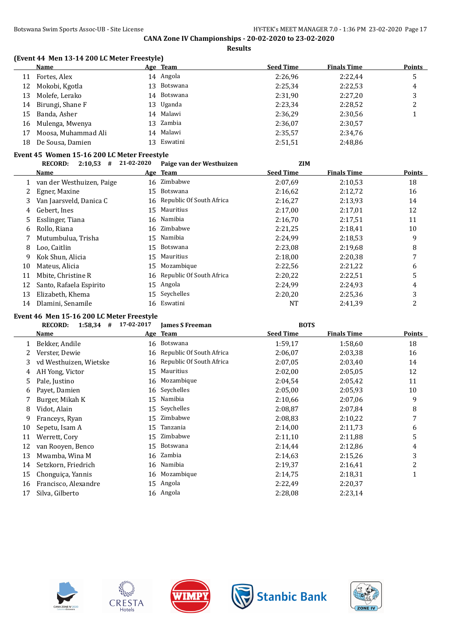**Results**

#### **(Event 44 Men 13-14 200 LC Meter Freestyle)**

|    | <b>Name</b>                                 |            | Age Team                 | <b>Seed Time</b> | <b>Finals Time</b> | <b>Points</b> |
|----|---------------------------------------------|------------|--------------------------|------------------|--------------------|---------------|
| 11 | Fortes, Alex                                |            | 14 Angola                | 2:26,96          | 2:22,44            | 5             |
| 12 | Mokobi, Kgotla                              | 13         | <b>Botswana</b>          | 2:25,34          | 2:22,53            | 4             |
| 13 | Molefe, Lerako                              | 14         | Botswana                 | 2:31,90          | 2:27,20            | 3             |
| 14 | Birungi, Shane F                            | 13         | Uganda                   | 2:23,34          | 2:28,52            | 2             |
| 15 | Banda, Asher                                | 14         | Malawi                   | 2:36,29          | 2:30,56            | 1             |
| 16 | Mulenga, Mwenya                             | 13         | Zambia                   | 2:36,07          | 2:30,57            |               |
| 17 | Moosa, Muhammad Ali                         | 14         | Malawi                   | 2:35,57          | 2:34,76            |               |
| 18 | De Sousa, Damien                            | 13         | Eswatini                 | 2:51,51          | 2:48,86            |               |
|    | Event 45 Women 15-16 200 LC Meter Freestyle |            |                          |                  |                    |               |
|    | <b>RECORD:</b><br>$2:10,53$ #               | 21-02-2020 | Paige van der Westhuizen | <b>ZIM</b>       |                    |               |
|    | Name                                        |            | Age Team                 | <b>Seed Time</b> | <b>Finals Time</b> | <b>Points</b> |
|    | van der Westhuizen, Paige                   | 16         | Zimbabwe                 | 2:07.69          | 2:10,53            | 18            |
| 2  | Egner, Maxine                               | 15         | <b>Botswana</b>          | 2:16,62          | 2:12,72            | 16            |
| 3  | Van Jaarsveld, Danica C                     | 16         | Republic Of South Africa | 2:16,27          | 2:13,93            | 14            |
| 4  | Gebert, Ines                                | 15         | Mauritius                | 2:17,00          | 2:17,01            | 12            |
| 5  | Esslinger, Tiana                            | 16         | Namibia                  | 2:16,70          | 2:17,51            | 11            |
| 6  | Rollo, Riana                                | 16         | Zimbabwe                 | 2:21,25          | 2:18,41            | 10            |
|    | Mutumbulua, Trisha                          |            | 15 Namibia               | 2:24.99          | 2:18.53            | 9             |

|    | o Loomigu, nana         | $111$ $\ldots$              | 4.10, 70 |         | <b>II</b> |
|----|-------------------------|-----------------------------|----------|---------|-----------|
| 6  | Rollo, Riana            | 16 Zimbabwe                 | 2:21,25  | 2:18,41 | 10        |
|    | Mutumbulua, Trisha      | 15 Namibia                  | 2:24,99  | 2:18.53 | 9         |
| 8  | Loo, Caitlin            | 15 Botswana                 | 2:23,08  | 2:19.68 | 8         |
|    | 9 Kok Shun, Alicia      | 15 Mauritius                | 2:18,00  | 2:20,38 |           |
| 10 | Mateus, Alicia          | 15 Mozambique               | 2:22.56  | 2:21.22 | 6         |
| 11 | Mbite, Christine R      | 16 Republic Of South Africa | 2:20.22  | 2:22.51 |           |
| 12 | Santo, Rafaela Espirito | 15 Angola                   | 2:24.99  | 2:24,93 | 4         |
| 13 | Elizabeth, Khema        | 15 Seychelles               | 2:20,20  | 2:25,36 | 3         |
| 14 | Dlamini, Senamile       | 16 Eswatini                 | NT       | 2:41.39 |           |

#### **Event 46 Men 15-16 200 LC Meter Freestyle**

|    | <b>RECORD:</b><br>1:58,34<br># | 17-02-2017 | <b>James S Freeman</b>   | <b>BOTS</b>      |                    |        |
|----|--------------------------------|------------|--------------------------|------------------|--------------------|--------|
|    | Name                           |            | Age Team                 | <b>Seed Time</b> | <b>Finals Time</b> | Points |
|    | Bekker, Andile                 |            | 16 Botswana              | 1:59,17          | 1:58,60            | 18     |
| 2  | Verster, Dewie                 | 16         | Republic Of South Africa | 2:06,07          | 2:03.38            | 16     |
| 3  | vd Westhuizen, Wietske         | 16         | Republic Of South Africa | 2:07.05          | 2:03.40            | 14     |
| 4  | AH Yong, Victor                | 15         | Mauritius                | 2:02,00          | 2:05,05            | 12     |
| 5  | Pale, Justino                  | 16         | Mozambique               | 2:04.54          | 2:05,42            | 11     |
| 6  | Payet, Damien                  | 16         | Seychelles               | 2:05,00          | 2:05,93            | 10     |
|    | Burger, Mikah K                | 15         | Namibia                  | 2:10,66          | 2:07,06            | 9      |
| 8  | Vidot, Alain                   | 15         | Seychelles               | 2:08,87          | 2:07,84            | 8      |
| 9  | Franceys, Ryan                 | 15         | Zimbabwe                 | 2:08.83          | 2:10,22            | 7      |
| 10 | Sepetu, Isam A                 | 15         | Tanzania                 | 2:14,00          | 2:11,73            | 6      |
| 11 | Werrett, Cory                  | 15         | Zimbabwe                 | 2:11,10          | 2:11,88            | 5      |
| 12 | van Rooyen, Benco              | 15         | Botswana                 | 2:14,44          | 2:12,86            | 4      |
| 13 | Mwamba, Wina M                 | 16         | Zambia                   | 2:14,63          | 2:15,26            | 3      |
| 14 | Setzkorn, Friedrich            | 16         | Namibia                  | 2:19,37          | 2:16,41            | 2      |
| 15 | Chonguiça, Yannis              | 16         | Mozambique               | 2:14,75          | 2:18,31            | 1      |
| 16 | Francisco, Alexandre           | 15         | Angola                   | 2:22,49          | 2:20,37            |        |
| 17 | Silva, Gilberto                |            | 16 Angola                | 2:28,08          | 2:23,14            |        |









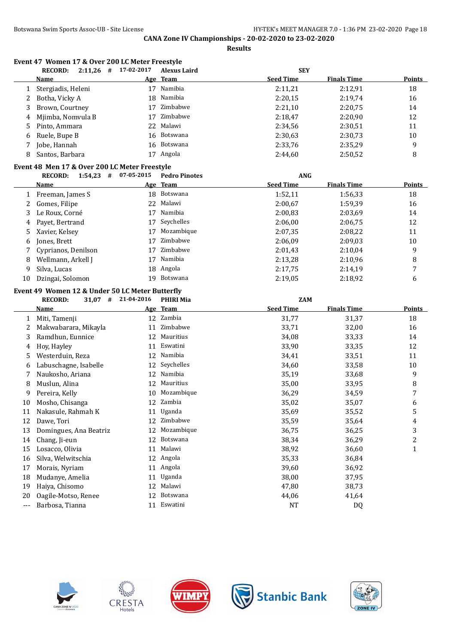**Event 47 Women 17 & Over 200 LC Meter Freestyle**

# **CANA Zone IV Championships - 20-02-2020 to 23-02-2020**

**Results**

**RECORD: 2:11,26 # 17-02-2017 Alexus Laird SEY**

|    | <b>Name</b>                                     |            | Age Team             | <b>Seed Time</b> | <b>Finals Time</b> | <b>Points</b>  |
|----|-------------------------------------------------|------------|----------------------|------------------|--------------------|----------------|
| 1  | Stergiadis, Heleni                              |            | 17 Namibia           | 2:11,21          | 2:12,91            | 18             |
| 2  | Botha, Vicky A                                  | 18         | Namibia              | 2:20,15          | 2:19,74            | 16             |
| 3  | Brown, Courtney                                 |            | 17 Zimbabwe          | 2:21,10          | 2:20,75            | 14             |
| 4  | Mjimba, Nomvula B                               |            | 17 Zimbabwe          | 2:18,47          | 2:20,90            | 12             |
| 5  | Pinto, Ammara                                   | 22         | Malawi               | 2:34,56          | 2:30,51            | 11             |
| 6  | Ruele, Bupe B                                   | 16         | Botswana             | 2:30,63          | 2:30,73            | 10             |
| 7  | Jobe, Hannah                                    | 16         | Botswana             | 2:33,76          | 2:35,29            | $\overline{9}$ |
| 8  | Santos, Barbara                                 |            | 17 Angola            | 2:44,60          | 2:50,52            | 8              |
|    | Event 48 Men 17 & Over 200 LC Meter Freestyle   |            |                      |                  |                    |                |
|    | <b>RECORD:</b><br>$1:54,23$ # 07-05-2015        |            | <b>Pedro Pinotes</b> | ANG              |                    |                |
|    | <u>Name</u>                                     |            | Age Team             | <b>Seed Time</b> | <b>Finals Time</b> | <b>Points</b>  |
| 1  | Freeman, James S                                |            | 18 Botswana          | 1:52,11          | 1:56,33            | 18             |
| 2  | Gomes, Filipe                                   |            | 22 Malawi            | 2:00,67          | 1:59,39            | 16             |
| 3  | Le Roux, Corné                                  |            | 17 Namibia           | 2:00,83          | 2:03,69            | 14             |
| 4  | Payet, Bertrand                                 |            | 17 Seychelles        | 2:06,00          | 2:06,75            | 12             |
| 5  | Xavier, Kelsey                                  |            | 17 Mozambique        | 2:07,35          | 2:08,22            | 11             |
| 6  | Jones, Brett                                    |            | 17 Zimbabwe          | 2:06,09          | 2:09,03            | 10             |
| 7  | Cyprianos, Denilson                             | 17         | Zimbabwe             | 2:01,43          | 2:10,04            | 9              |
| 8  | Wellmann, Arkell J                              |            | 17 Namibia           | 2:13,28          | 2:10,96            | 8              |
| 9  | Silva, Lucas                                    |            | 18 Angola            | 2:17,75          | 2:14,19            | 7              |
| 10 | Dzingai, Solomon                                |            | 19 Botswana          | 2:19,05          | 2:18,92            | 6              |
|    | Event 49 Women 12 & Under 50 LC Meter Butterfly |            |                      |                  |                    |                |
|    | <b>RECORD:</b><br>$31,07$ #                     | 21-04-2016 | <b>PHIRI Mia</b>     | <b>ZAM</b>       |                    |                |
|    | <u>Name</u>                                     |            | Age Team             | <b>Seed Time</b> | <b>Finals Time</b> | <b>Points</b>  |
| 1  | Miti, Tamenji                                   |            | 12 Zambia            | 31,77            | 31,37              | 18             |
| 2  | Makwabarara, Mikayla                            |            | 11 Zimbabwe          | 33,71            | 32,00              | 16             |
| 3  | Ramdhun, Eunnice                                |            | 12 Mauritius         | 34,08            | 33,33              | 14             |
| 4  | Hoy, Hayley                                     |            | 11 Eswatini          | 33,90            | 33,35              | 12             |
| 5  | Westerduin, Reza                                |            | 12 Namibia           | 34,41            | 33,51              | 11             |
| 6  | Labuschagne, Isabelle                           |            | 12 Seychelles        | 34,60            | 33,58              | 10             |
| 7  | Naukosho, Ariana                                |            | 12 Namibia           | 35,19            | 33,68              | 9              |
| 8  | Muslun, Alina                                   |            | 12 Mauritius         | 35,00            | 33,95              | $\, 8$         |
| 9  | Pereira, Kelly                                  |            | 10 Mozambique        | 36,29            | 34,59              | 7              |
| 10 | Mosho, Chisanga                                 |            | 12 Zambia            | 35,02            | 35,07              | 6              |
| 11 | Nakasule, Rahmah K                              |            | 11 Uganda            | 35,69            | 35,52              | 5              |
| 12 | Dawe, Tori                                      |            | 12 Zimbabwe          | 35,59            | 35,64              | 4              |
| 13 | Domingues, Ana Beatriz                          |            | 12 Mozambique        | 36,75            | 36,25              | 3              |
| 14 | Chang, Ji-eun                                   | 12         | Botswana             | 38,34            | 36,29              | $\overline{c}$ |
| 15 | Losacco, Olivia                                 | 11         | Malawi               | 38,92            | 36,60              | $\mathbf{1}$   |
| 16 | Silva, Welwitschia                              |            | 12 Angola            | 35,33            | 36,84              |                |
| 17 | Morais, Nyriam                                  |            | 11 Angola            | 39,60            | 36,92              |                |
| 18 | Mudanye, Amelia                                 |            | 11 Uganda            | 38,00            | 37,95              |                |
| 19 | Haiya, Chisomo                                  |            | 12 Malawi            | 47,80            | 38,73              |                |
|    |                                                 |            |                      |                  |                    |                |

- Oagile-Motso, Renee 12 Botswana 44,06 41,64
- --- Barbosa, Tianna 11 Eswatini 11 Eswatini 11 Eswatini 11 Eswatini 11 Eswatini 11 Eswatini 11 Eswatini 11 Eswatini 12









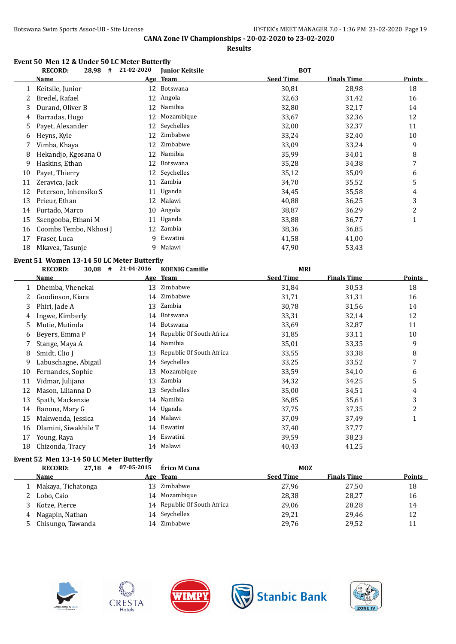#### **Event 50 Men 12 & Under 50 LC Meter Butterfly**

|    | <b>RECORD:</b><br>28,98<br>#               | 21-02-2020 | <b>Junior Keitsile</b>   | <b>BOT</b>       |                    |                         |
|----|--------------------------------------------|------------|--------------------------|------------------|--------------------|-------------------------|
|    | <b>Name</b>                                |            | Age Team                 | <b>Seed Time</b> | <b>Finals Time</b> | <b>Points</b>           |
| 1  | Keitsile, Junior                           |            | 12 Botswana              | 30,81            | 28,98              | 18                      |
| 2  | Bredel, Rafael                             |            | 12 Angola                | 32,63            | 31,42              | 16                      |
| 3  | Durand, Oliver B                           | 12         | Namibia                  | 32,80            | 32,17              | 14                      |
| 4  | Barradas, Hugo                             |            | 12 Mozambique            | 33,67            | 32,36              | 12                      |
| 5  | Payet, Alexander                           | 12         | Seychelles               | 32,00            | 32,37              | 11                      |
| 6  | Heyns, Kyle                                | 12         | Zimbabwe                 | 33,24            | 32,40              | 10                      |
| 7  | Vimba, Khaya                               | 12         | Zimbabwe                 | 33,09            | 33,24              | 9                       |
| 8  | Hekandjo, Kgosana O                        | 12         | Namibia                  | 35,99            | 34,01              | 8                       |
| 9  | Haskins, Ethan                             | 12         | Botswana                 | 35,28            | 34,38              | 7                       |
| 10 | Payet, Thierry                             |            | 12 Seychelles            | 35,12            | 35,09              | 6                       |
| 11 | Zeravica, Jack                             | 11         | Zambia                   | 34,70            | 35,52              | 5                       |
| 12 | Peterson, Inhensiko S                      | 11         | Uganda                   | 34,45            | 35,58              | $\overline{\mathbf{4}}$ |
| 13 | Prieur, Ethan                              | 12         | Malawi                   | 40,88            | 36,25              | 3                       |
| 14 | Furtado, Marco                             | 10         | Angola                   | 38,87            | 36,29              | $\overline{c}$          |
| 15 | Ssengooba, Ethani M                        | 11         | Uganda                   | 33,88            | 36,77              | $\mathbf{1}$            |
| 16 | Coombs Tembo, Nkhosi J                     |            | 12 Zambia                | 38,36            | 36,85              |                         |
| 17 | Fraser, Luca                               | q          | Eswatini                 | 41,58            | 41,00              |                         |
| 18 | Mkavea, Tasunje                            | 9          | Malawi                   | 47,90            | 53,43              |                         |
|    | Event 51 Women 13-14 50 LC Meter Butterfly |            |                          |                  |                    |                         |
|    | <b>RECORD:</b><br>$30,08$ #                | 21-04-2016 | <b>KOENIG Camille</b>    | <b>MRI</b>       |                    |                         |
|    | <b>Name</b>                                |            | Age Team                 | <b>Seed Time</b> | <b>Finals Time</b> | <b>Points</b>           |
|    | 1 Dhemba, Vhenekai                         | 13         | Zimbabwe                 | 31,84            | 30,53              | 18                      |
| 2  | Goodinson, Kiara                           |            | 14 Zimbabwe              | 31,71            | 31,31              | 16                      |
| 3  | Phiri, Jade A                              |            | 13 Zambia                | 30,78            | 31,56              | 14                      |
| 4  | Ingwe, Kimberly                            | 14         | Botswana                 | 33,31            |                    | 12                      |
| 5  |                                            |            |                          |                  | 32,14              |                         |
| 6  | Mutie, Mutinda                             | 14         | Botswana                 | 33,69            | 32,87              | 11                      |
|    | Beyers, Emma P                             | 14         | Republic Of South Africa | 31,85            | 33,11              | 10                      |
| 7  | Stange, Maya A                             |            | 14 Namibia               | 35,01            | 33,35              | 9                       |
| 8  | Smidt, Clio J                              | 13         | Republic Of South Africa | 33,55            | 33,38              | 8                       |
| 9  | Labuschagne, Abigail                       | 14         | Seychelles               | 33,25            | 33,52              | $\boldsymbol{7}$        |
| 10 | Fernandes, Sophie                          | 13         | Mozambique               | 33,59            | 34,10              | 6                       |
| 11 | Vidmar, Julijana                           | 13         | Zambia                   | 34,32            | 34,25              | 5                       |
| 12 | Mason, Lilianna D                          | 13         | Seychelles               | 35,00            | 34,51              | 4                       |
| 13 | Spath, Mackenzie                           |            | 14 Namibia               | 36,85            | 35,61              | 3                       |
| 14 | Banona, Mary G                             | 14         | Uganda                   | 37,75            | 37,35              | $\overline{c}$          |
| 15 | Makwenda, Jessica                          | 14         | Malawi                   | 37,09            | 37,49              | $\mathbf{1}$            |
| 16 | Dlamini, Siwakhile T                       | 14         | Eswatini                 | 37,40            | 37,77              |                         |
| 17 | Young, Raya                                | 14         | Eswatini                 | 39,59            | 38,23              |                         |
| 18 | Chizonda, Tracy                            |            | 14 Malawi                | 40,43            | 41,25              |                         |

### **Event 52 Men 13-14 50 LC Meter Butterfly**

|   | #<br><b>RECORD:</b><br>27.18 | 07-05-2015 | Érico M Cuna                | <b>MOZ</b>       |                    |               |
|---|------------------------------|------------|-----------------------------|------------------|--------------------|---------------|
|   | <b>Name</b>                  |            | Age Team                    | <b>Seed Time</b> | <b>Finals Time</b> | <b>Points</b> |
|   | Makaya, Tichatonga           | 13.        | Zimbabwe                    | 27,96            | 27,50              | 18            |
|   | Lobo, Caio                   |            | 14 Mozambique               | 28,38            | 28,27              | 16            |
|   | Kotze, Pierce                |            | 14 Republic Of South Africa | 29,06            | 28,28              | 14            |
| 4 | Nagapin, Nathan              |            | 14 Seychelles               | 29,21            | 29,46              | 12            |
|   | Chisungo, Tawanda            |            | 14 Zimbabwe                 | 29,76            | 29,52              | 11            |









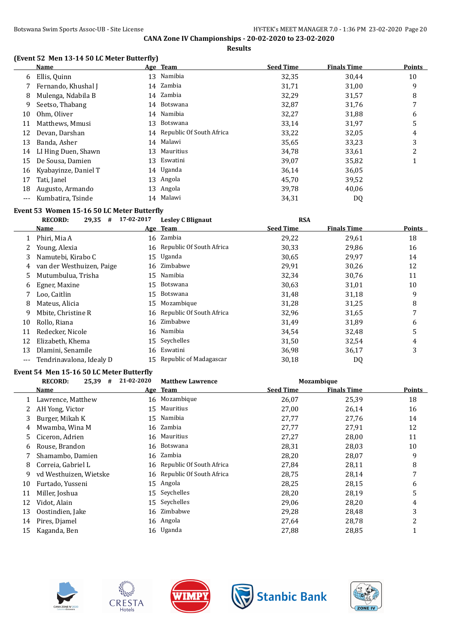**Results**

### **(Event 52 Men 13-14 50 LC Meter Butterfly)**

|     | <b>Name</b>          |    | Age Team                    | <b>Seed Time</b> | <b>Finals Time</b> | <b>Points</b> |
|-----|----------------------|----|-----------------------------|------------------|--------------------|---------------|
| 6   | Ellis, Quinn         |    | 13 Namibia                  | 32,35            | 30,44              | 10            |
|     | Fernando, Khushal J  |    | 14 Zambia                   | 31,71            | 31,00              | 9             |
| 8   | Mulenga, Ndabila B   |    | 14 Zambia                   | 32,29            | 31,57              | 8             |
| 9   | Seetso, Thabang      | 14 | Botswana                    | 32,87            | 31,76              | 7             |
| 10  | Ohm, Oliver          |    | 14 Namibia                  | 32,27            | 31,88              | 6             |
| 11  | Matthews, Mmusi      | 13 | Botswana                    | 33,14            | 31,97              | 5             |
| 12  | Devan, Darshan       |    | 14 Republic Of South Africa | 33,22            | 32,05              | 4             |
| 13  | Banda, Asher         | 14 | Malawi                      | 35,65            | 33,23              | 3             |
| 14  | LI Hing Duen, Shawn  | 13 | Mauritius                   | 34,78            | 33,61              | 2             |
| 15  | De Sousa, Damien     | 13 | Eswatini                    | 39,07            | 35,82              |               |
| 16  | Kyabayinze, Daniel T |    | 14 Uganda                   | 36,14            | 36,05              |               |
| 17  | Tati, Janel          |    | 13 Angola                   | 45,70            | 39,52              |               |
| 18  | Augusto, Armando     | 13 | Angola                      | 39,78            | 40,06              |               |
| --- | Kumbatira, Tsinde    | 14 | Malawi                      | 34,31            | DQ                 |               |

# **Event 53 Women 15-16 50 LC Meter Butterfly**<br>**EXCOPD:** 20.25 # 17-02-2017

|       | <b>RECORD:</b><br>$29,35$ # | 17-02-2017 | <b>Lesley C Blignaut</b>    | <b>RSA</b>       |                    |               |
|-------|-----------------------------|------------|-----------------------------|------------------|--------------------|---------------|
|       | Name                        |            | Age Team                    | <b>Seed Time</b> | <b>Finals Time</b> | <b>Points</b> |
|       | Phiri, Mia A                |            | 16 Zambia                   | 29,22            | 29,61              | 18            |
| 2     | Young, Alexia               |            | 16 Republic Of South Africa | 30,33            | 29,86              | 16            |
| 3     | Namutebi, Kirabo C          |            | 15 Uganda                   | 30,65            | 29,97              | 14            |
| 4     | van der Westhuizen, Paige   |            | 16 Zimbabwe                 | 29,91            | 30,26              | 12            |
| 5.    | Mutumbulua, Trisha          | 15         | Namibia                     | 32,34            | 30,76              | 11            |
| 6     | Egner, Maxine               |            | 15 Botswana                 | 30,63            | 31,01              | 10            |
|       | Loo, Caitlin                |            | 15 Botswana                 | 31,48            | 31,18              | 9             |
| 8     | Mateus, Alicia              | 15         | Mozambique                  | 31,28            | 31,25              | 8             |
| 9     | Mbite, Christine R          |            | 16 Republic Of South Africa | 32,96            | 31,65              | 7             |
| 10    | Rollo, Riana                |            | 16 Zimbabwe                 | 31,49            | 31,89              | 6             |
| 11    | Redecker, Nicole            |            | 16 Namibia                  | 34,54            | 32,48              | 5             |
| 12    | Elizabeth, Khema            |            | 15 Seychelles               | 31,50            | 32,54              | 4             |
| 13    | Dlamini, Senamile           | 16         | Eswatini                    | 36,98            | 36,17              | 3             |
| $---$ | Tendrinavalona, Idealy D    |            | 15 Republic of Madagascar   | 30,18            | DQ                 |               |

### **Event 54 Men 15-16 50 LC Meter Butterfly**

|    | <b>RECORD:</b><br>25,39<br># | 21-02-2020 | <b>Matthew Lawrence</b>     |                  | Mozambique         |        |
|----|------------------------------|------------|-----------------------------|------------------|--------------------|--------|
|    | Name                         |            | Age Team                    | <b>Seed Time</b> | <b>Finals Time</b> | Points |
|    | Lawrence, Matthew            |            | 16 Mozambique               | 26,07            | 25,39              | 18     |
|    | AH Yong, Victor              | 15         | Mauritius                   | 27,00            | 26,14              | 16     |
| 3  | Burger, Mikah K              |            | 15 Namibia                  | 27,77            | 27,76              | 14     |
| 4  | Mwamba, Wina M               |            | 16 Zambia                   | 27,77            | 27,91              | 12     |
| 5. | Ciceron, Adrien              |            | 16 Mauritius                | 27,27            | 28,00              | 11     |
| 6  | Rouse, Brandon               |            | 16 Botswana                 | 28,31            | 28,03              | 10     |
|    | Shamambo, Damien             |            | 16 Zambia                   | 28,20            | 28,07              | 9      |
| 8  | Correia, Gabriel L           |            | 16 Republic Of South Africa | 27,84            | 28,11              | 8      |
| 9  | vd Westhuizen, Wietske       |            | 16 Republic Of South Africa | 28,75            | 28,14              | 7      |
| 10 | Furtado, Yusseni             | 15         | Angola                      | 28,25            | 28,15              | 6      |
| 11 | Miller, Joshua               |            | 15 Seychelles               | 28,20            | 28,19              | 5      |
| 12 | Vidot, Alain                 | 15         | Seychelles                  | 29,06            | 28,20              | 4      |
| 13 | Oostindien, Jake             |            | 16 Zimbabwe                 | 29,28            | 28,48              | 3      |
| 14 | Pires, Djamel                |            | 16 Angola                   | 27,64            | 28,78              | 2      |
| 15 | Kaganda, Ben                 |            | 16 Uganda                   | 27,88            | 28,85              |        |









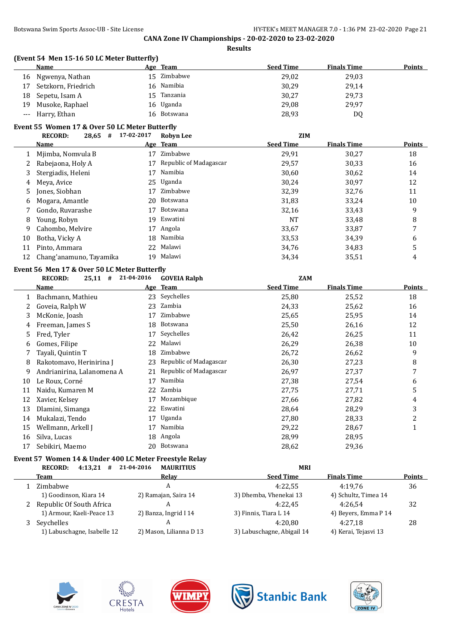| (Event 54 Men 15-16 50 LC Meter Butterfly) |  |  |                      |  |
|--------------------------------------------|--|--|----------------------|--|
|                                            |  |  | $\sim$ $\sim$ $\sim$ |  |

|    | Name                | Age Team |             | <b>Seed Time</b> | <b>Finals Time</b> | <b>Points</b> |
|----|---------------------|----------|-------------|------------------|--------------------|---------------|
|    | 16 Ngwenya, Nathan  |          | 15 Zimbabwe | 29,02            | 29,03              |               |
| 17 | Setzkorn, Friedrich |          | 16 Namibia  | 30,29            | 29,14              |               |
|    | 18 Sepetu, Isam A   |          | 15 Tanzania | 30,27            | 29,73              |               |
|    | 19 Musoke, Raphael  |          | 16 Uganda   | 29,08            | 29.97              |               |
|    | --- Harry, Ethan    |          | 16 Botswana | 28,93            | DQ                 |               |

#### **Event 55 Women 17 & Over 50 LC Meter Butterfly**

|    | <b>RECORD:</b><br>$28,65$ # | 17-02-2017 | <b>Robyn Lee</b>       | <b>ZIM</b>       |                    |        |
|----|-----------------------------|------------|------------------------|------------------|--------------------|--------|
|    | <b>Name</b>                 |            | Age Team               | <b>Seed Time</b> | <b>Finals Time</b> | Points |
|    | Mjimba, Nomvula B           | 17         | Zimbabwe               | 29,91            | 30,27              | 18     |
|    | Rabejaona, Holy A           | 17         | Republic of Madagascar | 29,57            | 30,33              | 16     |
| 3. | Stergiadis, Heleni          | 17         | Namibia                | 30,60            | 30,62              | 14     |
| 4  | Meva, Avice                 |            | 25 Uganda              | 30,24            | 30,97              | 12     |
| 5. | Jones, Siobhan              | 17         | Zimbabwe               | 32,39            | 32,76              | 11     |
| 6. | Mogara, Amantle             | 20         | Botswana               | 31,83            | 33,24              | 10     |
|    | Gondo, Ruvarashe            | 17         | Botswana               | 32,16            | 33,43              | 9      |
| 8  | Young, Robyn                | 19         | Eswatini               | NT               | 33,48              | 8      |
| 9  | Cahombo, Melvire            | 17         | Angola                 | 33,67            | 33,87              | 7      |
| 10 | Botha, Vicky A              | 18         | Namibia                | 33,53            | 34,39              | 6      |
| 11 | Pinto, Ammara               |            | 22 Malawi              | 34,76            | 34,83              |        |
| 12 | Chang'anamuno, Tayamika     | 19         | Malawi                 | 34,34            | 35,51              | 4      |
|    |                             |            |                        |                  |                    |        |

# **Event 56 Men 17 & Over 50 LC Meter Butterfly<br>
<u>RECORD:</u> 25.11**  $\pm$  **21-04-2016 COVEIA Balph**

|    | <b>RECORD:</b><br>#<br>25,11 | 21-04-2016 | <b>GOVEIA Ralph</b>    | <b>ZAM</b>       |                    |                |
|----|------------------------------|------------|------------------------|------------------|--------------------|----------------|
|    | <b>Name</b>                  |            | Age Team               | <b>Seed Time</b> | <b>Finals Time</b> | Points         |
|    | Bachmann, Mathieu            | 23         | Seychelles             | 25,80            | 25,52              | 18             |
|    | Goveia, Ralph W              | 23         | Zambia                 | 24,33            | 25,62              | 16             |
| 3  | McKonie, Joash               | 17         | Zimbabwe               | 25,65            | 25,95              | 14             |
| 4  | Freeman, James S             | 18         | Botswana               | 25,50            | 26,16              | 12             |
| 5. | Fred, Tyler                  | 17         | Seychelles             | 26,42            | 26,25              | 11             |
| 6  | Gomes, Filipe                | 22         | Malawi                 | 26,29            | 26,38              | 10             |
|    | Tayali, Quintin T            | 18         | Zimbabwe               | 26,72            | 26,62              | 9              |
| 8  | Rakotomavo, Herinirina J     | 23         | Republic of Madagascar | 26,30            | 27,23              | 8              |
| 9  | Andrianirina, Lalanomena A   | 21         | Republic of Madagascar | 26,97            | 27,37              | 7              |
| 10 | Le Roux, Corné               | 17         | Namibia                | 27,38            | 27,54              | 6              |
| 11 | Naidu, Kumaren M             | 22         | Zambia                 | 27,75            | 27,71              | 5              |
| 12 | Xavier, Kelsev               | 17         | Mozambique             | 27,66            | 27,82              | 4              |
| 13 | Dlamini, Simanga             | 22         | Eswatini               | 28,64            | 28,29              | 3              |
| 14 | Mukalazi, Tendo              | 17         | Uganda                 | 27,80            | 28,33              | $\overline{2}$ |
| 15 | Wellmann, Arkell J           | 17         | Namibia                | 29,22            | 28,67              |                |
| 16 | Silva, Lucas                 | 18         | Angola                 | 28,99            | 28,95              |                |
| 17 | Sebikiri, Maemo              | 20         | Botswana               | 28,62            | 29,36              |                |

# **Event 57 Women 14 & Under 400 LC Meter Freestyle Relay**

| <b>RECORD:</b><br>4:13,21<br># | 21-04-2016<br><b>MAURITIUS</b> | <b>MRI</b>                 |                      |               |
|--------------------------------|--------------------------------|----------------------------|----------------------|---------------|
| Team                           | Relay                          | <b>Seed Time</b>           | <b>Finals Time</b>   | <b>Points</b> |
| Zimbabwe                       | A                              | 4:22.55                    | 4:19.76              | 36            |
| 1) Goodinson, Kiara 14         | 2) Ramajan, Saira 14           | 3) Dhemba, Vhenekai 13     | 4) Schultz, Timea 14 |               |
| 2 Republic Of South Africa     |                                | 4:22.45                    | 4:26.54              | 32            |
| 1) Armour, Kaeli-Peace 13      | 2) Banza, Ingrid I 14          | 3) Finnis, Tiara L 14      | 4) Beyers, Emma P 14 |               |
| Seychelles                     | A                              | 4:20.80                    | 4:27.18              | 28            |
| 1) Labuschagne, Isabelle 12    | 2) Mason, Lilianna D 13        | 3) Labuschagne, Abigail 14 | 4) Kerai, Tejasvi 13 |               |









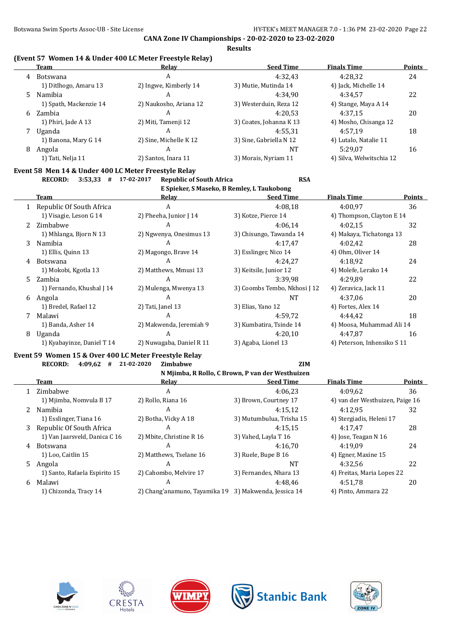### **(Event 57 Women 14 & Under 400 LC Meter Freestyle Relay)**

| Team                   | Relay                  | <b>Seed Time</b>        | <b>Finals Time</b>       | <b>Points</b> |
|------------------------|------------------------|-------------------------|--------------------------|---------------|
| <b>Botswana</b>        | A                      | 4:32.43                 | 4:28.32                  | 24            |
| 1) Ditlhogo, Amaru 13  | 2) Ingwe, Kimberly 14  | 3) Mutie, Mutinda 14    | 4) Jack, Michelle 14     |               |
| Namibia<br>5.          | А                      | 4:34.90                 | 4:34.57                  | 22            |
| 1) Spath, Mackenzie 14 | 2) Naukosho, Ariana 12 | 3) Westerduin, Reza 12  | 4) Stange, Maya A 14     |               |
| Zambia                 | A                      | 4:20.53                 | 4:37.15                  | 20            |
| 1) Phiri, Jade A 13    | 2) Miti, Tamenji 12    | 3) Coates, Johanna K 13 | 4) Mosho, Chisanga 12    |               |
| Uganda                 | A                      | 4:55.31                 | 4:57.19                  | 18            |
| 1) Banona, Mary G 14   | 2) Sine, Michelle K 12 | 3) Sine, Gabriella N 12 | 4) Lutalo, Natalie 11    |               |
| Angola                 | A                      | NT                      | 5:29.07                  | 16            |
| 1) Tati, Nelja 11      | 2) Santos, Inara 11    | 3) Morais, Nyriam 11    | 4) Silva, Welwitschia 12 |               |
|                        |                        |                         |                          |               |

#### **Event 58 Men 14 & Under 400 LC Meter Freestyle Relay**

**RECORD: 3:53,33 # 17-02-2017 Republic of South Africa RSA**

|                            | E Spieker, S Maseko, B Remley, L Taukobong |                          |                              |                             |               |  |  |  |  |
|----------------------------|--------------------------------------------|--------------------------|------------------------------|-----------------------------|---------------|--|--|--|--|
|                            | Team                                       | Relay                    | <b>Seed Time</b>             | <b>Finals Time</b>          | <b>Points</b> |  |  |  |  |
|                            | 1 Republic Of South Africa                 | A                        | 4:08.18                      | 4:00.97                     | 36            |  |  |  |  |
|                            | 1) Visagie, Leson G 14                     | 2) Pheeha, Junior J 14   | 3) Kotze, Pierce 14          | 4) Thompson, Clayton E 14   |               |  |  |  |  |
| 2                          | Zimbabwe                                   | A                        | 4:06.14                      | 4:02.15                     | 32            |  |  |  |  |
|                            | 1) Mhlanga, Bjorn N 13                     | 2) Ngwenya, Onesimus 13  | 3) Chisungo, Tawanda 14      | 4) Makaya, Tichatonga 13    |               |  |  |  |  |
| 3                          | Namibia                                    | A                        | 4:17.47                      | 4:02.42                     | 28            |  |  |  |  |
|                            | 1) Ellis, Quinn 13                         | 2) Magongo, Brave 14     | 3) Esslinger, Nico 14        | 4) Ohm, Oliver 14           |               |  |  |  |  |
| 4                          | Botswana                                   | A                        | 4:24.27                      | 4:18.92                     | 24            |  |  |  |  |
|                            | 1) Mokobi, Kgotla 13                       | 2) Matthews, Mmusi 13    | 3) Keitsile, Junior 12       | 4) Molefe, Lerako 14        |               |  |  |  |  |
|                            | 5 Zambia                                   | A                        | 3:39,98                      | 4:29.89                     | 22            |  |  |  |  |
|                            | 1) Fernando, Khushal J 14                  | 2) Mulenga, Mwenya 13    | 3) Coombs Tembo, Nkhosi J 12 | 4) Zeravica, Jack 11        |               |  |  |  |  |
| 6                          | Angola                                     | A                        | NT                           | 4:37.06                     | 20            |  |  |  |  |
|                            | 1) Bredel, Rafael 12                       | 2) Tati, Janel 13        | 3) Elias, Yano 12            | 4) Fortes, Alex 14          |               |  |  |  |  |
| 7                          | Malawi                                     | A                        | 4:59.72                      | 4:44.42                     | 18            |  |  |  |  |
|                            | 1) Banda, Asher 14                         | 2) Makwenda, Jeremiah 9  | 3) Kumbatira, Tsinde 14      | 4) Moosa, Muhammad Ali 14   |               |  |  |  |  |
| 8                          | Uganda                                     | A                        | 4:20.10                      | 4:47.87                     | 16            |  |  |  |  |
| 1) Kyabayinze, Daniel T 14 |                                            | 2) Nuwagaba, Daniel R 11 | 3) Agaba, Lionel 13          | 4) Peterson, Inhensiko S 11 |               |  |  |  |  |

# **Event 59 Women 15 & Over 400 LC Meter Freestyle Relay**<br>**EXECUTE:**  $4.09.62 + 21.02.2020$  Zimbabwe

|    | <b>RECORD:</b><br>4:09.62     | 21-02-2020<br>Zimbabwe                                | ZIM                                              |                                 |        |
|----|-------------------------------|-------------------------------------------------------|--------------------------------------------------|---------------------------------|--------|
|    |                               |                                                       | N Mjimba, R Rollo, C Brown, P van der Westhuizen |                                 |        |
|    | Team                          | Relay                                                 | <b>Seed Time</b>                                 | <b>Finals Time</b>              | Points |
|    | Zimbabwe                      | A                                                     | 4:06.23                                          | 4:09.62                         | 36     |
|    | 1) Mjimba, Nomvula B 17       | 2) Rollo, Riana 16                                    | 3) Brown, Courtney 17                            | 4) van der Westhuizen, Paige 16 |        |
|    | Namibia                       | А                                                     | 4:15.12                                          | 4:12.95                         | 32     |
|    | 1) Esslinger, Tiana 16        | 2) Botha, Vicky A 18                                  | 3) Mutumbulua, Trisha 15                         | 4) Stergiadis, Heleni 17        |        |
| 3  | Republic Of South Africa      | А                                                     | 4:15.15                                          | 4:17.47                         | 28     |
|    | 1) Van Jaarsveld, Danica C 16 | 2) Mbite, Christine R 16                              | 3) Vahed, Layla T 16                             | 4) Jose, Teagan N 16            |        |
| 4  | Botswana                      | А                                                     | 4:16.70                                          | 4:19.09                         | 24     |
|    | 1) Loo, Caitlin 15            | 2) Matthews, Tselane 16                               | 3) Ruele, Bupe B 16                              | 4) Egner, Maxine 15             |        |
| 5. | Angola                        | А                                                     | NT                                               | 4:32.56                         | 22     |
|    | 1) Santo, Rafaela Espirito 15 | 2) Cahombo, Melvire 17                                | 3) Fernandes, Nhara 13                           | 4) Freitas, Maria Lopes 22      |        |
| 6  | Malawi                        | A                                                     | 4:48.46                                          | 4:51.78                         | 20     |
|    | 1) Chizonda, Tracy 14         | 2) Chang'anamuno, Tayamika 19 3) Makwenda, Jessica 14 |                                                  | 4) Pinto, Ammara 22             |        |









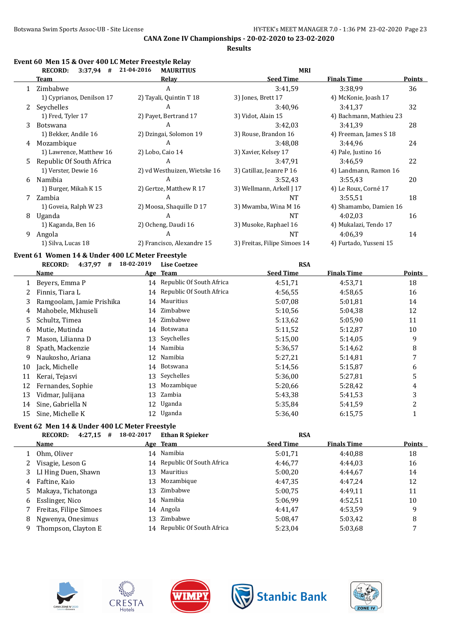**Results**

|   | Event 60 Men 15 & Over 400 LC Meter Freestyle Relay<br>$3:37,94$ #<br><b>RECORD:</b> | 21-04-2016<br><b>MAURITIUS</b> | <b>MRI</b>                   |                         |               |
|---|--------------------------------------------------------------------------------------|--------------------------------|------------------------------|-------------------------|---------------|
|   | <b>Team</b>                                                                          | Relay                          | <b>Seed Time</b>             | <b>Finals Time</b>      | <b>Points</b> |
|   | Zimbabwe                                                                             | A                              | 3:41,59                      | 3:38,99                 | 36            |
|   | 1) Cyprianos, Denilson 17                                                            | 2) Tayali, Quintin T 18        | 3) Jones, Brett 17           | 4) McKonie, Joash 17    |               |
| 2 | Seychelles                                                                           | A                              | 3:40,96                      | 3:41,37                 | 32            |
|   | 1) Fred, Tyler 17                                                                    | 2) Payet, Bertrand 17          | 3) Vidot, Alain 15           | 4) Bachmann, Mathieu 23 |               |
| 3 | <b>Botswana</b>                                                                      | A                              | 3:42,03                      | 3:41,39                 | 28            |
|   | 1) Bekker, Andile 16                                                                 | 2) Dzingai, Solomon 19         | 3) Rouse, Brandon 16         | 4) Freeman, James S 18  |               |
| 4 | Mozambique                                                                           | A                              | 3:48,08                      | 3:44,96                 | 24            |
|   | 1) Lawrence, Matthew 16                                                              | 2) Lobo, Caio 14               | 3) Xavier, Kelsey 17         | 4) Pale, Justino 16     |               |
| 5 | Republic Of South Africa                                                             | A                              | 3:47,91                      | 3:46.59                 | 22            |
|   | 1) Verster, Dewie 16                                                                 | 2) vd Westhuizen, Wietske 16   | 3) Catillaz, Jeanre P 16     | 4) Landmann, Ramon 16   |               |
| 6 | Namibia                                                                              | A                              | 3:52,43                      | 3:55,43                 | 20            |
|   | 1) Burger, Mikah K 15                                                                | 2) Gertze, Matthew R 17        | 3) Wellmann, Arkell J 17     | 4) Le Roux, Corné 17    |               |
|   | Zambia                                                                               | A                              | NT                           | 3:55,51                 | 18            |
|   | 1) Goveia, Ralph W 23                                                                | 2) Moosa, Shaquille D 17       | 3) Mwamba, Wina M 16         | 4) Shamambo, Damien 16  |               |
| 8 | Uganda                                                                               | A                              | NT                           | 4:02.03                 | 16            |
|   | 1) Kaganda, Ben 16                                                                   | 2) Ocheng, Daudi 16            | 3) Musoke, Raphael 16        | 4) Mukalazi, Tendo 17   |               |
| 9 | Angola                                                                               | A                              | NT                           | 4:06.39                 | 14            |
|   | 1) Silva, Lucas 18                                                                   | 2) Francisco, Alexandre 15     | 3) Freitas, Filipe Simoes 14 | 4) Furtado, Yusseni 15  |               |

# **Event 61 Women 14 & Under 400 LC Meter Freestyle**

|    | 4:37,97<br><b>RECORD:</b><br># | 18-02-2019 | <b>Lise Coetzee</b>         | <b>RSA</b>       |                    |        |
|----|--------------------------------|------------|-----------------------------|------------------|--------------------|--------|
|    | Name                           |            | Age Team                    | <b>Seed Time</b> | <b>Finals Time</b> | Points |
|    | Beyers, Emma P                 | 14         | Republic Of South Africa    | 4:51,71          | 4:53,71            | 18     |
|    | Finnis, Tiara L                |            | 14 Republic Of South Africa | 4:56.55          | 4:58.65            | 16     |
| 3  | Ramgoolam, Jamie Prishika      | 14         | Mauritius                   | 5:07,08          | 5:01.81            | 14     |
| 4  | Mahobele, Mkhuseli             |            | 14 Zimbabwe                 | 5:10,56          | 5:04.38            | 12     |
| 5. | Schultz, Timea                 |            | 14 Zimbabwe                 | 5:13,62          | 5:05.90            | 11     |
| 6  | Mutie, Mutinda                 | 14         | Botswana                    | 5:11,52          | 5:12,87            | 10     |
|    | Mason, Lilianna D              |            | 13 Seychelles               | 5:15,00          | 5:14.05            | 9      |
| 8  | Spath, Mackenzie               | 14         | Namibia                     | 5:36,57          | 5:14,62            | 8      |
| 9  | Naukosho, Ariana               | 12         | Namibia                     | 5:27,21          | 5:14,81            | 7      |
| 10 | Jack, Michelle                 | 14         | Botswana                    | 5:14,56          | 5:15,87            | 6      |
| 11 | Kerai, Tejasvi                 | 13         | Seychelles                  | 5:36,00          | 5:27,81            | 5      |
| 12 | Fernandes, Sophie              | 13         | Mozambique                  | 5:20,66          | 5:28,42            | 4      |
| 13 | Vidmar, Julijana               | 13         | Zambia                      | 5:43.38          | 5:41,53            | 3      |
| 14 | Sine, Gabriella N              |            | 12 Uganda                   | 5:35,84          | 5:41,59            | 2      |
| 15 | Sine, Michelle K               | 12         | Uganda                      | 5:36,40          | 6:15,75            |        |
|    |                                |            |                             |                  |                    |        |

# **Event 62 Men 14 & Under 400 LC Meter Freestyle**

|    | <b>RECORD:</b><br>4:27,15<br># | 18-02-2017 | <b>Ethan R Spieker</b>      | <b>RSA</b>       |                    |        |
|----|--------------------------------|------------|-----------------------------|------------------|--------------------|--------|
|    | <b>Name</b>                    |            | Age Team                    | <b>Seed Time</b> | <b>Finals Time</b> | Points |
|    | Ohm, Oliver                    |            | 14 Namibia                  | 5:01.71          | 4:40.88            | 18     |
|    | Visagie, Leson G               |            | 14 Republic Of South Africa | 4:46.77          | 4:44.03            | 16     |
|    | LI Hing Duen, Shawn            |            | 13 Mauritius                | 5:00.20          | 4:44.67            | 14     |
| 4  | Faftine, Kaio                  |            | 13 Mozambique               | 4:47.35          | 4:47.24            | 12     |
| 5. | Makaya, Tichatonga             | 13.        | Zimbabwe                    | 5:00.75          | 4:49.11            | 11     |
| 6  | Esslinger, Nico                |            | 14 Namibia                  | 5:06.99          | 4:52.51            | 10     |
|    | Freitas, Filipe Simoes         |            | 14 Angola                   | 4:41.47          | 4:53.59            | 9      |
| 8  | Ngwenya, Onesimus              | 13.        | Zimbabwe                    | 5:08.47          | 5:03,42            | 8      |
| 9  | Thompson, Clayton E            |            | 14 Republic Of South Africa | 5:23,04          | 5:03,68            | 7      |
|    |                                |            |                             |                  |                    |        |









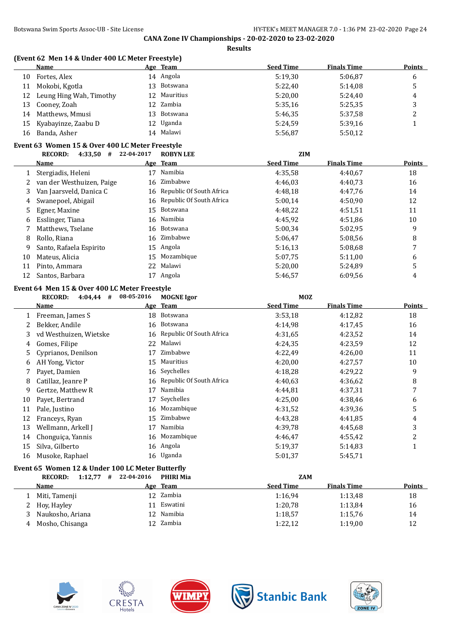**Results**

|    | Name                                            |                 | Age Team     | <b>Seed Time</b> | <b>Finals Time</b> | <b>Points</b> |  |
|----|-------------------------------------------------|-----------------|--------------|------------------|--------------------|---------------|--|
| 10 | Fortes, Alex                                    |                 | 14 Angola    | 5:19,30          | 5:06.87            | 6             |  |
| 11 | Mokobi, Kgotla                                  |                 | 13 Botswana  | 5:22.40          | 5:14.08            | 5             |  |
| 12 | Leung Hing Wah, Timothy                         |                 | 12 Mauritius | 5:20,00          | 5:24,40            | 4             |  |
| 13 | Cooney, Zoah                                    | 12 <sup>°</sup> | Zambia       | 5:35.16          | 5:25.35            | 3             |  |
| 14 | Matthews, Mmusi                                 |                 | 13 Botswana  | 5:46.35          | 5:37,58            | 2             |  |
| 15 | Kyabayinze, Zaabu D                             |                 | 12 Uganda    | 5:24.59          | 5:39,16            |               |  |
| 16 | Banda, Asher                                    |                 | 14 Malawi    | 5:56.87          | 5:50,12            |               |  |
|    | Event 63 Women 15 & Over 400 LC Meter Freestyle |                 |              |                  |                    |               |  |

|    | <b>RECORD:</b><br>4:33,50<br># | 22-04-2017 | <b>ROBYN LEE</b>            | <b>ZIM</b>       |                    |        |
|----|--------------------------------|------------|-----------------------------|------------------|--------------------|--------|
|    | <b>Name</b>                    |            | Age Team                    | <b>Seed Time</b> | <b>Finals Time</b> | Points |
|    | Stergiadis, Heleni             | 17         | Namibia                     | 4:35.58          | 4:40.67            | 18     |
| 2  | van der Westhuizen, Paige      | 16         | Zimbabwe                    | 4:46.03          | 4:40.73            | 16     |
| 3  | Van Jaarsveld, Danica C        |            | 16 Republic Of South Africa | 4:48.18          | 4:47.76            | 14     |
| 4  | Swanepoel, Abigail             |            | 16 Republic Of South Africa | 5:00.14          | 4:50,90            | 12     |
| 5. | Egner, Maxine                  | 15         | Botswana                    | 4:48.22          | 4:51,51            | 11     |
| 6  | Esslinger, Tiana               |            | 16 Namibia                  | 4:45,92          | 4:51,86            | 10     |
|    | Matthews, Tselane              |            | 16 Botswana                 | 5:00.34          | 5:02.95            | 9      |
| 8  | Rollo, Riana                   | 16         | Zimbabwe                    | 5:06.47          | 5:08.56            | 8      |
| 9  | Santo, Rafaela Espirito        | 15         | Angola                      | 5:16.13          | 5:08.68            | 7      |
| 10 | Mateus, Alicia                 | 15         | Mozambique                  | 5:07.75          | 5:11,00            | 6      |
| 11 | Pinto, Ammara                  | 22         | Malawi                      | 5:20,00          | 5:24.89            | 5      |
| 12 | Santos, Barbara                |            | Angola                      | 5:46.57          | 6:09.56            | 4      |

### **Event 64 Men 15 & Over 400 LC Meter Freestyle**

|    | <b>RECORD:</b><br>4:04.44<br># | 08-05-2016 | <b>MOGNE</b> Igor           | <b>MOZ</b>       |                    |        |
|----|--------------------------------|------------|-----------------------------|------------------|--------------------|--------|
|    | Name                           |            | Age Team                    | <b>Seed Time</b> | <b>Finals Time</b> | Points |
|    | Freeman, James S               | 18         | Botswana                    | 3:53,18          | 4:12,82            | 18     |
|    | Bekker, Andile                 |            | 16 Botswana                 | 4:14.98          | 4:17,45            | 16     |
| 3  | vd Westhuizen, Wietske         |            | 16 Republic Of South Africa | 4:31.65          | 4:23,52            | 14     |
| 4  | Gomes, Filipe                  | 22         | Malawi                      | 4:24.35          | 4:23.59            | 12     |
| 5. | Cyprianos, Denilson            | 17         | Zimbabwe                    | 4:22,49          | 4:26,00            | 11     |
| 6  | AH Yong, Victor                | 15         | Mauritius                   | 4:20,00          | 4:27,57            | 10     |
|    | Payet, Damien                  | 16         | Seychelles                  | 4:18.28          | 4:29,22            | 9      |
| 8  | Catillaz, Jeanre P             | 16         | Republic Of South Africa    | 4:40.63          | 4:36.62            | 8      |
| 9  | Gertze, Matthew R              | 17         | Namibia                     | 4:44.81          | 4:37,31            | 7      |
| 10 | Payet, Bertrand                | 17         | Seychelles                  | 4:25,00          | 4:38,46            | 6      |
| 11 | Pale, Justino                  | 16         | Mozambique                  | 4:31,52          | 4:39.36            | 5      |
| 12 | Franceys, Ryan                 | 15         | Zimbabwe                    | 4:43,28          | 4:41.85            | 4      |
| 13 | Wellmann, Arkell J             | 17         | Namibia                     | 4:39,78          | 4:45.68            | 3      |
| 14 | Chonguiça, Yannis              | 16         | Mozambique                  | 4:46,47          | 4:55,42            | 2      |
| 15 | Silva, Gilberto                |            | 16 Angola                   | 5:19,37          | 5:14.83            | T      |
| 16 | Musoke, Raphael                |            | 16 Uganda                   | 5:01,37          | 5:45,71            |        |
|    |                                |            |                             |                  |                    |        |

# **Event 65 Women 12 & Under 100 LC Meter Butterfly**

| 1:12.77<br>#<br><b>RECORD:</b> | 22-04-2016 | <b>PHIRI Mia</b> | <b>ZAM</b>       |                    |               |
|--------------------------------|------------|------------------|------------------|--------------------|---------------|
| Name                           |            | Age Team         | <b>Seed Time</b> | <b>Finals Time</b> | <b>Points</b> |
| Miti, Tamenji                  |            | 12 Zambia        | 1:16.94          | 1:13.48            | 18            |
| 2 Hov, Hayley                  |            | Eswatini         | 1:20.78          | 1:13.84            | 16            |
| Naukosho, Ariana               |            | 12 Namibia       | 1:18.57          | 1:15,76            | 14            |
| Mosho, Chisanga                |            | 12 Zambia        | 1:22,12          | 1:19,00            | 12            |









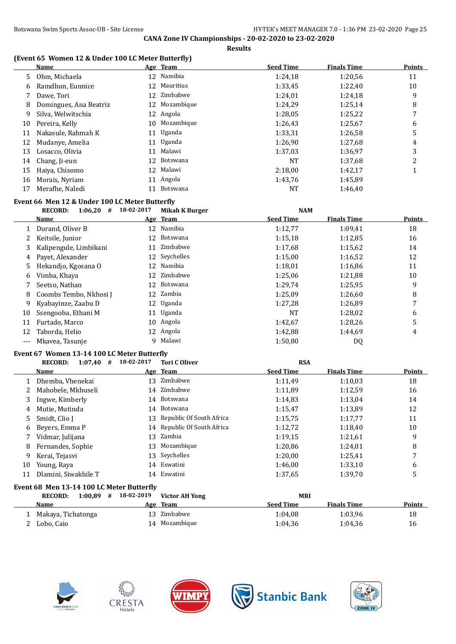# **(Event 65 Women 12 & Under 100 LC Meter Butterfly)**

|    | Name                   |                 | Age Team      | <b>Seed Time</b> | <b>Finals Time</b> | <b>Points</b>  |
|----|------------------------|-----------------|---------------|------------------|--------------------|----------------|
| 5  | Ohm, Michaela          |                 | 12 Namibia    | 1:24,18          | 1:20,56            | 11             |
| 6  | Ramdhun, Eunnice       |                 | 12 Mauritius  | 1:33,45          | 1:22,40            | 10             |
|    | Dawe, Tori             | 12              | Zimbabwe      | 1:24,01          | 1:24,18            | 9              |
| 8  | Domingues, Ana Beatriz |                 | 12 Mozambique | 1:24,29          | 1:25,14            | 8              |
| 9  | Silva, Welwitschia     |                 | 12 Angola     | 1:28.05          | 1:25,22            | 7              |
| 10 | Pereira, Kelly         |                 | 10 Mozambique | 1:26,43          | 1:25,67            | 6              |
| 11 | Nakasule, Rahmah K     | 11              | Uganda        | 1:33,31          | 1:26,58            | 5              |
| 12 | Mudanye, Amelia        |                 | 11 Uganda     | 1:26,90          | 1:27,68            | 4              |
| 13 | Losacco, Olivia        | 11              | Malawi        | 1:37,03          | 1:36,97            | 3              |
| 14 | Chang, Ji-eun          |                 | 12 Botswana   | <b>NT</b>        | 1:37,68            | $\overline{2}$ |
| 15 | Haiya, Chisomo         | 12 <sup>°</sup> | Malawi        | 2:18,00          | 1:42.17            |                |
| 16 | Morais, Nyriam         |                 | 11 Angola     | 1:43.76          | 1:45.89            |                |
| 17 | Merafhe, Naledi        | 11              | Botswana      | NT               | 1:46,40            |                |

### **Event 66 Men 12 & Under 100 LC Meter Butterfly**

|    | 1:06,20<br><b>RECORD:</b><br># | 18-02-2017 | Mikah K Burger | <b>NAM</b>       |                    |               |
|----|--------------------------------|------------|----------------|------------------|--------------------|---------------|
|    | Name                           |            | Age Team       | <b>Seed Time</b> | <b>Finals Time</b> | <b>Points</b> |
|    | Durand, Oliver B               | 12         | Namibia        | 1:12,77          | 1:09.41            | 18            |
|    | Keitsile, Junior               | 12         | Botswana       | 1:15,18          | 1:12,85            | 16            |
| 3. | Kalipengule, Limbikani         | 11         | Zimbabwe       | 1:17,68          | 1:15,62            | 14            |
| 4  | Payet, Alexander               |            | 12 Seychelles  | 1:15,00          | 1:16,52            | 12            |
| 5. | Hekandjo, Kgosana O            | 12         | Namibia        | 1:18,01          | 1:16,86            | 11            |
| 6  | Vimba, Khaya                   |            | 12 Zimbabwe    | 1:25,06          | 1:21,88            | 10            |
|    | Seetso, Nathan                 | 12.        | Botswana       | 1:29,74          | 1:25,95            | 9             |
| 8  | Coombs Tembo, Nkhosi J         |            | 12 Zambia      | 1:25,09          | 1:26,60            | 8             |
| 9. | Kyabayinze, Zaabu D            |            | 12 Uganda      | 1:27.28          | 1:26,89            | 7             |
| 10 | Ssengooba, Ethani M            |            | 11 Uganda      | <b>NT</b>        | 1:28,02            | 6             |
| 11 | Furtado, Marco                 | 10         | Angola         | 1:42,67          | 1:28,26            | 5             |
| 12 | Taborda, Helio                 | 12.        | Angola         | 1:42,88          | 1:44.69            | 4             |
|    | Mkayea, Tasunje                | 9          | Malawi         | 1:50,80          | DQ                 |               |

#### **Event 67 Women 13-14 100 LC Meter Butterfly**

|    | 1:07,40<br><b>RECORD:</b><br># | 18-02-2017 | <b>Tori C Oliver</b>        | <b>RSA</b>       |                    |               |
|----|--------------------------------|------------|-----------------------------|------------------|--------------------|---------------|
|    | <b>Name</b>                    |            | Age Team                    | <b>Seed Time</b> | <b>Finals Time</b> | <b>Points</b> |
|    | Dhemba, Vhenekai               | 13         | Zimbabwe                    | 1:11,49          | 1:10.03            | 18            |
|    | Mahobele, Mkhuseli             |            | 14 Zimbabwe                 | 1:11,89          | 1:12.59            | 16            |
| 3  | Ingwe, Kimberly                |            | 14 Botswana                 | 1:14.83          | 1:13.04            | 14            |
| 4  | Mutie, Mutinda                 | 14         | Botswana                    | 1:15.47          | 1:13.89            | 12            |
| 5. | Smidt, Clio J                  | 13         | Republic Of South Africa    | 1:15,75          | 1:17,77            | 11            |
| 6  | Beyers, Emma P                 |            | 14 Republic Of South Africa | 1:12,72          | 1:18.40            | 10            |
|    | Vidmar, Julijana               | 13         | Zambia                      | 1:19.15          | 1:21.61            | 9             |
| 8  | Fernandes, Sophie              | 13         | Mozambique                  | 1:20,86          | 1:24,01            | 8             |
| 9  | Kerai, Tejasvi                 |            | 13 Seychelles               | 1:20,00          | 1:25,41            | 7             |
| 10 | Young, Raya                    |            | 14 Eswatini                 | 1:46.00          | 1:33,10            | 6             |
| 11 | Dlamini, Siwakhile T           |            | 14 Eswatini                 | 1:37.65          | 1:39,70            | 5             |

## **Event 68 Men 13-14 100 LC Meter Butterfly**

| <b>RECORD:</b><br>1:00.89 | # | 18-02-2019 | <b>Victor AH Yong</b> |                  | <b>MRI</b>         |               |
|---------------------------|---|------------|-----------------------|------------------|--------------------|---------------|
| Name                      |   |            | Age Team              | <b>Seed Time</b> | <b>Finals Time</b> | <b>Points</b> |
| Makaya, Tichatonga        |   |            | 13 Zimbabwe           | 1:04.08          | 1:03.96            | 18            |
| Lobo, Caio                |   |            | 14 Mozambique         | 1:04.36          | 1:04.36            | 16            |









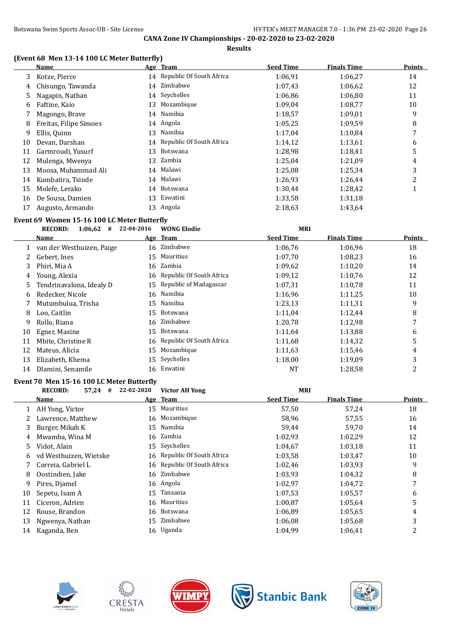#### **Results**

### **(Event 68 Men 13-14 100 LC Meter Butterfly)**

|    | <b>Name</b>                                 |            | Age Team                    | <b>Seed Time</b> | <b>Finals Time</b> | <b>Points</b>  |
|----|---------------------------------------------|------------|-----------------------------|------------------|--------------------|----------------|
| 3  | Kotze, Pierce                               |            | 14 Republic Of South Africa | 1:06,91          | 1:06,27            | 14             |
| 4  | Chisungo, Tawanda                           |            | 14 Zimbabwe                 | 1:07,43          | 1:06,62            | 12             |
| 5  | Nagapin, Nathan                             | 14         | Seychelles                  | 1:06,86          | 1:06,80            | 11             |
| 6  | Faftine, Kaio                               | 13         | Mozambique                  | 1:09,04          | 1:08,77            | 10             |
| 7  | Magongo, Brave                              | 14         | Namibia                     | 1:18,57          | 1:09,01            | 9              |
| 8  | Freitas, Filipe Simoes                      |            | 14 Angola                   | 1:05,25          | 1:09,59            | 8              |
| 9  | Ellis, Quinn                                |            | 13 Namibia                  | 1:17,04          | 1:10,84            | 7              |
| 10 | Devan, Darshan                              | 14         | Republic Of South Africa    | 1:14,12          | 1:13,61            | 6              |
| 11 | Garmroudi, Yusurf                           | 13         | Botswana                    | 1:28,98          | 1:18,41            | 5              |
| 12 | Mulenga, Mwenya                             | 13         | Zambia                      | 1:25,04          | 1:21,09            | $\overline{4}$ |
| 13 | Moosa, Muhammad Ali                         | 14         | Malawi                      | 1:25,08          | 1:25,34            | 3              |
| 14 | Kumbatira, Tsinde                           | 14         | Malawi                      | 1:26,93          | 1:26,44            | $\overline{c}$ |
| 15 | Molefe, Lerako                              | 14         | Botswana                    | 1:30,44          | 1:28,42            | $\mathbf{1}$   |
| 16 | De Sousa, Damien                            | 13         | Eswatini                    | 1:33,58          | 1:31,18            |                |
| 17 | Augusto, Armando                            |            | 13 Angola                   | 2:18,63          | 1:43,64            |                |
|    | Event 69 Women 15-16 100 LC Meter Butterfly |            |                             |                  |                    |                |
|    | $1:06,62$ # 22-04-2016<br><b>RECORD:</b>    |            | <b>WONG Elodie</b>          | <b>MRI</b>       |                    |                |
|    | <b>Name</b>                                 |            | Age Team                    | <b>Seed Time</b> | <b>Finals Time</b> | <b>Points</b>  |
|    | 1 van der Westhuizen, Paige                 |            | 16 Zimbabwe                 | 1:06,76          | 1:06,96            | 18             |
| 2  | Gebert, Ines                                |            | 15 Mauritius                | 1:07,70          | 1:08,23            | 16             |
| 3  | Phiri, Mia A                                | 16         | Zambia                      | 1:09,62          | 1:10,20            | 14             |
| 4  | Young, Alexia                               |            | 16 Republic Of South Africa | 1:09,12          | 1:10,76            | 12             |
| 5  | Tendrinavalona, Idealy D                    | 15         | Republic of Madagascar      | 1:07,31          | 1:10,78            | 11             |
| 6  | Redecker, Nicole                            | 16         | Namibia                     | 1:16,96          | 1:11,25            | 10             |
| 7  | Mutumbulua, Trisha                          | 15         | Namibia                     | 1:23,13          | 1:11,31            | 9              |
| 8  | Loo, Caitlin                                | 15         | Botswana                    | 1:11,04          | 1:12,44            | 8              |
| 9  | Rollo, Riana                                | 16         | Zimbabwe                    | 1:20,78          | 1:12,98            | 7              |
| 10 | Egner, Maxine                               | 15         | Botswana                    | 1:11,64          | 1:13,88            | 6              |
| 11 | Mbite, Christine R                          | 16         | Republic Of South Africa    | 1:11,68          | 1:14,32            | 5              |
| 12 | Mateus, Alicia                              | 15         | Mozambique                  | 1:11,63          | 1:15,46            | 4              |
| 13 | Elizabeth, Khema                            | 15         | Seychelles                  | 1:18,00          | 1:19,09            | 3              |
| 14 | Dlamini, Senamile                           |            | 16 Eswatini                 | NT               | 1:28,58            | $\overline{c}$ |
|    | Event 70 Men 15-16 100 LC Meter Butterfly   |            |                             |                  |                    |                |
|    | <b>RECORD:</b><br>$57,24$ #                 | 22-02-2020 | <b>Victor AH Yong</b>       | <b>MRI</b>       |                    |                |
|    | Name                                        |            | Age Team                    | <b>Seed Time</b> | <b>Finals Time</b> | <b>Points</b>  |
| 1  | AH Yong, Victor                             |            | 15 Mauritius                | 57,50            | 57,24              | 18             |
| 2  | Lawrence, Matthew                           |            | 16 Mozambique               | 58,96            | 57,55              | 16             |
| 3  | Burger, Mikah K                             | 15         | Namibia                     | 59,44            | 59,70              | 14             |
| 4  | Mwamba, Wina M                              |            | 16 Zambia                   | 1:02,93          | 1:02,29            | 12             |
| 5  | Vidot, Alain                                | 15         | Seychelles                  | 1:04,67          | 1:03,18            | 11             |
| 6  | vd Westhuizen, Wietske                      | 16         | Republic Of South Africa    | 1:03,58          | 1:03,47            | $10\,$         |
| 7  | Correia, Gabriel L                          |            | 16 Republic Of South Africa | 1:02,46          | 1:03,93            | 9              |

8 Oostindien, Jake 16 Zimbabwe 1:03,93 1:04,32 8











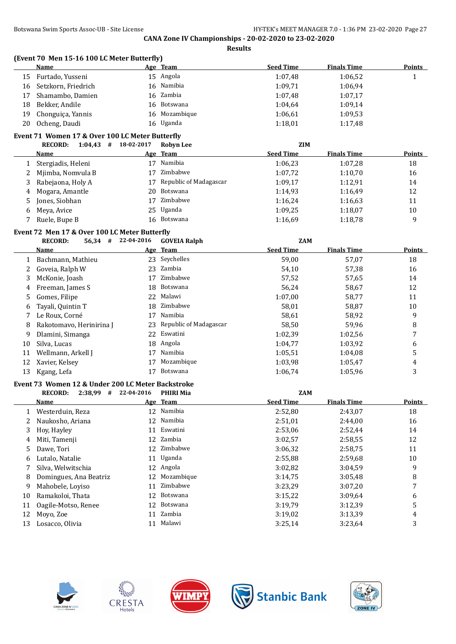**Results**

#### **(Event 70 Men 15-16 100 LC Meter Butterfly)**

|     | <b>Name</b>            | Age Team      | <b>Seed Time</b> | <b>Finals Time</b> | <b>Points</b> |
|-----|------------------------|---------------|------------------|--------------------|---------------|
|     | 15 Furtado, Yusseni    | 15 Angola     | 1:07.48          | 1:06.52            |               |
|     | 16 Setzkorn, Friedrich | 16 Namibia    | 1:09.71          | 1:06.94            |               |
|     | 17 Shamambo, Damien    | 16 Zambia     | 1:07.48          | 1:07,17            |               |
| 18. | Bekker, Andile         | 16 Botswana   | 1:04.64          | 1:09,14            |               |
|     | 19 Chonguiça, Yannis   | 16 Mozambique | 1:06.61          | 1:09.53            |               |
| 20  | Ocheng, Daudi          | 16 Uganda     | 1:18.01          | 1:17,48            |               |

#### **Event 71 Women 17 & Over 100 LC Meter Butterfly**

|    | 1:04,43<br><b>RECORD:</b><br># | 18-02-2017 | <b>Robyn Lee</b>          | <b>ZIM</b>       |                    |               |
|----|--------------------------------|------------|---------------------------|------------------|--------------------|---------------|
|    | <b>Name</b>                    |            | Age Team                  | <b>Seed Time</b> | <b>Finals Time</b> | <b>Points</b> |
|    | Stergiadis, Heleni             | 17         | Namibia                   | 1:06.23          | 1:07.28            | 18            |
|    | Mjimba, Nomvula B              | 17         | Zimbabwe                  | 1:07,72          | 1:10,70            | 16            |
| 3. | Rabejaona, Holy A              |            | 17 Republic of Madagascar | 1:09.17          | 1:12,91            | 14            |
| 4  | Mogara, Amantle                |            | 20 Botswana               | 1:14.93          | 1:16.49            | 12            |
| 5. | Jones, Siobhan                 |            | Zimbabwe                  | 1:16.24          | 1:16.63            | 11            |
| 6  | Meya, Avice                    |            | 25 Uganda                 | 1:09.25          | 1:18,07            | 10            |
|    | Ruele, Bupe B                  | 16         | Botswana                  | 1:16.69          | 1:18,78            | 9             |

# **Event 72 Men 17 & Over 100 LC Meter Butterfly**

|    | <b>RECORD:</b><br>$56,34$ # | 22-04-2016 | <b>GOVEIA Ralph</b>       | <b>ZAM</b>       |                    |               |
|----|-----------------------------|------------|---------------------------|------------------|--------------------|---------------|
|    | Name                        |            | Age Team                  | <b>Seed Time</b> | <b>Finals Time</b> | <b>Points</b> |
|    | Bachmann, Mathieu           |            | 23 Seychelles             | 59,00            | 57,07              | 18            |
|    | Goveia, Ralph W             | 23         | Zambia                    | 54,10            | 57,38              | 16            |
| 3. | McKonie, Joash              | 17         | Zimbabwe                  | 57,52            | 57,65              | 14            |
| 4  | Freeman, James S            |            | 18 Botswana               | 56,24            | 58,67              | 12            |
| 5. | Gomes, Filipe               | 22         | Malawi                    | 1:07,00          | 58,77              | 11            |
| 6  | Tayali, Quintin T           |            | 18 Zimbabwe               | 58,01            | 58,87              | 10            |
|    | Le Roux, Corné              | 17         | Namibia                   | 58,61            | 58,92              | 9             |
| 8  | Rakotomavo, Herinirina J    |            | 23 Republic of Madagascar | 58,50            | 59,96              | 8             |
| 9  | Dlamini, Simanga            | 22         | Eswatini                  | 1:02.39          | 1:02,56            | 7             |
| 10 | Silva, Lucas                |            | 18 Angola                 | 1:04,77          | 1:03,92            | 6             |
| 11 | Wellmann, Arkell J          | 17         | Namibia                   | 1:05.51          | 1:04.08            |               |
| 12 | Xavier, Kelsey              | 17         | Mozambique                | 1:03.98          | 1:05,47            | 4             |
| 13 | Kgang, Lefa                 |            | Botswana                  | 1:06.74          | 1:05,96            | 3             |

#### **Event 73 Women 12 & Under 200 LC Meter Backstroke**

|    | <b>RECORD:</b><br>2:38,99<br># | 22-04-2016 | <b>PHIRI Mia</b> | <b>ZAM</b>       |                    |               |
|----|--------------------------------|------------|------------------|------------------|--------------------|---------------|
|    | Name                           |            | Age Team         | <b>Seed Time</b> | <b>Finals Time</b> | <b>Points</b> |
|    | Westerduin, Reza               |            | 12 Namibia       | 2:52,80          | 2:43,07            | 18            |
| 2  | Naukosho, Ariana               | 12         | Namibia          | 2:51,01          | 2:44.00            | 16            |
| 3  | Hoy, Hayley                    | 11         | Eswatini         | 2:53,06          | 2:52,44            | 14            |
| 4  | Miti, Tamenji                  |            | 12 Zambia        | 3:02,57          | 2:58,55            | 12            |
| 5. | Dawe, Tori                     | 12         | Zimbabwe         | 3:06.32          | 2:58,75            | 11            |
| 6  | Lutalo, Natalie                | 11         | Uganda           | 2:55,88          | 2:59.68            | 10            |
|    | Silva. Welwitschia             |            | 12 Angola        | 3:02,82          | 3:04.59            | 9             |
| 8  | Domingues, Ana Beatriz         | 12         | Mozambique       | 3:14,75          | 3:05,48            | 8             |
| 9  | Mahobele, Loyiso               | 11         | Zimbabwe         | 3:23,29          | 3:07,20            | 7             |
| 10 | Ramakoloi, Thata               | 12         | Botswana         | 3:15,22          | 3:09.64            | 6             |
| 11 | Oagile-Motso, Renee            | 12.        | Botswana         | 3:19.79          | 3:12.39            | 5             |
| 12 | Moyo, Zoe                      | 11         | Zambia           | 3:19,02          | 3:13.39            | 4             |
| 13 | Losacco, Olivia                | 11         | Malawi           | 3:25,14          | 3:23,64            | 3             |









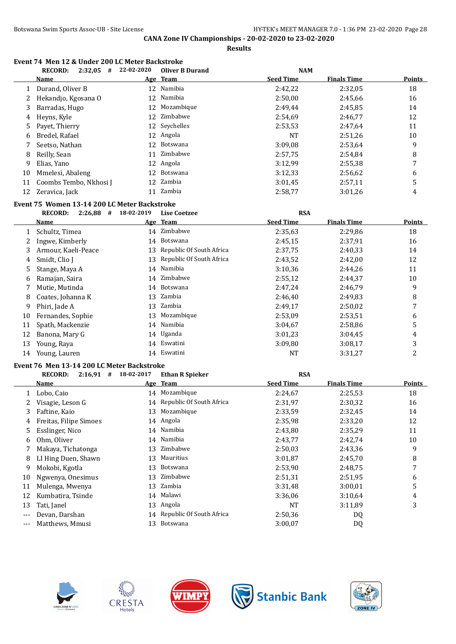**Results**

# **Event 74 Men 12 & Under 200 LC Meter Backstroke**<br>RECORD: 2:32.05 # 22-02-2020 Oliver R.D.

|    | <b>RECORD:</b><br>2:32,05<br>#               | 22-02-2020      | <b>Oliver B Durand</b> | <b>NAM</b>       |                    |               |
|----|----------------------------------------------|-----------------|------------------------|------------------|--------------------|---------------|
|    | Name                                         |                 | Age Team               | <b>Seed Time</b> | <b>Finals Time</b> | <b>Points</b> |
|    | Durand, Oliver B                             |                 | 12 Namibia             | 2:42,22          | 2:32,05            | 18            |
|    | Hekandjo, Kgosana O                          | 12 <sup>1</sup> | Namibia                | 2:50,00          | 2:45.66            | 16            |
| 3  | Barradas, Hugo                               |                 | 12 Mozambique          | 2:49,44          | 2:45,85            | 14            |
| 4  | Heyns, Kyle                                  |                 | 12 Zimbabwe            | 2:54,69          | 2:46.77            | 12            |
| 5. | Payet, Thierry                               |                 | 12 Seychelles          | 2:53,53          | 2:47,64            | 11            |
| 6  | Bredel, Rafael                               |                 | 12 Angola              | NT               | 2:51,26            | 10            |
|    | Seetso, Nathan                               |                 | 12 Botswana            | 3:09.08          | 2:53.64            | 9             |
| 8  | Reilly, Sean                                 | 11              | Zimbabwe               | 2:57,75          | 2:54,84            | 8             |
| 9  | Elias, Yano                                  |                 | 12 Angola              | 3:12.99          | 2:55,38            | 7             |
| 10 | Mmelesi, Abaleng                             | 12              | Botswana               | 3:12,33          | 2:56,62            | 6             |
| 11 | Coombs Tembo, Nkhosi J                       | 12              | Zambia                 | 3:01.45          | 2:57,11            | 5             |
| 12 | Zeravica, Jack                               | 11              | Zambia                 | 2:58,77          | 3:01,26            | 4             |
|    | Event 75 Women 13-14 200 LC Meter Backstroke |                 |                        |                  |                    |               |
|    | <b>RECORD:</b><br>2:26,88<br>#               | 18-02-2019      | Lise Coetzee           | <b>RSA</b>       |                    |               |

|    | NEGOND.<br>$4.40,00$ $\pi$<br>TO AN HAT |    | LISE GOELLEE<br>בעת      |                  |                    |                |
|----|-----------------------------------------|----|--------------------------|------------------|--------------------|----------------|
|    | Name                                    |    | Age Team                 | <b>Seed Time</b> | <b>Finals Time</b> | <b>Points</b>  |
|    | Schultz, Timea                          | 14 | Zimbabwe                 | 2:35.63          | 2:29,86            | 18             |
| 2  | Ingwe, Kimberly                         | 14 | Botswana                 | 2:45,15          | 2:37,91            | 16             |
| 3  | Armour, Kaeli-Peace                     | 13 | Republic Of South Africa | 2:37.75          | 2:40,33            | 14             |
| 4  | Smidt, Clio J                           | 13 | Republic Of South Africa | 2:43,52          | 2:42,00            | 12             |
| 5. | Stange, Maya A                          | 14 | Namibia                  | 3:10,36          | 2:44.26            | 11             |
| 6  | Ramajan, Saira                          | 14 | Zimbabwe                 | 2:55,12          | 2:44,37            | 10             |
|    | Mutie, Mutinda                          | 14 | Botswana                 | 2:47.24          | 2:46.79            | 9              |
| 8  | Coates, Johanna K                       | 13 | Zambia                   | 2:46,40          | 2:49,83            | 8              |
| 9  | Phiri, Jade A                           | 13 | Zambia                   | 2:49,17          | 2:50,02            | 7              |
| 10 | Fernandes, Sophie                       | 13 | Mozambique               | 2:53,09          | 2:53,51            | 6              |
| 11 | Spath, Mackenzie                        | 14 | Namibia                  | 3:04.67          | 2:58,86            | 5              |
| 12 | Banona, Mary G                          | 14 | Uganda                   | 3:01,23          | 3:04.45            | 4              |
| 13 | Young, Raya                             | 14 | Eswatini                 | 3:09,80          | 3:08,17            | 3              |
| 14 | Young, Lauren                           | 14 | Eswatini                 | NT               | 3:31,27            | $\overline{c}$ |

### **Event 76 Men 13-14 200 LC Meter Backstroke**

|       | $2:16.91$ #<br><b>RECORD:</b> | 18-02-2017 | <b>Ethan R Spieker</b>      | <b>RSA</b>       |                    |               |
|-------|-------------------------------|------------|-----------------------------|------------------|--------------------|---------------|
|       | Name                          |            | Age Team                    | <b>Seed Time</b> | <b>Finals Time</b> | <b>Points</b> |
|       | Lobo, Caio                    |            | 14 Mozambique               | 2:24,67          | 2:25,53            | 18            |
| 2     | Visagie, Leson G              |            | 14 Republic Of South Africa | 2:31,97          | 2:30,32            | 16            |
| 3     | Faftine, Kaio                 |            | 13 Mozambique               | 2:33.59          | 2:32,45            | 14            |
| 4     | Freitas, Filipe Simoes        |            | 14 Angola                   | 2:35,98          | 2:33,20            | 12            |
| 5     | Esslinger, Nico               |            | 14 Namibia                  | 2:43,80          | 2:35,29            | 11            |
| 6     | Ohm, Oliver                   |            | 14 Namibia                  | 2:43,77          | 2:42,74            | 10            |
|       | Makaya, Tichatonga            | 13         | Zimbabwe                    | 2:50,03          | 2:43.36            | 9             |
| 8     | LI Hing Duen, Shawn           | 13         | Mauritius                   | 3:01,87          | 2:45,70            | 8             |
| 9     | Mokobi, Kgotla                | 13         | Botswana                    | 2:53,90          | 2:48,75            | 7             |
| 10    | Ngwenya, Onesimus             | 13         | Zimbabwe                    | 2:51,31          | 2:51,95            | 6             |
| 11    | Mulenga, Mwenya               | 13         | Zambia                      | 3:31,48          | 3:00.01            | 5             |
| 12    | Kumbatira, Tsinde             |            | 14 Malawi                   | 3:36,06          | 3:10.64            | 4             |
| 13    | Tati, Janel                   | 13         | Angola                      | NT               | 3:11,89            | 3             |
| $---$ | Devan, Darshan                | 14         | Republic Of South Africa    | 2:50,36          | DQ                 |               |
| ---   | Matthews, Mmusi               | 13         | Botswana                    | 3:00,07          | DQ                 |               |









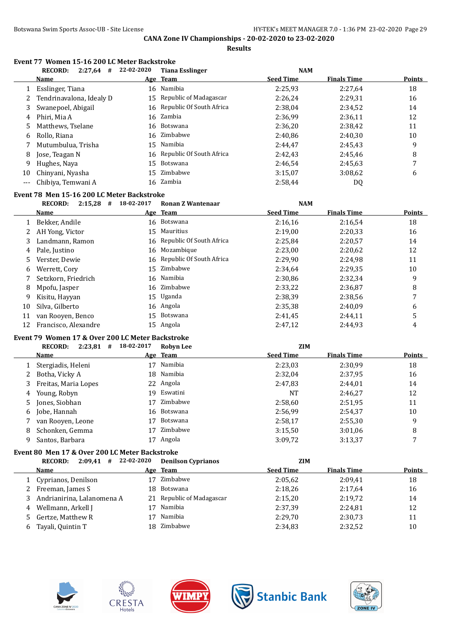**Results**

# **Event 77 Women 15-16 200 LC Meter Backstroke**

|       | <b>RECORD:</b><br>2:27,64<br># | 22-02-2020 | <b>Tiana Esslinger</b>      | <b>NAM</b>       |                    |               |
|-------|--------------------------------|------------|-----------------------------|------------------|--------------------|---------------|
|       | <b>Name</b>                    |            | Age Team                    | <b>Seed Time</b> | <b>Finals Time</b> | <b>Points</b> |
|       | Esslinger, Tiana               |            | 16 Namibia                  | 2:25,93          | 2:27.64            | 18            |
|       | Tendrinavalona, Idealy D       |            | 15 Republic of Madagascar   | 2:26.24          | 2:29.31            | 16            |
| 3     | Swanepoel, Abigail             |            | 16 Republic Of South Africa | 2:38.04          | 2:34.52            | 14            |
| 4     | Phiri. Mia A                   |            | 16 Zambia                   | 2:36.99          | 2:36.11            | 12            |
| 5     | Matthews, Tselane              |            | 16 Botswana                 | 2:36,20          | 2:38.42            | 11            |
| 6     | Rollo, Riana                   |            | 16 Zimbabwe                 | 2:40.86          | 2:40.30            | 10            |
|       | Mutumbulua. Trisha             |            | 15 Namibia                  | 2:44.47          | 2:45.43            | 9             |
| 8     | Jose, Teagan N                 |            | 16 Republic Of South Africa | 2:42.43          | 2:45.46            | 8             |
| 9     | Hughes, Nava                   |            | 15 Botswana                 | 2:46.54          | 2:45.63            | 7             |
| 10    | Chinyani, Nyasha               | 15         | Zimbabwe                    | 3:15,07          | 3:08.62            | 6             |
| $---$ | Chibiya, Temwani A             |            | 16 Zambia                   | 2:58.44          | DQ                 |               |

#### **Event 78 Men 15-16 200 LC Meter Backstroke**

|    | <b>RECORD:</b><br>2:15,28<br># | 18-02-2017 | <b>Ronan Z Wantenaar</b>    | <b>NAM</b>       |                    |               |
|----|--------------------------------|------------|-----------------------------|------------------|--------------------|---------------|
|    | Name                           |            | Age Team                    | <b>Seed Time</b> | <b>Finals Time</b> | <b>Points</b> |
|    | Bekker, Andile                 | 16         | Botswana                    | 2:16,16          | 2:16.54            | 18            |
|    | AH Yong, Victor                | 15         | Mauritius                   | 2:19,00          | 2:20,33            | 16            |
| 3  | Landmann, Ramon                |            | 16 Republic Of South Africa | 2:25,84          | 2:20,57            | 14            |
| 4  | Pale, Justino                  |            | 16 Mozambique               | 2:23.00          | 2:20.62            | 12            |
| 5. | Verster, Dewie                 |            | 16 Republic Of South Africa | 2:29,90          | 2:24.98            | 11            |
| 6  | Werrett, Cory                  |            | 15 Zimbabwe                 | 2:34.64          | 2:29.35            | 10            |
|    | Setzkorn, Friedrich            |            | 16 Namibia                  | 2:30,86          | 2:32.34            | 9             |
| 8  | Mpofu, Jasper                  |            | 16 Zimbabwe                 | 2:33.22          | 2:36.87            | 8             |
| 9  | Kisitu, Hayyan                 |            | 15 Uganda                   | 2:38,39          | 2:38.56            | 7             |
| 10 | Silva, Gilberto                |            | 16 Angola                   | 2:35,38          | 2:40.09            | 6             |
| 11 | van Rooyen, Benco              |            | 15 Botswana                 | 2:41.45          | 2:44.11            |               |
| 12 | Francisco, Alexandre           | 15         | Angola                      | 2:47.12          | 2:44.93            | 4             |

### **Event 79 Women 17 & Over 200 LC Meter Backstroke**

| <b>RECORD:</b><br>2:23,81<br># | 18-02-2017                                                       | <b>Robyn Lee</b> | <b>ZIM</b>                                                                                         |                    |               |
|--------------------------------|------------------------------------------------------------------|------------------|----------------------------------------------------------------------------------------------------|--------------------|---------------|
| Name                           |                                                                  |                  | <b>Seed Time</b>                                                                                   | <b>Finals Time</b> | <b>Points</b> |
| Stergiadis, Heleni             | 17                                                               |                  | 2:23,03                                                                                            | 2:30,99            | 18            |
|                                |                                                                  |                  | 2:32.04                                                                                            | 2:37,95            | 16            |
| Freitas, Maria Lopes           |                                                                  |                  | 2:47.83                                                                                            | 2:44,01            | 14            |
|                                |                                                                  |                  | NT                                                                                                 | 2:46,27            | 12            |
|                                | 17                                                               |                  | 2:58,60                                                                                            | 2:51,95            | 11            |
| Jobe, Hannah                   |                                                                  |                  | 2:56.99                                                                                            | 2:54,37            | 10            |
| van Rooyen, Leone              | 17                                                               | Botswana         | 2:58,17                                                                                            | 2:55,30            | 9             |
| Schonken, Gemma                | 17                                                               | Zimbabwe         | 3:15.50                                                                                            | 3:01,06            | 8             |
| Santos, Barbara                | 17                                                               |                  | 3:09,72                                                                                            | 3:13,37            | 7             |
|                                | 2 Botha, Vicky A<br>3<br>4 Young, Robyn<br>5 Jones, Siobhan<br>6 |                  | Age Team<br>Namibia<br>18 Namibia<br>22 Angola<br>19 Eswatini<br>Zimbabwe<br>16 Botswana<br>Angola |                    |               |

#### **Event 80 Men 17 & Over 200 LC Meter Backstroke**

| $2:09.41$ #<br><b>RECORD:</b> |                                                                            | <b>Denilson Cyprianos</b>                |                                                                                                       |                    |               |
|-------------------------------|----------------------------------------------------------------------------|------------------------------------------|-------------------------------------------------------------------------------------------------------|--------------------|---------------|
| <b>Name</b>                   |                                                                            |                                          | <b>Seed Time</b>                                                                                      | <b>Finals Time</b> | <b>Points</b> |
| Cyprianos, Denilson           |                                                                            |                                          | 2:05.62                                                                                               | 2:09.41            | 18            |
|                               |                                                                            |                                          | 2:18.26                                                                                               | 2:17.64            | 16            |
|                               |                                                                            |                                          | 2:15.20                                                                                               | 2:19.72            | 14            |
|                               |                                                                            |                                          | 2:37,39                                                                                               | 2:24,81            | 12            |
| Gertze, Matthew R             |                                                                            |                                          | 2:29.70                                                                                               | 2:30,73            | 11            |
|                               |                                                                            |                                          | 2:34,83                                                                                               | 2:32,52            | 10            |
|                               | 1<br>2 Freeman, James S<br>4 Wellmann, Arkell J<br>5.<br>Tayali, Quintin T | 22-02-2020<br>Andrianirina, Lalanomena A | Age Team<br>Zimbabwe<br>18 Botswana<br>21 Republic of Madagascar<br>Namibia<br>Namibia<br>18 Zimbabwe |                    | <b>ZIM</b>    |









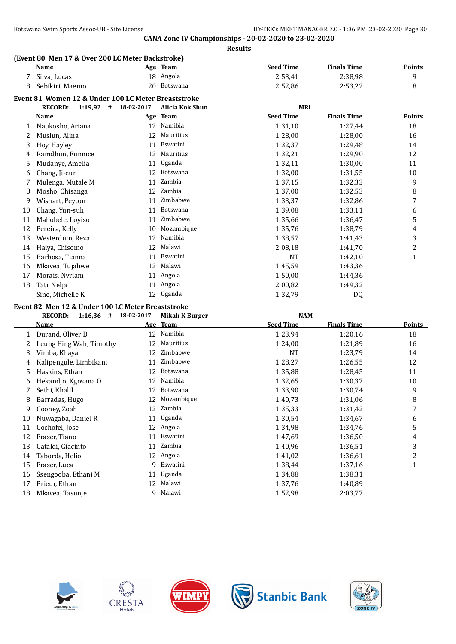### **(Event 80 Men 17 & Over 200 LC Meter Backstroke)**

| Name            | Age | Team        | Seed Time | <b>Finals Time</b> | <b>Points</b> |
|-----------------|-----|-------------|-----------|--------------------|---------------|
| Silva, Lucas    |     | 18 Angola   | 2:53,41   | 2:38,98            |               |
| Sebikiri, Maemo |     | 20 Botswana | 2:52.86   | 2:53,22            |               |

#### **Event 81 Women 12 & Under 100 LC Meter Breaststroke**

|     | <b>RECORD:</b><br>$1:19,92$ # | 18-02-2017 | Alicia Kok Shun | <b>MRI</b>       |                    |               |
|-----|-------------------------------|------------|-----------------|------------------|--------------------|---------------|
|     | <b>Name</b>                   | <u>Age</u> | <b>Team</b>     | <b>Seed Time</b> | <b>Finals Time</b> | <b>Points</b> |
| 1   | Naukosho, Ariana              | 12         | Namibia         | 1:31,10          | 1:27,44            | 18            |
|     | Muslun, Alina                 | 12         | Mauritius       | 1:28,00          | 1:28,00            | 16            |
| 3   | Hoy, Hayley                   | 11         | Eswatini        | 1:32,37          | 1:29,48            | 14            |
| 4   | Ramdhun, Eunnice              | 12         | Mauritius       | 1:32,21          | 1:29,90            | 12            |
| 5   | Mudanye, Amelia               | 11         | Uganda          | 1:32,11          | 1:30,00            | 11            |
| 6   | Chang, Ji-eun                 | 12         | <b>Botswana</b> | 1:32,00          | 1:31,55            | 10            |
|     | Mulenga, Mutale M             | 11         | Zambia          | 1:37,15          | 1:32,33            | 9             |
| 8   | Mosho, Chisanga               | 12         | Zambia          | 1:37,00          | 1:32,53            | 8             |
| 9   | Wishart, Peyton               | 11         | Zimbabwe        | 1:33,37          | 1:32,86            | 7             |
| 10  | Chang, Yun-suh                | 11         | Botswana        | 1:39,08          | 1:33,11            | 6             |
| 11  | Mahobele, Loyiso              | 11         | Zimbabwe        | 1:35,66          | 1:36,47            | 5             |
| 12  | Pereira, Kelly                | 10         | Mozambique      | 1:35,76          | 1:38,79            | 4             |
| 13  | Westerduin, Reza              | 12         | Namibia         | 1:38,57          | 1:41,43            | 3             |
| 14  | Haiya, Chisomo                | 12         | Malawi          | 2:08,18          | 1:41,70            | 2             |
| 15  | Barbosa, Tianna               | 11         | Eswatini        | <b>NT</b>        | 1:42,10            | 1             |
| 16  | Mkavea, Tujaliwe              | 12         | Malawi          | 1:45,59          | 1:43,36            |               |
| 17  | Morais, Nyriam                | 11         | Angola          | 1:50,00          | 1:44,36            |               |
| 18  | Tati, Nelja                   | 11         | Angola          | 2:00,82          | 1:49,32            |               |
| --- | Sine, Michelle K              | 12         | Uganda          | 1:32,79          | DQ                 |               |

#### **Event 82 Men 12 & Under 100 LC Meter Breaststroke**

|    | <b>RECORD:</b><br>#<br>1:16,36 | 18-02-2017 | <b>Mikah K Burger</b> | <b>NAM</b>       |                    |              |
|----|--------------------------------|------------|-----------------------|------------------|--------------------|--------------|
|    | Name                           | <u>Age</u> | <b>Team</b>           | <b>Seed Time</b> | <b>Finals Time</b> | Points       |
| 1  | Durand, Oliver B               | 12         | Namibia               | 1:23,94          | 1:20,16            | 18           |
| 2  | Leung Hing Wah, Timothy        | 12         | Mauritius             | 1:24,00          | 1:21,89            | 16           |
| 3  | Vimba, Khaya                   | 12         | Zimbabwe              | NT               | 1:23,79            | 14           |
| 4  | Kalipengule, Limbikani         | 11         | Zimbabwe              | 1:28,27          | 1:26,55            | 12           |
| 5  | Haskins, Ethan                 | 12         | Botswana              | 1:35,88          | 1:28,45            | 11           |
| 6  | Hekandjo, Kgosana O            | 12         | Namibia               | 1:32.65          | 1:30,37            | 10           |
|    | Sethi, Khalil                  | 12         | Botswana              | 1:33,90          | 1:30,74            | 9            |
| 8  | Barradas, Hugo                 | 12         | Mozambique            | 1:40,73          | 1:31,06            | 8            |
| 9  | Cooney, Zoah                   | 12         | Zambia                | 1:35,33          | 1:31,42            | 7            |
| 10 | Nuwagaba, Daniel R             | 11         | Uganda                | 1:30,54          | 1:34,67            | 6            |
| 11 | Cochofel, Jose                 | 12         | Angola                | 1:34,98          | 1:34,76            | 5            |
| 12 | Fraser, Tiano                  | 11         | Eswatini              | 1:47.69          | 1:36,50            | 4            |
| 13 | Cataldi, Giacinto              | 11         | Zambia                | 1:40,96          | 1:36,51            | 3            |
| 14 | Taborda, Helio                 | 12         | Angola                | 1:41,02          | 1:36,61            | 2            |
| 15 | Fraser, Luca                   | 9          | Eswatini              | 1:38,44          | 1:37,16            | $\mathbf{1}$ |
| 16 | Ssengooba, Ethani M            | 11         | Uganda                | 1:34,88          | 1:38,31            |              |
| 17 | Prieur, Ethan                  | 12         | Malawi                | 1:37,76          | 1:40.89            |              |
| 18 | Mkayea, Tasunje                | 9          | Malawi                | 1:52,98          | 2:03,77            |              |









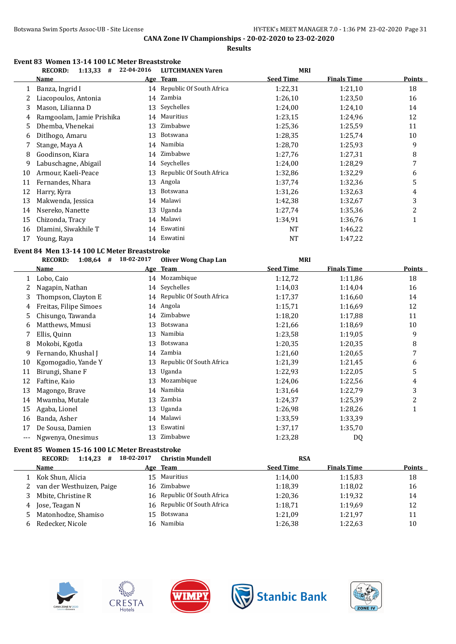**Results**

#### **Event 83 Women 13-14 100 LC Meter Breaststroke RECORD: 1:13,33 # 22-04-2016 LUTCHMANEN Varen MRI**

|              | recurv.<br>1.19,99                           | 77-04-7010 | LU I LITIMAINEIN VALEIL     | MNI              |                    |                |
|--------------|----------------------------------------------|------------|-----------------------------|------------------|--------------------|----------------|
|              | <u>Name</u>                                  |            | Age Team                    | <b>Seed Time</b> | <b>Finals Time</b> | <b>Points</b>  |
| $\mathbf{1}$ | Banza, Ingrid I                              |            | 14 Republic Of South Africa | 1:22,31          | 1:21,10            | 18             |
| 2            | Liacopoulos, Antonia                         |            | 14 Zambia                   | 1:26,10          | 1:23,50            | 16             |
| 3            | Mason, Lilianna D                            |            | 13 Seychelles               | 1:24,00          | 1:24,10            | 14             |
| 4            | Ramgoolam, Jamie Prishika                    | 14         | Mauritius                   | 1:23,15          | 1:24,96            | 12             |
| 5            | Dhemba, Vhenekai                             | 13         | Zimbabwe                    | 1:25,36          | 1:25,59            | 11             |
| 6            | Ditlhogo, Amaru                              | 13         | Botswana                    | 1:28,35          | 1:25,74            | 10             |
| 7            | Stange, Maya A                               | 14         | Namibia                     | 1:28,70          | 1:25,93            | 9              |
| 8            | Goodinson, Kiara                             | 14         | Zimbabwe                    | 1:27,76          | 1:27,31            | 8              |
| 9            | Labuschagne, Abigail                         |            | 14 Seychelles               | 1:24,00          | 1:28,29            | 7              |
| 10           | Armour, Kaeli-Peace                          |            | 13 Republic Of South Africa | 1:32,86          | 1:32,29            | 6              |
| 11           | Fernandes, Nhara                             |            | 13 Angola                   | 1:37,74          | 1:32,36            | 5              |
| 12           | Harry, Kyra                                  | 13         | Botswana                    | 1:31,26          | 1:32,63            | 4              |
| 13           | Makwenda, Jessica                            | 14         | Malawi                      | 1:42,38          | 1:32,67            | 3              |
| 14           | Nsereko, Nanette                             | 13         | Uganda                      | 1:27,74          | 1:35,36            | $\overline{c}$ |
| 15           | Chizonda, Tracy                              | 14         | Malawi                      | 1:34,91          | 1:36,76            | $\mathbf{1}$   |
| 16           | Dlamini, Siwakhile T                         | 14         | Eswatini                    | NT               | 1:46,22            |                |
| 17           | Young, Raya                                  |            | 14 Eswatini                 | <b>NT</b>        | 1:47,22            |                |
|              | Event 84 Men 13-14 100 LC Meter Breaststroke |            |                             |                  |                    |                |
|              | $1:08,64$ # 18-02-2017<br><b>RECORD:</b>     |            | <b>Oliver Wong Chap Lan</b> | <b>MRI</b>       |                    |                |
|              | <u>Name</u>                                  |            | Age Team                    | <b>Seed Time</b> | <b>Finals Time</b> | <b>Points</b>  |
| 1            | Lobo, Caio                                   |            | 14 Mozambique               | 1:12,72          | 1:11,86            | 18             |
| 2            | Nagapin, Nathan                              |            | 14 Seychelles               | 1:14,03          | 1:14,04            | 16             |
| 3            | Thompson, Clayton E                          |            | 14 Republic Of South Africa | 1:17,37          |                    |                |
| 4            | Freitas, Filipe Simoes                       |            |                             |                  | 1:16,60            | 14             |
| 5            |                                              | 14         | Angola                      | 1:15,71          | 1:16.69            | 12             |
|              | Chisungo, Tawanda                            | 14         | Zimbabwe                    | 1:18,20          | 1:17,88            | 11             |
| 6            | Matthews, Mmusi                              | 13         | Botswana                    | 1:21,66          | 1:18,69            | 10             |
| 7            | Ellis, Quinn                                 | 13         | Namibia                     | 1:23,58          | 1:19,05            | 9              |
| 8            | Mokobi, Kgotla                               | 13         | Botswana                    | 1:20,35          | 1:20,35            | 8              |
| 9            | Fernando, Khushal J                          |            | 14 Zambia                   | 1:21,60          | 1:20,65            | $\overline{7}$ |
| 10           | Kgomogadio, Yande Y                          | 13         | Republic Of South Africa    | 1:21,39          | 1:21,45            | 6              |
| 11           | Birungi, Shane F                             | 13         | Uganda                      | 1:22,93          | 1:22,05            | 5              |
| 12           | Faftine, Kaio                                | 13         | Mozambique                  | 1:24,06          | 1:22,56            | 4              |
| 13           | Magongo, Brave                               | 14         | Namibia                     | 1:31,64          | 1:22,79            | 3              |
| 14           | Mwamba, Mutale                               | 13         | Zambia                      | 1:24,37          | 1:25,39            | $\overline{c}$ |
| 15           | Agaba, Lionel                                | 13         | Uganda                      | 1:26,98          | 1:28,26            | $\mathbf 1$    |
| 16           | Banda, Asher                                 |            | 14 Malawi                   | 1:33,59          | 1:33,39            |                |
| 17           | De Sousa, Damien                             |            | 13 Eswatini                 | 1:37,17          | 1:35,70            |                |
| $---$        | Ngwenya, Onesimus                            |            | 13 Zimbabwe                 | 1:23,28          | DQ                 |                |

# **Event 85 Women 15-16 100 LC Meter Breaststroke**

|    | 1:14.23<br><b>RECORD:</b><br># | 18-02-2017 | <b>Christin Mundell</b>     | <b>RSA</b>       |                    |               |
|----|--------------------------------|------------|-----------------------------|------------------|--------------------|---------------|
|    | <b>Name</b>                    |            | Age Team                    | <b>Seed Time</b> | <b>Finals Time</b> | <b>Points</b> |
|    | Kok Shun, Alicia               |            | 15 Mauritius                | 1:14.00          | 1:15,83            | 18            |
|    | 2 van der Westhuizen, Paige    |            | 16 Zimbabwe                 | 1:18.39          | 1:18,02            | 16            |
| 3. | Mbite, Christine R             |            | 16 Republic Of South Africa | 1:20.36          | 1:19.32            | 14            |
| 4  | Jose, Teagan N                 |            | 16 Republic Of South Africa | 1:18.71          | 1:19,69            | 12            |
| 5. | Matonhodze, Shamiso            |            | 15 Botswana                 | 1:21.09          | 1:21,97            | 11            |
| 6  | Redecker, Nicole               |            | 16 Namibia                  | 1:26.38          | 1:22,63            | 10            |
|    |                                |            |                             |                  |                    |               |



 $\overline{\phantom{a}}$ 







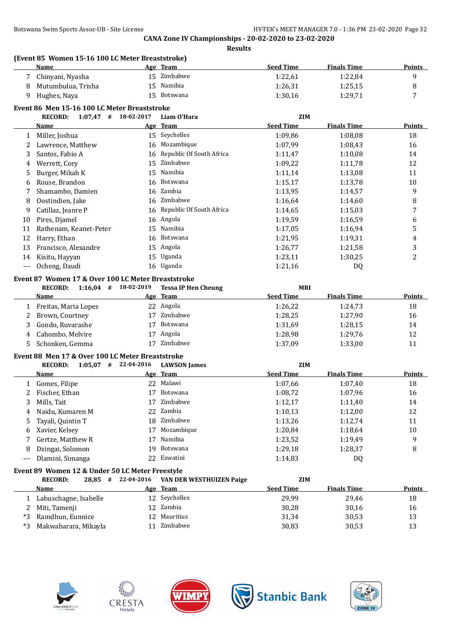**(Event 85 Women 15-16 100 LC Meter Breaststroke)**

| 15 Zimbabwe<br>1:22,61<br>1:22,84<br>7<br>Chinyani, Nyasha<br>Namibia<br>1:26,31<br>1:25,15<br>Mutumbulua, Trisha<br>15 <sup>2</sup><br>8<br>Hughes, Naya<br>15 Botswana<br>1:30,16<br>1:29,71<br>9<br>Event 86 Men 15-16 100 LC Meter Breaststroke<br>$1:07,47$ # 18-02-2017<br><b>RECORD:</b><br>Liam O'Hara<br><b>ZIM</b><br><b>Seed Time</b><br><b>Finals Time</b><br>Age Team<br><u>Name</u><br>15 Seychelles<br>1:09,86<br>1:08,08<br>Miller, Joshua<br>1<br>Mozambique<br>Lawrence, Matthew<br>1:07,99<br>1:08,43<br>2<br>16<br>Republic Of South Africa<br>Santos, Fabio A<br>1:11,47<br>1:10,08<br>3<br>16<br>Zimbabwe<br>Werrett, Cory<br>1:09,22<br>15<br>1:11,78<br>4<br>Namibia<br>Burger, Mikah K<br>1:13,08<br>15<br>1:11,14<br>5<br>Rouse, Brandon<br>Botswana<br>1:15,17<br>1:13,78<br>6<br>16<br>Zambia<br>Shamambo, Damien<br>1:13,95<br>1:14,57<br>7<br>16<br>16 Zimbabwe<br>1:14,60<br>8<br>Oostindien, Jake<br>1:16,64<br>16 Republic Of South Africa | <b>Points</b>           |
|-----------------------------------------------------------------------------------------------------------------------------------------------------------------------------------------------------------------------------------------------------------------------------------------------------------------------------------------------------------------------------------------------------------------------------------------------------------------------------------------------------------------------------------------------------------------------------------------------------------------------------------------------------------------------------------------------------------------------------------------------------------------------------------------------------------------------------------------------------------------------------------------------------------------------------------------------------------------------------|-------------------------|
|                                                                                                                                                                                                                                                                                                                                                                                                                                                                                                                                                                                                                                                                                                                                                                                                                                                                                                                                                                             | 9                       |
|                                                                                                                                                                                                                                                                                                                                                                                                                                                                                                                                                                                                                                                                                                                                                                                                                                                                                                                                                                             | 8                       |
|                                                                                                                                                                                                                                                                                                                                                                                                                                                                                                                                                                                                                                                                                                                                                                                                                                                                                                                                                                             | 7                       |
|                                                                                                                                                                                                                                                                                                                                                                                                                                                                                                                                                                                                                                                                                                                                                                                                                                                                                                                                                                             |                         |
|                                                                                                                                                                                                                                                                                                                                                                                                                                                                                                                                                                                                                                                                                                                                                                                                                                                                                                                                                                             |                         |
|                                                                                                                                                                                                                                                                                                                                                                                                                                                                                                                                                                                                                                                                                                                                                                                                                                                                                                                                                                             | <b>Points</b>           |
|                                                                                                                                                                                                                                                                                                                                                                                                                                                                                                                                                                                                                                                                                                                                                                                                                                                                                                                                                                             |                         |
|                                                                                                                                                                                                                                                                                                                                                                                                                                                                                                                                                                                                                                                                                                                                                                                                                                                                                                                                                                             | 18                      |
|                                                                                                                                                                                                                                                                                                                                                                                                                                                                                                                                                                                                                                                                                                                                                                                                                                                                                                                                                                             | 16                      |
|                                                                                                                                                                                                                                                                                                                                                                                                                                                                                                                                                                                                                                                                                                                                                                                                                                                                                                                                                                             | 14<br>12                |
|                                                                                                                                                                                                                                                                                                                                                                                                                                                                                                                                                                                                                                                                                                                                                                                                                                                                                                                                                                             |                         |
|                                                                                                                                                                                                                                                                                                                                                                                                                                                                                                                                                                                                                                                                                                                                                                                                                                                                                                                                                                             | 11                      |
|                                                                                                                                                                                                                                                                                                                                                                                                                                                                                                                                                                                                                                                                                                                                                                                                                                                                                                                                                                             | 10                      |
|                                                                                                                                                                                                                                                                                                                                                                                                                                                                                                                                                                                                                                                                                                                                                                                                                                                                                                                                                                             | 9                       |
|                                                                                                                                                                                                                                                                                                                                                                                                                                                                                                                                                                                                                                                                                                                                                                                                                                                                                                                                                                             | 8                       |
| Catillaz, Jeanre P<br>1:14,65<br>1:15,03<br>9                                                                                                                                                                                                                                                                                                                                                                                                                                                                                                                                                                                                                                                                                                                                                                                                                                                                                                                               | 7                       |
| Pires, Djamel<br>16 Angola<br>1:19,59<br>1:16,59<br>10                                                                                                                                                                                                                                                                                                                                                                                                                                                                                                                                                                                                                                                                                                                                                                                                                                                                                                                      | 6                       |
| Namibia<br>Rathenam, Keanet-Peter<br>1:17,05<br>1:16,94<br>11<br>15                                                                                                                                                                                                                                                                                                                                                                                                                                                                                                                                                                                                                                                                                                                                                                                                                                                                                                         | 5                       |
| Harry, Ethan<br>16 Botswana<br>1:21,95<br>1:19,31<br>12                                                                                                                                                                                                                                                                                                                                                                                                                                                                                                                                                                                                                                                                                                                                                                                                                                                                                                                     | $\overline{\mathbf{4}}$ |
| 15 Angola<br>13<br>Francisco, Alexandre<br>1:26,77<br>1:21,58                                                                                                                                                                                                                                                                                                                                                                                                                                                                                                                                                                                                                                                                                                                                                                                                                                                                                                               | 3                       |
| Uganda<br>Kisitu, Hayyan<br>15<br>1:23,11<br>1:30,25<br>14                                                                                                                                                                                                                                                                                                                                                                                                                                                                                                                                                                                                                                                                                                                                                                                                                                                                                                                  | $\overline{2}$          |
| 16 Uganda<br>Ocheng, Daudi<br>1:21,16<br>DQ<br>$\overline{\phantom{a}}$                                                                                                                                                                                                                                                                                                                                                                                                                                                                                                                                                                                                                                                                                                                                                                                                                                                                                                     |                         |
| Event 87 Women 17 & Over 100 LC Meter Breaststroke                                                                                                                                                                                                                                                                                                                                                                                                                                                                                                                                                                                                                                                                                                                                                                                                                                                                                                                          |                         |
| $1:16,04$ # 18-02-2019<br><b>RECORD:</b><br><b>Tessa IP Hen Cheung</b><br><b>MRI</b>                                                                                                                                                                                                                                                                                                                                                                                                                                                                                                                                                                                                                                                                                                                                                                                                                                                                                        |                         |
| <b>Seed Time</b><br>Age Team<br><b>Finals Time</b><br>Name                                                                                                                                                                                                                                                                                                                                                                                                                                                                                                                                                                                                                                                                                                                                                                                                                                                                                                                  | <b>Points</b>           |
| 22 Angola<br>1:26,22<br>1:24,73<br>Freitas, Maria Lopes<br>1                                                                                                                                                                                                                                                                                                                                                                                                                                                                                                                                                                                                                                                                                                                                                                                                                                                                                                                | 18                      |
| Zimbabwe<br>1:28,25<br>Brown, Courtney<br>1:27,90<br>2<br>17                                                                                                                                                                                                                                                                                                                                                                                                                                                                                                                                                                                                                                                                                                                                                                                                                                                                                                                | 16                      |
| Gondo, Ruvarashe<br>Botswana<br>1:31,69<br>1:28,15<br>3<br>17                                                                                                                                                                                                                                                                                                                                                                                                                                                                                                                                                                                                                                                                                                                                                                                                                                                                                                               | 14                      |
| Angola<br>Cahombo, Melvire<br>1:28,98<br>1:29,76<br>17<br>4                                                                                                                                                                                                                                                                                                                                                                                                                                                                                                                                                                                                                                                                                                                                                                                                                                                                                                                 | 12                      |
| 17 Zimbabwe<br>Schonken, Gemma<br>1:37,09<br>1:33,00<br>5.                                                                                                                                                                                                                                                                                                                                                                                                                                                                                                                                                                                                                                                                                                                                                                                                                                                                                                                  | 11                      |
|                                                                                                                                                                                                                                                                                                                                                                                                                                                                                                                                                                                                                                                                                                                                                                                                                                                                                                                                                                             |                         |
| Event 88 Men 17 & Over 100 LC Meter Breaststroke<br>$1:05,07$ # 22-04-2016<br><b>RECORD:</b><br><b>LAWSON</b> James<br><b>ZIM</b>                                                                                                                                                                                                                                                                                                                                                                                                                                                                                                                                                                                                                                                                                                                                                                                                                                           |                         |
| <b>Seed Time</b><br><b>Finals Time</b><br>Age Team<br>Name                                                                                                                                                                                                                                                                                                                                                                                                                                                                                                                                                                                                                                                                                                                                                                                                                                                                                                                  | <b>Points</b>           |
| 22 Malawi                                                                                                                                                                                                                                                                                                                                                                                                                                                                                                                                                                                                                                                                                                                                                                                                                                                                                                                                                                   |                         |
| Gomes, Filipe<br>1:07,66<br>1:07,40<br>1                                                                                                                                                                                                                                                                                                                                                                                                                                                                                                                                                                                                                                                                                                                                                                                                                                                                                                                                    | 18                      |
| Fischer, Ethan<br>Botswana<br>1:07,96<br>2<br>17<br>1:08,72<br>17 Zimbabwe                                                                                                                                                                                                                                                                                                                                                                                                                                                                                                                                                                                                                                                                                                                                                                                                                                                                                                  | 16                      |
| 3<br>Mills, Tait<br>1:12,17<br>1:11,40                                                                                                                                                                                                                                                                                                                                                                                                                                                                                                                                                                                                                                                                                                                                                                                                                                                                                                                                      | 14                      |
| 1:10,13<br>Naidu, Kumaren M<br>22 Zambia<br>1:12,00<br>4                                                                                                                                                                                                                                                                                                                                                                                                                                                                                                                                                                                                                                                                                                                                                                                                                                                                                                                    | 12                      |
| Zimbabwe<br>Tayali, Quintin T<br>18<br>1:13,26<br>1:12,74<br>5                                                                                                                                                                                                                                                                                                                                                                                                                                                                                                                                                                                                                                                                                                                                                                                                                                                                                                              | 11                      |
| Mozambique<br>Xavier, Kelsey<br>1:20,84<br>1:18,64<br>17<br>6                                                                                                                                                                                                                                                                                                                                                                                                                                                                                                                                                                                                                                                                                                                                                                                                                                                                                                               | 10                      |
| Namibia<br>Gertze, Matthew R<br>1:23,52<br>1:19,49<br>17<br>7                                                                                                                                                                                                                                                                                                                                                                                                                                                                                                                                                                                                                                                                                                                                                                                                                                                                                                               | 9                       |
| Botswana<br>Dzingai, Solomon<br>1:29,18<br>1:28,37<br>8<br>19                                                                                                                                                                                                                                                                                                                                                                                                                                                                                                                                                                                                                                                                                                                                                                                                                                                                                                               | 8                       |
| Eswatini<br>Dlamini, Simanga<br>1:14,83<br>22<br>DQ<br>$---$                                                                                                                                                                                                                                                                                                                                                                                                                                                                                                                                                                                                                                                                                                                                                                                                                                                                                                                |                         |
| Event 89 Women 12 & Under 50 LC Meter Freestyle                                                                                                                                                                                                                                                                                                                                                                                                                                                                                                                                                                                                                                                                                                                                                                                                                                                                                                                             |                         |
| 22-04-2016<br><b>RECORD:</b><br>ZIM<br>$28,85$ #<br>VAN DER WESTHUIZEN Paige                                                                                                                                                                                                                                                                                                                                                                                                                                                                                                                                                                                                                                                                                                                                                                                                                                                                                                |                         |
| <b>Seed Time</b><br><b>Finals Time</b><br>Age Team<br><u>Name</u>                                                                                                                                                                                                                                                                                                                                                                                                                                                                                                                                                                                                                                                                                                                                                                                                                                                                                                           |                         |
| 12 Seychelles<br>29,99<br>29,46<br>Labuschagne, Isabelle<br>1                                                                                                                                                                                                                                                                                                                                                                                                                                                                                                                                                                                                                                                                                                                                                                                                                                                                                                               | <b>Points</b>           |
| 12 Zambia<br>Miti, Tamenji<br>30,28<br>30,16<br>2                                                                                                                                                                                                                                                                                                                                                                                                                                                                                                                                                                                                                                                                                                                                                                                                                                                                                                                           | 18                      |
| Ramdhun, Eunnice<br>12 Mauritius<br>*3<br>31,34<br>30,53                                                                                                                                                                                                                                                                                                                                                                                                                                                                                                                                                                                                                                                                                                                                                                                                                                                                                                                    | 16                      |
| Zimbabwe<br>Makwabarara, Mikayla<br>30,83<br>30,53<br>$*3$<br>11                                                                                                                                                                                                                                                                                                                                                                                                                                                                                                                                                                                                                                                                                                                                                                                                                                                                                                            | 13                      |









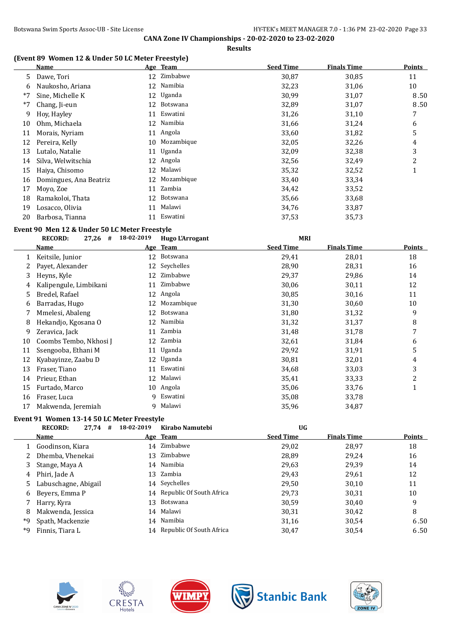#### **(Event 89 Women 12 & Under 50 LC Meter Freestyle)**

|      | <b>Name</b>            |    | Age Team        | <b>Seed Time</b> | <b>Finals Time</b> | <b>Points</b> |
|------|------------------------|----|-----------------|------------------|--------------------|---------------|
| 5.   | Dawe, Tori             |    | 12 Zimbabwe     | 30,87            | 30,85              | 11            |
| 6    | Naukosho, Ariana       | 12 | Namibia         | 32,23            | 31,06              | 10            |
| $*7$ | Sine, Michelle K       | 12 | Uganda          | 30,99            | 31,07              | 8.50          |
| $*7$ | Chang, Ji-eun          | 12 | Botswana        | 32,89            | 31,07              | 8.50          |
| 9    | Hoy, Hayley            | 11 | Eswatini        | 31,26            | 31,10              | 7             |
| 10   | Ohm, Michaela          | 12 | Namibia         | 31,66            | 31,24              | 6             |
| 11   | Morais, Nyriam         | 11 | Angola          | 33,60            | 31,82              | 5             |
| 12   | Pereira, Kelly         | 10 | Mozambique      | 32,05            | 32,26              | 4             |
| 13   | Lutalo, Natalie        | 11 | Uganda          | 32,09            | 32,38              | 3             |
| 14   | Silva, Welwitschia     | 12 | Angola          | 32,56            | 32,49              | 2             |
| 15   | Haiya, Chisomo         | 12 | Malawi          | 35,32            | 32,52              | 1             |
| 16   | Domingues, Ana Beatriz | 12 | Mozambique      | 33,40            | 33,34              |               |
| 17   | Moyo, Zoe              | 11 | Zambia          | 34,42            | 33,52              |               |
| 18   | Ramakoloi, Thata       | 12 | <b>Botswana</b> | 35,66            | 33,68              |               |
| 19   | Losacco, Olivia        | 11 | Malawi          | 34,76            | 33,87              |               |
| 20   | Barbosa, Tianna        |    | Eswatini        | 37,53            | 35,73              |               |

#### **Event 90 Men 12 & Under 50 LC Meter Freestyle**

|    | <b>RECORD:</b><br>$27,26$ # | 18-02-2019 | <b>Hugo L'Arrogant</b> | <b>MRI</b>       |                    |               |
|----|-----------------------------|------------|------------------------|------------------|--------------------|---------------|
|    | Name                        |            | Age Team               | <b>Seed Time</b> | <b>Finals Time</b> | <b>Points</b> |
|    | Keitsile, Junior            | 12         | Botswana               | 29,41            | 28,01              | 18            |
|    | Payet, Alexander            | 12         | Seychelles             | 28,90            | 28,31              | 16            |
| 3. | Heyns, Kyle                 | 12         | Zimbabwe               | 29,37            | 29,86              | 14            |
|    | Kalipengule, Limbikani      | 11         | Zimbabwe               | 30,06            | 30,11              | 12            |
| 5. | Bredel, Rafael              | 12         | Angola                 | 30,85            | 30,16              | 11            |
| 6  | Barradas, Hugo              | 12         | Mozambique             | 31,30            | 30,60              | 10            |
|    | Mmelesi, Abaleng            | 12         | Botswana               | 31,80            | 31,32              | 9             |
| 8  | Hekandjo, Kgosana O         | 12         | Namibia                | 31,32            | 31,37              | 8             |
| 9  | Zeravica, Jack              | 11         | Zambia                 | 31,48            | 31,78              | 7             |
| 10 | Coombs Tembo, Nkhosi J      |            | 12 Zambia              | 32,61            | 31,84              | 6             |
| 11 | Ssengooba, Ethani M         | 11         | Uganda                 | 29,92            | 31,91              | 5             |
| 12 | Kyabayinze, Zaabu D         |            | 12 Uganda              | 30,81            | 32,01              | 4             |
| 13 | Fraser, Tiano               | 11         | Eswatini               | 34,68            | 33,03              | 3             |
| 14 | Prieur, Ethan               | 12         | Malawi                 | 35,41            | 33,33              | 2             |
| 15 | Furtado, Marco              | 10         | Angola                 | 35,06            | 33,76              |               |
| 16 | Fraser, Luca                |            | 9 Eswatini             | 35,08            | 33,78              |               |
| 17 | Makwenda, Jeremiah          |            | 9 Malawi               | 35,96            | 34,87              |               |

#### **Event 91 Women 13-14 50 LC Meter Freestyle**

|    | <b>RECORD:</b><br>$27,74$ # | 18-02-2019 | Kirabo Namutebi             | <b>UG</b>        |                    |               |
|----|-----------------------------|------------|-----------------------------|------------------|--------------------|---------------|
|    | Name                        |            | Age Team                    | <b>Seed Time</b> | <b>Finals Time</b> | <b>Points</b> |
|    | 1 Goodinson, Kiara          |            | 14 Zimbabwe                 | 29,02            | 28,97              | 18            |
|    | 2 Dhemba, Vhenekai          |            | 13 Zimbabwe                 | 28,89            | 29,24              | 16            |
| 3  | Stange, Maya A              |            | 14 Namibia                  | 29,63            | 29,39              | 14            |
| 4  | Phiri, Jade A               |            | 13 Zambia                   | 29,43            | 29,61              | 12            |
|    | 5 Labuschagne, Abigail      |            | 14 Seychelles               | 29,50            | 30,10              | 11            |
|    | 6 Beyers, Emma P            |            | 14 Republic Of South Africa | 29,73            | 30,31              | 10            |
|    | 7 Harry, Kyra               |            | 13 Botswana                 | 30,59            | 30,40              | 9             |
| 8  | Makwenda, Jessica           |            | 14 Malawi                   | 30,31            | 30,42              | 8             |
| *9 | Spath, Mackenzie            |            | 14 Namibia                  | 31,16            | 30,54              | 6.50          |
| *9 | Finnis, Tiara L             |            | 14 Republic Of South Africa | 30,47            | 30.54              | 6.50          |









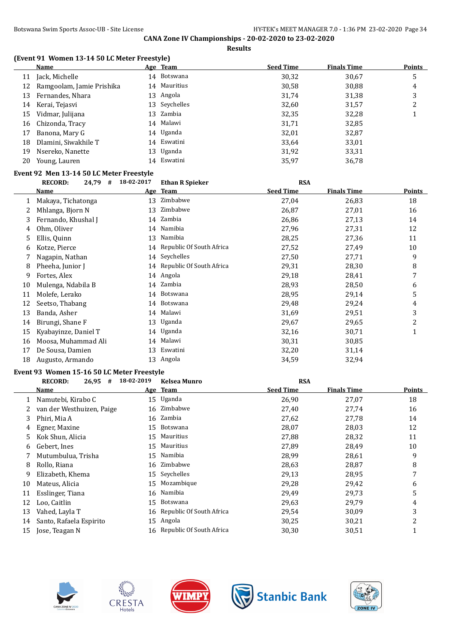**Results**

### **(Event 91 Women 13-14 50 LC Meter Freestyle)**

| Name                      |                                                                                                                  |        | <b>Seed Time</b>                                                                                                                           | <b>Finals Time</b> | <b>Points</b> |
|---------------------------|------------------------------------------------------------------------------------------------------------------|--------|--------------------------------------------------------------------------------------------------------------------------------------------|--------------------|---------------|
|                           |                                                                                                                  |        | 30,32                                                                                                                                      | 30,67              | 5             |
| Ramgoolam, Jamie Prishika |                                                                                                                  |        | 30,58                                                                                                                                      | 30,88              | 4             |
|                           |                                                                                                                  |        | 31,74                                                                                                                                      | 31,38              | 3             |
|                           |                                                                                                                  |        | 32,60                                                                                                                                      | 31,57              | 2             |
|                           |                                                                                                                  |        | 32,35                                                                                                                                      | 32,28              |               |
|                           |                                                                                                                  |        | 31,71                                                                                                                                      | 32,85              |               |
| Banona, Mary G            |                                                                                                                  |        | 32,01                                                                                                                                      | 32,87              |               |
| Dlamini, Siwakhile T      |                                                                                                                  |        | 33,64                                                                                                                                      | 33,01              |               |
| Nsereko, Nanette          | 13                                                                                                               | Uganda | 31,92                                                                                                                                      | 33,31              |               |
| Young, Lauren             |                                                                                                                  |        | 35,97                                                                                                                                      | 36,78              |               |
|                           | 11 Jack, Michelle<br>12<br>13 Fernandes, Nhara<br>14 Kerai, Tejasvi<br>15 Vidmar, Julijana<br>16 Chizonda, Tracy |        | Age Team<br>14 Botswana<br>14 Mauritius<br>13 Angola<br>13 Seychelles<br>13 Zambia<br>14 Malawi<br>14 Uganda<br>14 Eswatini<br>14 Eswatini |                    |               |

#### **Event 92 Men 13-14 50 LC Meter Freestyle**

|    | <b>RECORD:</b><br>24,79<br># | 18-02-2017 | <b>Ethan R Spieker</b>      | <b>RSA</b>       |                    |               |
|----|------------------------------|------------|-----------------------------|------------------|--------------------|---------------|
|    | Name                         | <u>Age</u> | <b>Team</b>                 | <b>Seed Time</b> | <b>Finals Time</b> | <b>Points</b> |
|    | Makaya, Tichatonga           | 13         | Zimbabwe                    | 27,04            | 26,83              | 18            |
|    | Mhlanga, Bjorn N             | 13         | Zimbabwe                    | 26,87            | 27,01              | 16            |
| 3  | Fernando, Khushal J          | 14         | Zambia                      | 26,86            | 27,13              | 14            |
| 4  | Ohm, Oliver                  | 14         | Namibia                     | 27,96            | 27,31              | 12            |
| 5  | Ellis, Quinn                 | 13         | Namibia                     | 28,25            | 27,36              | 11            |
| 6  | Kotze, Pierce                | 14         | Republic Of South Africa    | 27,52            | 27,49              | 10            |
|    | Nagapin, Nathan              | 14         | Seychelles                  | 27,50            | 27,71              | 9             |
| 8  | Pheeha, Junior J             |            | 14 Republic Of South Africa | 29,31            | 28,30              | 8             |
| 9  | Fortes, Alex                 | 14         | Angola                      | 29,18            | 28,41              | 7             |
| 10 | Mulenga, Ndabila B           | 14         | Zambia                      | 28,93            | 28,50              | 6             |
| 11 | Molefe, Lerako               | 14         | Botswana                    | 28,95            | 29,14              | 5             |
| 12 | Seetso, Thabang              | 14         | Botswana                    | 29,48            | 29,24              | 4             |
| 13 | Banda, Asher                 | 14         | Malawi                      | 31,69            | 29,51              | 3             |
| 14 | Birungi, Shane F             | 13         | Uganda                      | 29,67            | 29,65              | 2             |
| 15 | Kyabayinze, Daniel T         | 14         | Uganda                      | 32,16            | 30,71              | 1             |
| 16 | Moosa, Muhammad Ali          | 14         | Malawi                      | 30,31            | 30,85              |               |
| 17 | De Sousa, Damien             | 13         | Eswatini                    | 32,20            | 31,14              |               |
| 18 | Augusto, Armando             |            | 13 Angola                   | 34,59            | 32,94              |               |

# **Event 93 Women 15-16 50 LC Meter Freestyle**

|    | <b>RECORD:</b><br>26,95<br># | 18-02-2019 | <b>Kelsea Munro</b>         | <b>RSA</b>       |                    |                |
|----|------------------------------|------------|-----------------------------|------------------|--------------------|----------------|
|    | Name                         |            | Age Team                    | <b>Seed Time</b> | <b>Finals Time</b> | Points         |
|    | Namutebi, Kirabo C           |            | 15 Uganda                   | 26,90            | 27,07              | 18             |
|    | van der Westhuizen, Paige    | 16         | Zimbabwe                    | 27,40            | 27,74              | 16             |
| 3  | Phiri, Mia A                 | 16         | Zambia                      | 27,62            | 27,78              | 14             |
| 4  | Egner, Maxine                |            | 15 Botswana                 | 28,07            | 28,03              | 12             |
| 5  | Kok Shun, Alicia             |            | 15 Mauritius                | 27,88            | 28,32              | 11             |
| 6  | Gebert, Ines                 | 15         | Mauritius                   | 27,89            | 28,49              | 10             |
|    | Mutumbulua, Trisha           |            | 15 Namibia                  | 28,99            | 28,61              | 9              |
| 8  | Rollo, Riana                 | 16         | Zimbabwe                    | 28,63            | 28,87              | 8              |
| 9  | Elizabeth, Khema             |            | 15 Seychelles               | 29,13            | 28,95              | 7              |
| 10 | Mateus, Alicia               | 15         | Mozambique                  | 29,28            | 29,42              | 6              |
| 11 | Esslinger, Tiana             |            | 16 Namibia                  | 29,49            | 29,73              | 5              |
| 12 | Loo, Caitlin                 | 15         | Botswana                    | 29,63            | 29,79              | 4              |
| 13 | Vahed, Layla T               |            | 16 Republic Of South Africa | 29,54            | 30,09              | 3              |
| 14 | Santo, Rafaela Espirito      | 15         | Angola                      | 30,25            | 30,21              | $\overline{2}$ |
| 15 | Jose, Teagan N               |            | 16 Republic Of South Africa | 30,30            | 30,51              |                |









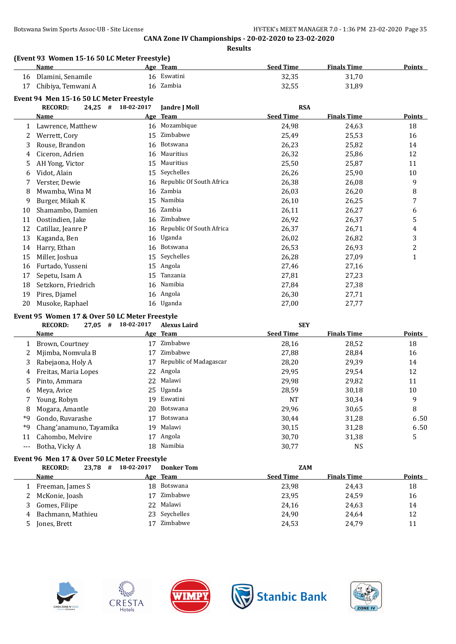| Name                  | Age Team    | <b>Seed Time</b> | <b>Finals Time</b> | Points |
|-----------------------|-------------|------------------|--------------------|--------|
| 16 Dlamini, Senamile  | 16 Eswatini | 32.35            | 31,70              |        |
| 17 Chibiya, Temwani A | 16 Zambia   | 32.55            | 31.89              |        |

|    | <b>RECORD:</b><br>#<br>24,25 | 18-02-2017 | Jandre J Moll            | <b>RSA</b>       |                    |               |
|----|------------------------------|------------|--------------------------|------------------|--------------------|---------------|
|    | Name                         | Age        | <b>Team</b>              | <b>Seed Time</b> | <b>Finals Time</b> | <b>Points</b> |
|    | Lawrence, Matthew            | 16         | Mozambique               | 24,98            | 24,63              | 18            |
|    | Werrett, Cory                | 15         | Zimbabwe                 | 25,49            | 25,53              | 16            |
| 3  | Rouse, Brandon               | 16         | Botswana                 | 26,23            | 25,82              | 14            |
| 4  | Ciceron, Adrien              | 16         | Mauritius                | 26,32            | 25,86              | 12            |
| 5  | AH Yong, Victor              | 15         | Mauritius                | 25,50            | 25,87              | 11            |
| 6  | Vidot, Alain                 | 15         | Seychelles               | 26,26            | 25,90              | 10            |
|    | Verster, Dewie               | 16         | Republic Of South Africa | 26,38            | 26,08              | 9             |
| 8  | Mwamba, Wina M               | 16         | Zambia                   | 26,03            | 26,20              | 8             |
| 9  | Burger, Mikah K              | 15         | Namibia                  | 26,10            | 26,25              | 7             |
| 10 | Shamambo, Damien             | 16         | Zambia                   | 26,11            | 26,27              | 6             |
| 11 | Oostindien, Jake             | 16         | Zimbabwe                 | 26,92            | 26,37              | 5             |
| 12 | Catillaz, Jeanre P           | 16         | Republic Of South Africa | 26,37            | 26,71              | 4             |
| 13 | Kaganda, Ben                 | 16         | Uganda                   | 26,02            | 26,82              | 3             |
| 14 | Harry, Ethan                 | 16         | Botswana                 | 26,53            | 26,93              | 2             |
| 15 | Miller, Joshua               | 15         | Seychelles               | 26,28            | 27,09              | 1             |
| 16 | Furtado, Yusseni             | 15         | Angola                   | 27,46            | 27,16              |               |
| 17 | Sepetu, Isam A               | 15         | Tanzania                 | 27,81            | 27,23              |               |
| 18 | Setzkorn, Friedrich          | 16         | Namibia                  | 27,84            | 27,38              |               |
| 19 | Pires, Djamel                | 16         | Angola                   | 26,30            | 27,71              |               |
| 20 | Musoke, Raphael              |            | 16 Uganda                | 27,00            | 27,77              |               |

### **Event 95 Women 17 & Over 50 LC Meter Freestyle**

|    | <b>RECORD:</b><br>27,05<br># | 18-02-2017 | <b>Alexus Laird</b>    | <b>SEY</b>       |                    |               |
|----|------------------------------|------------|------------------------|------------------|--------------------|---------------|
|    | Name                         |            | Age Team               | <b>Seed Time</b> | <b>Finals Time</b> | <b>Points</b> |
|    | Brown, Courtney              | 17         | Zimbabwe               | 28,16            | 28,52              | 18            |
|    | Mjimba, Nomvula B            | 17         | Zimbabwe               | 27.88            | 28,84              | 16            |
| 3  | Rabejaona, Holy A            | 17         | Republic of Madagascar | 28,20            | 29,39              | 14            |
| 4  | Freitas, Maria Lopes         | 22         | Angola                 | 29,95            | 29,54              | 12            |
| 5. | Pinto, Ammara                | 22.        | Malawi                 | 29,98            | 29,82              | 11            |
| 6  | Meya, Avice                  |            | 25 Uganda              | 28,59            | 30,18              | 10            |
|    | Young, Robyn                 | 19         | Eswatini               | NT               | 30.34              | 9             |
| 8  | Mogara, Amantle              | 20         | Botswana               | 29,96            | 30,65              | 8             |
| *9 | Gondo, Ruvarashe             | 17         | Botswana               | 30,44            | 31,28              | 6.50          |
| *9 | Chang'anamuno, Tayamika      | 19         | Malawi                 | 30,15            | 31,28              | 6.50          |
| 11 | Cahombo, Melvire             | 17         | Angola                 | 30.70            | 31,38              | 5             |
|    | Botha, Vicky A               | 18         | Namibia                | 30,77            | <b>NS</b>          |               |
|    |                              |            |                        |                  |                    |               |

### **Event 96 Men 17 & Over 50 LC Meter Freestyle**

|   | $23,78$ #<br><b>RECORD:</b> | 18-02-2017 | <b>Donker Tom</b> |                  | ZAM                |               |
|---|-----------------------------|------------|-------------------|------------------|--------------------|---------------|
|   | Name                        |            | Age Team          | <b>Seed Time</b> | <b>Finals Time</b> | <b>Points</b> |
|   | Freeman, James S            |            | 18 Botswana       | 23,98            | 24,43              | 18            |
|   | 2 McKonie, Joash            | 17         | Zimbabwe          | 23,95            | 24,59              | 16            |
|   | 3 Gomes, Filipe             |            | 22 Malawi         | 24,16            | 24,63              | 14            |
| 4 | Bachmann, Mathieu           |            | 23 Seychelles     | 24.90            | 24,64              | 12            |
|   | Jones, Brett                |            | Zimbabwe          | 24,53            | 24,79              | 11            |









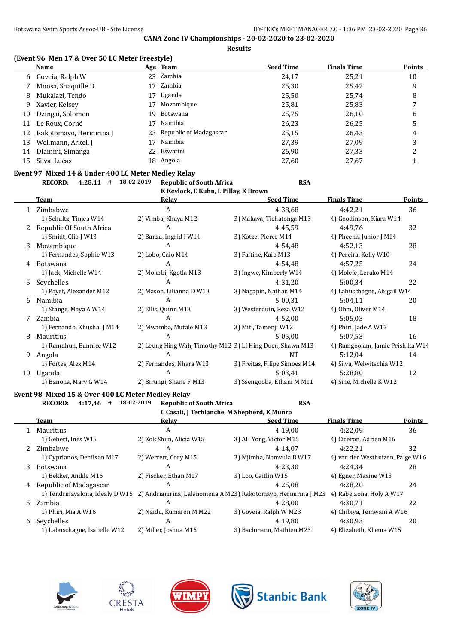**Results**

### **(Event 96 Men 17 & Over 50 LC Meter Freestyle)**

|    | Name                     |    | Age Team                  | <b>Seed Time</b> | <b>Finals Time</b> | <b>Points</b> |
|----|--------------------------|----|---------------------------|------------------|--------------------|---------------|
| 6  | Goveia, Ralph W          |    | 23 Zambia                 | 24,17            | 25,21              | 10            |
|    | Moosa, Shaquille D       | 17 | Zambia                    | 25,30            | 25,42              | 9             |
| 8  | Mukalazi, Tendo          | 17 | Uganda                    | 25,50            | 25,74              | 8             |
| 9  | Xavier, Kelsey           |    | Mozambique                | 25,81            | 25,83              |               |
| 10 | Dzingai, Solomon         | 19 | Botswana                  | 25,75            | 26,10              | 6             |
| 11 | Le Roux, Corné           |    | Namibia                   | 26,23            | 26,25              |               |
| 12 | Rakotomavo, Herinirina J |    | 23 Republic of Madagascar | 25,15            | 26,43              | 4             |
| 13 | Wellmann, Arkell J       |    | Namibia                   | 27.39            | 27.09              | 3             |
| 14 | Dlamini, Simanga         |    | 22 Eswatini               | 26,90            | 27,33              | າ             |
| 15 | Silva, Lucas             |    | 18 Angola                 | 27,60            | 27,67              |               |

#### **Event 97 Mixed 14 & Under 400 LC Meter Medley Relay**

**RECORD: 4:28,11 # 18-02-2019 Republic of South Africa RSA**

|    | K Keylock, E Kuhn, L Pillay, K Brown |                                                           |                               |                                  |        |  |  |  |  |
|----|--------------------------------------|-----------------------------------------------------------|-------------------------------|----------------------------------|--------|--|--|--|--|
|    | Team                                 | Relav                                                     | <b>Seed Time</b>              | <b>Finals Time</b>               | Points |  |  |  |  |
|    | Zimbabwe                             | A                                                         | 4:38,68                       | 4:42,21                          | 36     |  |  |  |  |
|    | 1) Schultz, Timea W14                | 2) Vimba, Khaya M12                                       | 3) Makaya, Tichatonga M13     | 4) Goodinson, Kiara W14          |        |  |  |  |  |
|    | Republic Of South Africa             | A                                                         | 4:45.59                       | 4:49.76                          | 32     |  |  |  |  |
|    | 1) Smidt, Clio J W13                 | 2) Banza, Ingrid I W14                                    | 3) Kotze, Pierce M14          | 4) Pheeha, Junior J M14          |        |  |  |  |  |
| 3  | Mozambique                           | A                                                         | 4:54,48                       | 4:52,13                          | 28     |  |  |  |  |
|    | 1) Fernandes, Sophie W13             | 2) Lobo, Caio M14                                         | 3) Faftine, Kaio M13          | 4) Pereira, Kelly W10            |        |  |  |  |  |
| 4  | <b>Botswana</b>                      | A                                                         | 4:54,48                       | 4:57.25                          | 24     |  |  |  |  |
|    | 1) Jack, Michelle W14                | 2) Mokobi, Kgotla M13                                     | 3) Ingwe, Kimberly W14        | 4) Molefe, Lerako M14            |        |  |  |  |  |
| 5  | Seychelles                           | A                                                         | 4:31,20                       | 5:00,34                          | 22     |  |  |  |  |
|    | 1) Payet, Alexander M12              | 2) Mason, Lilianna D W13                                  | 3) Nagapin, Nathan M14        | 4) Labuschagne, Abigail W14      |        |  |  |  |  |
| 6  | Namibia                              | A                                                         | 5:00.31                       | 5:04.11                          | 20     |  |  |  |  |
|    | 1) Stange, Maya A W14                | 2) Ellis, Quinn M13                                       | 3) Westerduin, Reza W12       | 4) Ohm, Oliver M14               |        |  |  |  |  |
|    | Zambia                               | A                                                         | 4:52,00                       | 5:05,03                          | 18     |  |  |  |  |
|    | 1) Fernando, Khushal J M14           | 2) Mwamba, Mutale M13                                     | 3) Miti, Tamenji W12          | 4) Phiri, Jade A W13             |        |  |  |  |  |
| 8  | <b>Mauritius</b>                     | A                                                         | 5:05,00                       | 5:07,53                          | 16     |  |  |  |  |
|    | 1) Ramdhun, Eunnice W12              | 2) Leung Hing Wah, Timothy M12 3) LI Hing Duen, Shawn M13 |                               | 4) Ramgoolam, Jamie Prishika W14 |        |  |  |  |  |
| 9  | Angola                               | A                                                         | <b>NT</b>                     | 5:12,04                          | 14     |  |  |  |  |
|    | 1) Fortes, Alex M14                  | 2) Fernandes, Nhara W13                                   | 3) Freitas, Filipe Simoes M14 | 4) Silva, Welwitschia W12        |        |  |  |  |  |
| 10 | Uganda                               | A                                                         | 5:03.41                       | 5:28.80                          | 12     |  |  |  |  |
|    | 1) Banona, Mary G W14                | 2) Birungi, Shane F M13                                   | 3) Ssengooba, Ethani M M11    | 4) Sine, Michelle K W12          |        |  |  |  |  |

# **Event 98 Mixed 15 & Over 400 LC Meter Medley Relay**

|    | <b>RECORD:</b><br>4:17,46<br>#              | 18-02-2019<br><b>Republic of South Africa</b>                                                   | <b>RSA</b>               |                                  |               |  |  |  |  |
|----|---------------------------------------------|-------------------------------------------------------------------------------------------------|--------------------------|----------------------------------|---------------|--|--|--|--|
|    | C Casali, J Terblanche, M Shepherd, K Munro |                                                                                                 |                          |                                  |               |  |  |  |  |
|    | Team                                        | Relav                                                                                           | <b>Seed Time</b>         | <b>Finals Time</b>               | <b>Points</b> |  |  |  |  |
|    | 1 Mauritius                                 | A                                                                                               | 4:19.00                  | 4:22.09                          | 36            |  |  |  |  |
|    | 1) Gebert, Ines W15                         | 2) Kok Shun, Alicia W15                                                                         | 3) AH Yong, Victor M15   | 4) Ciceron, Adrien M16           |               |  |  |  |  |
| 2. | Zimbabwe                                    | A                                                                                               | 4:14.07                  | 4:22.21                          | 32            |  |  |  |  |
|    | 1) Cyprianos, Denilson M17                  | 2) Werrett, Cory M15                                                                            | 3) Mjimba, Nomvula B W17 | 4) van der Westhuizen, Paige W16 |               |  |  |  |  |
| 3  | Botswana                                    | А                                                                                               | 4:23.30                  | 4:24.34                          | 28            |  |  |  |  |
|    | 1) Bekker, Andile M16                       | 2) Fischer, Ethan M17                                                                           | 3) Loo, Caitlin W15      | 4) Egner, Maxine W15             |               |  |  |  |  |
| 4  | Republic of Madagascar                      | А                                                                                               | 4:25.08                  | 4:28.20                          | 24            |  |  |  |  |
|    |                                             | 1) Tendrinavalona, Idealy D W15 2) Andrianirina, Lalanomena A M23) Rakotomavo, Herinirina J M23 |                          | 4) Rabejaona, Holy A W17         |               |  |  |  |  |
|    | 5 Zambia                                    | A                                                                                               | 4:28.00                  | 4:30.71                          | 22            |  |  |  |  |
|    | 1) Phiri, Mia A W16                         | 2) Naidu, Kumaren M M22                                                                         | 3) Goveia, Ralph W M23   | 4) Chibiya, Temwani A W16        |               |  |  |  |  |
| 6  | Sevchelles                                  | A                                                                                               | 4:19.80                  | 4:30.93                          | 20            |  |  |  |  |
|    | 1) Labuschagne, Isabelle W12                | 2) Miller, Joshua M15                                                                           | 3) Bachmann, Mathieu M23 | 4) Elizabeth, Khema W15          |               |  |  |  |  |









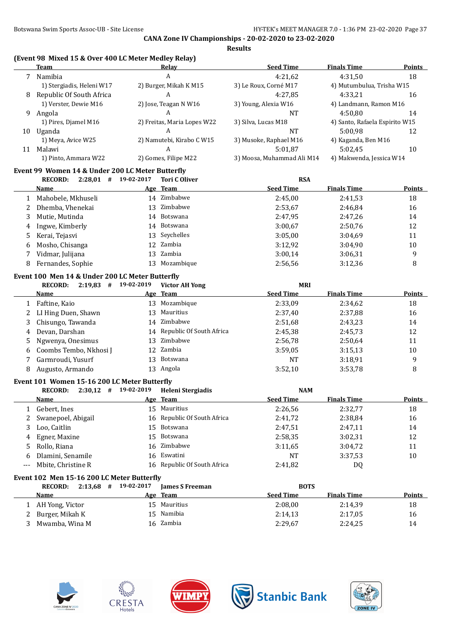|     | Team                                                           |    | <b>Relay</b>                  | <b>Seed Time</b>               | <b>Finals Time</b>             | <b>Points</b> |
|-----|----------------------------------------------------------------|----|-------------------------------|--------------------------------|--------------------------------|---------------|
| 7   | Namibia                                                        |    | $\boldsymbol{A}$              | 4:21,62                        | 4:31,50                        | 18            |
|     | 1) Stergiadis, Heleni W17                                      |    | 2) Burger, Mikah K M15        | 3) Le Roux, Corné M17          | 4) Mutumbulua, Trisha W15      |               |
| 8   | Republic Of South Africa                                       |    | A                             | 4:27,85                        | 4:33,21                        | 16            |
|     | 1) Verster, Dewie M16                                          |    | 2) Jose, Teagan N W16         | 3) Young, Alexia W16           | 4) Landmann, Ramon M16         |               |
| 9   | Angola                                                         |    | A                             | <b>NT</b>                      | 4:50,80                        | 14            |
|     | 1) Pires, Djamel M16                                           |    | 2) Freitas, Maria Lopes W22   | 3) Silva, Lucas M18            | 4) Santo, Rafaela Espirito W15 |               |
|     | 10 Uganda                                                      |    | A                             | <b>NT</b>                      | 5:00,98                        | 12            |
|     | 1) Meya, Avice W25                                             |    | 2) Namutebi, Kirabo C W15     | 3) Musoke, Raphael M16         | 4) Kaganda, Ben M16            |               |
|     | 11 Malawi                                                      |    | A                             | 5:01,87                        | 5:02,45                        | 10            |
|     | 1) Pinto, Ammara W22                                           |    | 2) Gomes, Filipe M22          | 3) Moosa, Muhammad Ali M14     | 4) Makwenda, Jessica W14       |               |
|     | Event 99 Women 14 & Under 200 LC Meter Butterfly               |    |                               |                                |                                |               |
|     | $2:28,01$ # 19-02-2017<br><b>RECORD:</b>                       |    | <b>Tori C Oliver</b>          | <b>RSA</b>                     |                                |               |
|     | <u>Name</u>                                                    |    | Age Team                      | <b>Seed Time</b>               | <b>Finals Time</b>             | Points        |
| 1   | Mahobele, Mkhuseli                                             |    | 14 Zimbabwe                   | 2:45,00                        | 2:41,53                        | 18            |
| 2   | Dhemba, Vhenekai                                               | 13 | Zimbabwe                      | 2:53,67                        | 2:46,84                        | 16            |
| 3   | Mutie, Mutinda                                                 | 14 | Botswana                      | 2:47,95                        | 2:47,26                        | 14            |
| 4   | Ingwe, Kimberly                                                | 14 | Botswana                      | 3:00,67                        | 2:50,76                        | 12            |
| 5   | Kerai, Tejasvi                                                 | 13 | Seychelles                    | 3:05,00                        | 3:04,69                        | 11            |
| 6   | Mosho, Chisanga                                                | 12 | Zambia                        | 3:12,92                        | 3:04,90                        | 10            |
| 7   | Vidmar, Julijana                                               | 13 | Zambia                        | 3:00,14                        | 3:06,31                        | 9             |
| 8   | Fernandes, Sophie                                              |    | 13 Mozambique                 | 2:56,56                        | 3:12,36                        | 8             |
|     | Event 100 Men 14 & Under 200 LC Meter Butterfly                |    |                               |                                |                                |               |
|     | RECORD: 2:19,83 # 19-02-2019                                   |    | <b>Victor AH Yong</b>         | <b>MRI</b>                     |                                |               |
|     | <b>Name</b>                                                    |    | Age Team                      | <b>Seed Time</b>               | <b>Finals Time</b>             | <b>Points</b> |
| 1   | Faftine, Kaio                                                  |    | 13 Mozambique                 | 2:33,09                        | 2:34,62                        | 18            |
| 2   | LI Hing Duen, Shawn                                            | 13 | Mauritius                     | 2:37,40                        | 2:37,88                        | 16            |
| 3   | Chisungo, Tawanda                                              | 14 | Zimbabwe                      | 2:51,68                        | 2:43,23                        | 14            |
| 4   | Devan, Darshan                                                 | 14 | Republic Of South Africa      | 2:45,38                        | 2:45,73                        | 12            |
| 5   | Ngwenya, Onesimus                                              | 13 | Zimbabwe                      | 2:56,78                        | 2:50,64                        | 11            |
|     |                                                                |    | Zambia                        |                                |                                | 10            |
| 6   | Coombs Tembo, Nkhosi J                                         | 12 | Botswana                      | 3:59,05                        | 3:15,13                        |               |
| 7   | Garmroudi, Yusurf                                              | 13 | 13 Angola                     | <b>NT</b>                      | 3:18,91                        | 9             |
| 8   | Augusto, Armando                                               |    |                               | 3:52,10                        | 3:53,78                        | 8             |
|     | Event 101 Women 15-16 200 LC Meter Butterfly<br><b>RECORD:</b> |    |                               |                                |                                |               |
|     | $2:30,12$ # 19-02-2019<br>Name                                 |    | Heleni Stergiadis<br>Age Team | <b>NAM</b><br><b>Seed Time</b> | <b>Finals Time</b>             | Points        |
|     | 1 Gebert, Ines                                                 |    | 15 Mauritius                  |                                |                                |               |
|     |                                                                |    | 16 Republic Of South Africa   | 2:26,56                        | 2:32,77                        | 18            |
| 2   | Swanepoel, Abigail                                             |    |                               | 2:41,72                        | 2:38,84                        | 16            |
| 3   | Loo, Caitlin                                                   |    | 15 Botswana                   | 2:47,51                        | 2:47,11                        | 14            |
| 4   | Egner, Maxine                                                  | 15 | Botswana                      | 2:58,35                        | 3:02,31                        | 12            |
| 5   | Rollo, Riana                                                   | 16 | Zimbabwe                      | 3:11,65                        | 3:04,72                        | 11            |
| 6   | Dlamini, Senamile                                              | 16 | Eswatini                      | NT                             | 3:37,53                        | 10            |
| --- | Mbite, Christine R                                             |    | 16 Republic Of South Africa   | 2:41,82                        | DQ                             |               |
|     | Event 102 Men 15-16 200 LC Meter Butterfly                     |    |                               |                                |                                |               |
|     | $2:13,68$ # 19-02-2017<br><b>RECORD:</b>                       |    | <b>James S Freeman</b>        | <b>BOTS</b>                    |                                |               |
|     | <u>Name</u>                                                    |    | Age Team                      | <b>Seed Time</b>               | <b>Finals Time</b>             | <b>Points</b> |
|     |                                                                |    |                               |                                |                                |               |
|     | 1 AH Yong, Victor                                              |    | 15 Mauritius                  | 2:08,00                        | 2:14,39                        | 18            |
| 2   | Burger, Mikah K<br>Mwamba, Wina M                              |    | 15 Namibia<br>16 Zambia       | 2:14,13<br>2:29,67             | 2:17,05<br>2:24,25             | 16            |

# **(Event 98 Mixed 15 & Over 400 LC Meter Medley Relay)**









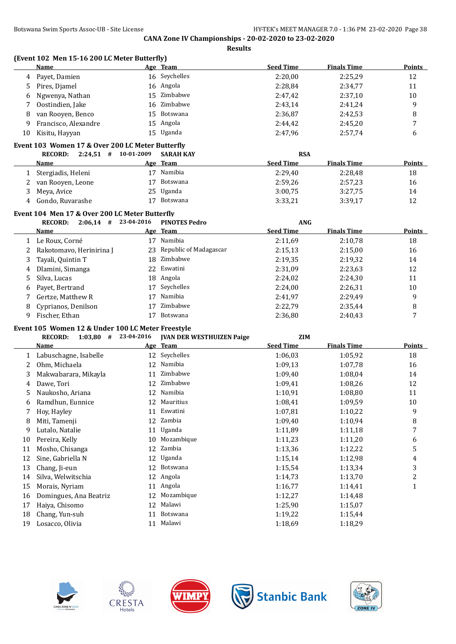**Results**

|          | (Event 102 Men 15-16 200 LC Meter Butterfly)      |    |                                  |                    |                    |                         |
|----------|---------------------------------------------------|----|----------------------------------|--------------------|--------------------|-------------------------|
|          | <b>Name</b>                                       |    | Age Team                         | <b>Seed Time</b>   | <b>Finals Time</b> | <b>Points</b>           |
| 4        | Payet, Damien                                     |    | 16 Seychelles                    | 2:20,00            | 2:25,29            | 12                      |
| 5        | Pires, Djamel                                     | 16 | Angola                           | 2:28,84            | 2:34,77            | 11                      |
| 6        | Ngwenya, Nathan                                   | 15 | Zimbabwe                         | 2:47,42            | 2:37,10            | 10                      |
| 7        | Oostindien, Jake                                  | 16 | Zimbabwe                         | 2:43,14            | 2:41,24            | 9                       |
| 8        | van Rooyen, Benco                                 | 15 | Botswana                         | 2:36,87            | 2:42,53            | 8                       |
| 9        | Francisco, Alexandre                              | 15 | Angola                           | 2:44,42            | 2:45,20            | 7                       |
| 10       | Kisitu, Hayyan                                    |    | 15 Uganda                        | 2:47,96            | 2:57,74            | 6                       |
|          | Event 103 Women 17 & Over 200 LC Meter Butterfly  |    |                                  |                    |                    |                         |
|          | $2:24,51$ # 10-01-2009<br><b>RECORD:</b>          |    | <b>SARAH KAY</b>                 | <b>RSA</b>         |                    |                         |
|          | Name                                              |    | Age Team                         | <b>Seed Time</b>   | <b>Finals Time</b> | Points                  |
|          | 1 Stergiadis, Heleni                              |    | 17 Namibia                       | 2:29,40            | 2:28,48            | 18                      |
| 2        | van Rooyen, Leone                                 | 17 | Botswana                         | 2:59,26            | 2:57,23            | 16                      |
| 3        | Meya, Avice                                       | 25 | Uganda                           | 3:00,75            | 3:27,75            | 14                      |
| 4        | Gondo, Ruvarashe                                  | 17 | Botswana                         | 3:33,21            | 3:39,17            | 12                      |
|          | Event 104 Men 17 & Over 200 LC Meter Butterfly    |    |                                  |                    |                    |                         |
|          | $2:06.14$ # 23-04-2016<br><b>RECORD:</b>          |    | <b>PINOTES Pedro</b>             | <b>ANG</b>         |                    |                         |
|          | <b>Name</b>                                       |    | Age Team                         | <b>Seed Time</b>   | <b>Finals Time</b> | <b>Points</b>           |
|          | 1 Le Roux, Corné                                  |    | 17 Namibia                       | 2:11,69            | 2:10,78            | 18                      |
| 2        | Rakotomavo, Herinirina J                          | 23 | Republic of Madagascar           | 2:15,13            | 2:15,00            | 16                      |
| 3        | Tayali, Quintin T                                 | 18 | Zimbabwe                         | 2:19,35            | 2:19,32            | 14                      |
| 4        | Dlamini, Simanga                                  | 22 | Eswatini                         | 2:31,09            | 2:23,63            | 12                      |
| 5        | Silva, Lucas                                      | 18 | Angola                           | 2:24,02            | 2:24,30            | 11                      |
| 6        | Payet, Bertrand                                   | 17 | Seychelles                       | 2:24,00            | 2:26,31            | 10                      |
| 7        | Gertze, Matthew R                                 | 17 | Namibia                          | 2:41,97            | 2:29,49            | 9                       |
| 8        | Cyprianos, Denilson                               | 17 | Zimbabwe                         | 2:22,79            | 2:35,44            | 8                       |
| 9        | Fischer, Ethan                                    |    | 17 Botswana                      | 2:36,80            | 2:40,43            | 7                       |
|          | Event 105 Women 12 & Under 100 LC Meter Freestyle |    |                                  |                    |                    |                         |
|          | <b>RECORD:</b><br>$1:03,80$ # 23-04-2016          |    | <b>JVAN DER WESTHUIZEN Paige</b> | <b>ZIM</b>         |                    |                         |
|          | Name                                              |    | Age Team                         | <b>Seed Time</b>   | <b>Finals Time</b> | Points                  |
| 1        | Labuschagne, Isabelle                             |    | 12 Seychelles                    | 1:06,03            | 1:05,92            | 18                      |
| 2        | Ohm, Michaela                                     |    | 12 Namibia                       | 1:09,13            | 1:07,78            | 16                      |
| 3        | Makwabarara, Mikayla                              |    | 11 Zimbabwe                      | 1:09,40            | 1:08,04            | 14                      |
| 4        | Dawe, Tori                                        | 12 | Zimbabwe                         | 1:09,41            | 1:08,26            | 12                      |
| 5        | Naukosho, Ariana                                  |    | 12 Namibia                       | 1:10,91            | 1:08,80            | 11                      |
| 6        | Ramdhun, Eunnice                                  |    | 12 Mauritius                     | 1:08,41            | 1:09,59            | 10                      |
| 7        | Hoy, Hayley                                       |    | 11 Eswatini                      | 1:07,81            | 1:10,22            | 9                       |
| 8        | Miti, Tamenji                                     | 12 | Zambia                           | 1:09,40            | 1:10,94            | 8                       |
| 9        | Lutalo, Natalie                                   |    | 11 Uganda                        | 1:11,89            | 1:11,18            | 7                       |
| 10       | Pereira, Kelly                                    | 10 | Mozambique                       | 1:11,23            | 1:11,20            | 6                       |
| 11       | Mosho, Chisanga                                   | 12 | Zambia                           | 1:13,36            | 1:12,22            | 5                       |
| 12       | Sine, Gabriella N                                 | 12 | Uganda                           | 1:15,14            | 1:12,98            | 4                       |
| 13       | Chang, Ji-eun                                     | 12 | Botswana                         | 1:15,54            | 1:13,34            | 3                       |
| 14       | Silva, Welwitschia                                | 12 | Angola                           | 1:14,73            | 1:13,70            | $\overline{\mathbf{c}}$ |
|          |                                                   |    | Angola                           | 1:16,77            | 1:14,41            | $\mathbf{1}$            |
|          |                                                   | 11 |                                  |                    |                    |                         |
| 15       | Morais, Nyriam                                    | 12 |                                  |                    |                    |                         |
| 16       | Domingues, Ana Beatriz                            |    | Mozambique<br>Malawi             | 1:12,27            | 1:14,48            |                         |
| 17<br>18 | Haiya, Chisomo<br>Chang, Yun-suh                  | 12 | 11 Botswana                      | 1:25,90<br>1:19,22 | 1:15,07<br>1:15,44 |                         |









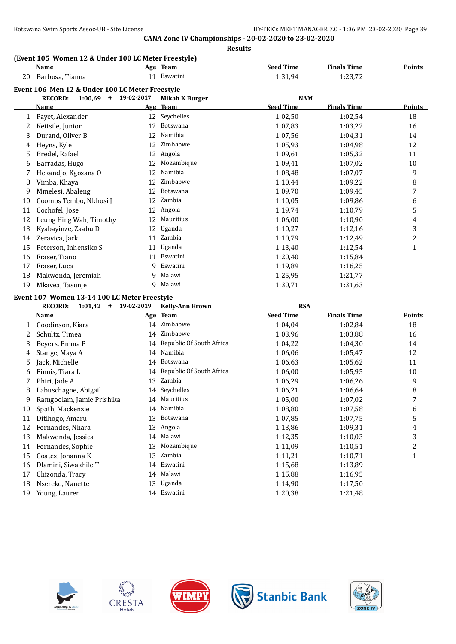# **(Event 105 Women 12 & Under 100 LC Meter Freestyle)**

|    | <b>Name</b>                                     |            | Age Team              | <b>Seed Time</b> | <b>Finals Time</b> | <b>Points</b> |
|----|-------------------------------------------------|------------|-----------------------|------------------|--------------------|---------------|
| 20 | Barbosa, Tianna                                 |            | 11 Eswatini           | 1:31,94          | 1:23,72            |               |
|    | Event 106 Men 12 & Under 100 LC Meter Freestyle |            |                       |                  |                    |               |
|    | <b>RECORD:</b><br>$1:00,69$ #                   | 19-02-2017 | <b>Mikah K Burger</b> | <b>NAM</b>       |                    |               |
|    | <b>Name</b>                                     | <u>Age</u> | <b>Team</b>           | <b>Seed Time</b> | <b>Finals Time</b> | Points        |
| 1  | Payet, Alexander                                | 12         | Seychelles            | 1:02,50          | 1:02,54            | 18            |
| 2  | Keitsile, Junior                                | 12         | Botswana              | 1:07,83          | 1:03,22            | 16            |
| 3  | Durand, Oliver B                                | 12         | Namibia               | 1:07,56          | 1:04.31            | 14            |
| 4  | Heyns, Kyle                                     | 12         | Zimbabwe              | 1:05,93          | 1:04.98            | 12            |
| 5  | Bredel, Rafael                                  | 12         | Angola                | 1:09,61          | 1:05,32            | 11            |
| 6  | Barradas, Hugo                                  | 12         | Mozambique            | 1:09,41          | 1:07,02            | 10            |
| 7  | Hekandjo, Kgosana O                             | 12         | Namibia               | 1:08,48          | 1:07,07            | 9             |
| 8  | Vimba, Khaya                                    | 12         | Zimbabwe              | 1:10,44          | 1:09,22            | 8             |
| 9  | Mmelesi, Abaleng                                | 12         | Botswana              | 1:09,70          | 1:09,45            | 7             |
| 10 | Coombs Tembo, Nkhosi J                          | 12         | Zambia                | 1:10,05          | 1:09,86            | 6             |
| 11 | Cochofel, Jose                                  | 12         | Angola                | 1:19,74          | 1:10,79            | 5             |
| 12 | Leung Hing Wah, Timothy                         | 12         | Mauritius             | 1:06,00          | 1:10,90            | 4             |
| 13 | Kyabayinze, Zaabu D                             | 12         | Uganda                | 1:10,27          | 1:12,16            | 3             |
| 14 | Zeravica, Jack                                  | 11         | Zambia                | 1:10,79          | 1:12,49            | 2             |
| 15 | Peterson, Inhensiko S                           | 11         | Uganda                | 1:13,40          | 1:12,54            | 1             |
| 16 | Fraser, Tiano                                   | 11         | Eswatini              | 1:20,40          | 1:15,84            |               |
| 17 | Fraser, Luca                                    | 9          | Eswatini              | 1:19,89          | 1:16,25            |               |
| 18 | Makwenda, Jeremiah                              | 9          | Malawi                | 1:25,95          | 1:21,77            |               |
| 19 | Mkavea, Tasunje                                 | 9.         | Malawi                | 1:30,71          | 1:31,63            |               |
|    |                                                 |            |                       |                  |                    |               |

### **Event 107 Women 13-14 100 LC Meter Freestyle**

|    | <b>RECORD:</b><br>$1:01,42$ # | 19-02-2019 | <b>Kelly-Ann Brown</b>      | <b>RSA</b>       |                    |               |
|----|-------------------------------|------------|-----------------------------|------------------|--------------------|---------------|
|    | Name                          |            | Age Team                    | <b>Seed Time</b> | <b>Finals Time</b> | <b>Points</b> |
|    | Goodinson, Kiara              | 14         | Zimbabwe                    | 1:04,04          | 1:02,84            | 18            |
| 2. | Schultz, Timea                | 14         | Zimbabwe                    | 1:03,96          | 1:03.88            | 16            |
| 3  | Beyers, Emma P                |            | 14 Republic Of South Africa | 1:04,22          | 1:04,30            | 14            |
| 4  | Stange, Maya A                | 14         | Namibia                     | 1:06,06          | 1:05,47            | 12            |
| 5. | Jack, Michelle                | 14         | Botswana                    | 1:06,63          | 1:05,62            | 11            |
| 6  | Finnis, Tiara L               | 14         | Republic Of South Africa    | 1:06,00          | 1:05,95            | 10            |
|    | Phiri, Jade A                 | 13         | Zambia                      | 1:06.29          | 1:06,26            | 9             |
| 8  | Labuschagne, Abigail          | 14         | Seychelles                  | 1:06,21          | 1:06.64            | 8             |
| 9  | Ramgoolam, Jamie Prishika     |            | 14 Mauritius                | 1:05,00          | 1:07,02            | 7             |
| 10 | Spath, Mackenzie              | 14         | Namibia                     | 1:08,80          | 1:07,58            | 6             |
| 11 | Ditlhogo, Amaru               | 13         | <b>Botswana</b>             | 1:07.85          | 1:07.75            | 5             |
| 12 | Fernandes, Nhara              | 13         | Angola                      | 1:13,86          | 1:09.31            | 4             |
| 13 | Makwenda, Jessica             | 14         | Malawi                      | 1:12,35          | 1:10,03            | 3             |
| 14 | Fernandes, Sophie             | 13         | Mozambique                  | 1:11,09          | 1:10,51            | 2             |
| 15 | Coates, Johanna K             | 13         | Zambia                      | 1:11,21          | 1:10,71            | 1             |
| 16 | Dlamini, Siwakhile T          | 14         | Eswatini                    | 1:15,68          | 1:13,89            |               |
| 17 | Chizonda, Tracy               | 14         | Malawi                      | 1:15,88          | 1:16,95            |               |
| 18 | Nsereko, Nanette              | 13         | Uganda                      | 1:14,90          | 1:17,50            |               |
| 19 | Young, Lauren                 |            | 14 Eswatini                 | 1:20,38          | 1:21,48            |               |









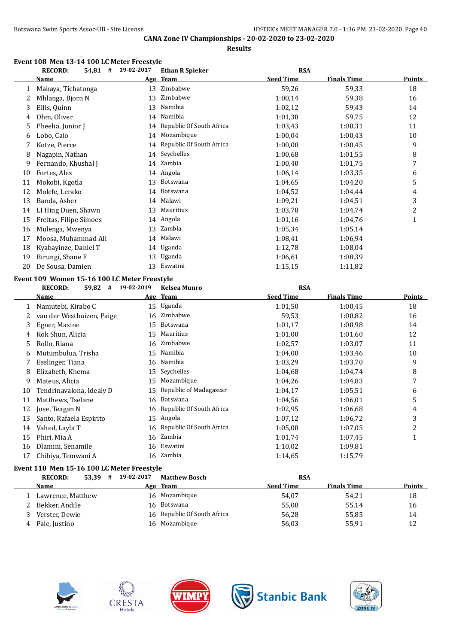**Results**

|    | <b>RECORD:</b><br>$54,81$ #                  | 19-02-2017 | <b>Ethan R Spieker</b>      | <b>RSA</b>       |                    |               |
|----|----------------------------------------------|------------|-----------------------------|------------------|--------------------|---------------|
|    | <b>Name</b>                                  |            | Age Team                    | <b>Seed Time</b> | <b>Finals Time</b> | <b>Points</b> |
| 1  | Makaya, Tichatonga                           |            | 13 Zimbabwe                 | 59,26            | 59,33              | 18            |
| 2  | Mhlanga, Bjorn N                             | 13         | Zimbabwe                    | 1:00,14          | 59,38              | 16            |
| 3  | Ellis, Quinn                                 | 13         | Namibia                     | 1:02,12          | 59,43              | 14            |
| 4  | Ohm, Oliver                                  | 14         | Namibia                     | 1:01,38          | 59,75              | 12            |
| 5  | Pheeha, Junior J                             | 14         | Republic Of South Africa    | 1:03,43          | 1:00,31            | 11            |
| 6  | Lobo, Caio                                   | 14         | Mozambique                  | 1:00,04          | 1:00,43            | 10            |
| 7  | Kotze, Pierce                                | 14         | Republic Of South Africa    | 1:00,00          | 1:00,45            | 9             |
| 8  | Nagapin, Nathan                              | 14         | Seychelles                  | 1:00,68          | 1:01,55            | 8             |
| 9  | Fernando, Khushal J                          | 14         | Zambia                      | 1:00,40          | 1:01,75            | 7             |
| 10 | Fortes, Alex                                 | 14         | Angola                      | 1:06,14          | 1:03,35            | 6             |
| 11 | Mokobi, Kgotla                               | 13         | <b>Botswana</b>             | 1:04,65          | 1:04,20            | 5             |
| 12 | Molefe, Lerako                               | 14         | Botswana                    | 1:04,52          | 1:04,44            | 4             |
| 13 | Banda, Asher                                 | 14         | Malawi                      | 1:09,21          | 1:04,51            | 3             |
| 14 | LI Hing Duen, Shawn                          | 13         | Mauritius                   | 1:03,78          | 1:04,74            | 2             |
| 15 | Freitas, Filipe Simoes                       |            | 14 Angola                   | 1:01,16          | 1:04,76            | $\mathbf{1}$  |
| 16 | Mulenga, Mwenya                              |            | 13 Zambia                   | 1:05,34          | 1:05,14            |               |
| 17 | Moosa, Muhammad Ali                          |            | 14 Malawi                   | 1:08,41          | 1:06,94            |               |
| 18 | Kyabayinze, Daniel T                         |            | 14 Uganda                   | 1:12,78          | 1:08,04            |               |
| 19 | Birungi, Shane F                             | 13         | Uganda                      | 1:06,61          | 1:08,39            |               |
| 20 | De Sousa, Damien                             | 13         | Eswatini                    | 1:15,15          | 1:11,82            |               |
|    | Event 109 Women 15-16 100 LC Meter Freestyle |            |                             |                  |                    |               |
|    | <b>RECORD:</b><br>59,82 #                    | 19-02-2019 | <b>Kelsea Munro</b>         | <b>RSA</b>       |                    |               |
|    | <u>Name</u>                                  | <u>Age</u> | <b>Team</b>                 | <b>Seed Time</b> | <b>Finals Time</b> | <b>Points</b> |
| 1  | Namutebi, Kirabo C                           | 15         | Uganda                      | 1:01,50          | 1:00,45            | 18            |
| 2  | van der Westhuizen, Paige                    | 16         | Zimbabwe                    | 59,53            | 1:00,82            | 16            |
| 3  | Egner, Maxine                                | 15         | Botswana                    | 1:01,17          | 1:00,98            | 14            |
| 4  | Kok Shun, Alicia                             | 15         | Mauritius                   | 1:01,00          | 1:01,60            | 12            |
| 5  | Rollo, Riana                                 | 16         | Zimbabwe                    | 1:02,57          | 1:03,07            | 11            |
| 6  | Mutumbulua, Trisha                           | 15         | Namibia                     | 1:04,00          | 1:03,46            | 10            |
| 7  | Esslinger, Tiana                             | 16         | Namibia                     | 1:03,29          | 1:03,70            | 9             |
| 8  | Elizabeth, Khema                             | 15         | Seychelles                  | 1:04,68          | 1:04,74            | 8             |
| 9  | Mateus, Alicia                               | 15         | Mozambique                  | 1:04,26          | 1:04,83            | 7             |
| 10 | Tendrinavalona, Idealy D                     | 15         | Republic of Madagascar      | 1:04,17          | 1:05,51            | 6             |
| 11 | Matthews, Tselane                            | 16         | Botswana                    | 1:04,56          | 1:06,01            | 5             |
|    | 12 Jose, Teagan N                            |            | 16 Republic Of South Africa | 1:02,95          | 1:06,68            | 4             |
| 13 | Santo, Rafaela Espirito                      |            | 15 Angola                   | 1:07,12          | 1:06,72            | 3             |
| 14 | Vahed, Layla T                               |            | 16 Republic Of South Africa | 1:05,08          | 1:07,05            | 2             |
| 15 | Phiri, Mia A                                 |            | 16 Zambia                   | 1:01,74          | 1:07,45            | 1             |
| 16 | Dlamini, Senamile                            |            | 16 Eswatini                 | 1:10,02          | 1:09,81            |               |
| 17 | Chibiya, Temwani A                           |            | 16 Zambia                   | 1:14,65          | 1:15,79            |               |
|    | Event 110 Men 15-16 100 LC Meter Freestyle   |            |                             |                  |                    |               |
|    | <b>RECORD:</b><br>53,39 # 19-02-2017         |            | <b>Matthew Bosch</b>        | <b>RSA</b>       |                    |               |
|    | <u>Name</u>                                  |            | <u>Age Team</u>             | <b>Seed Time</b> | <b>Finals Time</b> | <b>Points</b> |

1 Lawrence, Matthew 16 Mozambique 54,07 54,21 18 2 Bekker, Andile 16 Botswana 16 Botswana 55,00 55,14 16 3 Verster, Dewie 16 Republic Of South Africa 56,28 55,85 55,85 4 Pale, Justino 16 Mozambique 56,03 55,91 12









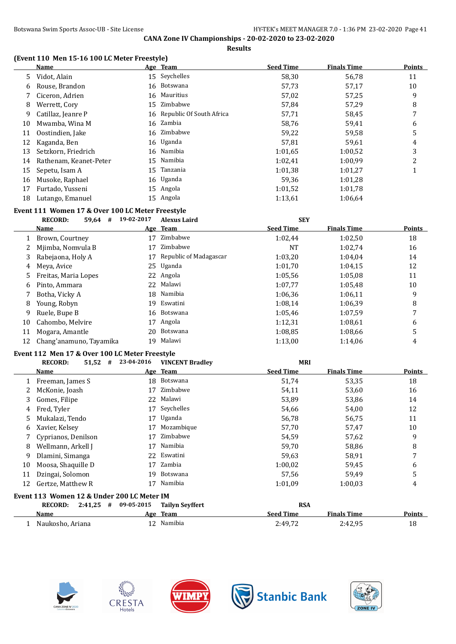**Results**

### **(Event 110 Men 15-16 100 LC Meter Freestyle)**

|    | <b>Name</b>            |    | Age Team                    | <b>Seed Time</b> | <b>Finals Time</b> | <b>Points</b> |
|----|------------------------|----|-----------------------------|------------------|--------------------|---------------|
| 5. | Vidot, Alain           |    | 15 Seychelles               | 58,30            | 56,78              | 11            |
| 6  | Rouse, Brandon         |    | 16 Botswana                 | 57,73            | 57,17              | 10            |
|    | Ciceron, Adrien        |    | 16 Mauritius                | 57,02            | 57,25              | 9             |
| 8  | Werrett, Cory          | 15 | Zimbabwe                    | 57,84            | 57,29              | 8             |
| 9  | Catillaz, Jeanre P     |    | 16 Republic Of South Africa | 57,71            | 58,45              | 7             |
| 10 | Mwamba, Wina M         |    | 16 Zambia                   | 58,76            | 59,41              | 6             |
| 11 | Oostindien, Jake       |    | 16 Zimbabwe                 | 59,22            | 59,58              | 5             |
| 12 | Kaganda, Ben           |    | 16 Uganda                   | 57,81            | 59,61              | 4             |
| 13 | Setzkorn, Friedrich    |    | 16 Namibia                  | 1:01.65          | 1:00,52            | 3             |
| 14 | Rathenam, Keanet-Peter |    | 15 Namibia                  | 1:02,41          | 1:00.99            | 2             |
| 15 | Sepetu, Isam A         | 15 | Tanzania                    | 1:01.38          | 1:01,27            |               |
| 16 | Musoke, Raphael        |    | 16 Uganda                   | 59,36            | 1:01,28            |               |
| 17 | Furtado, Yusseni       |    | 15 Angola                   | 1:01,52          | 1:01.78            |               |
| 18 | Lutango, Emanuel       |    | 15 Angola                   | 1:13,61          | 1:06.64            |               |
|    |                        |    |                             |                  |                    |               |

# **Event 111 Women 17 & Over 100 LC Meter Freestyle**

|    | <b>RECORD:</b><br>59,64<br># | 19-02-2017 | <b>Alexus Laird</b>    | <b>SEY</b>       |                    |               |
|----|------------------------------|------------|------------------------|------------------|--------------------|---------------|
|    | Name                         |            | Age Team               | <b>Seed Time</b> | <b>Finals Time</b> | <b>Points</b> |
|    | Brown, Courtney              | 17         | Zimbabwe               | 1:02.44          | 1:02,50            | 18            |
| 2  | Mjimba, Nomvula B            | 17         | Zimbabwe               | <b>NT</b>        | 1:02,74            | 16            |
| 3  | Rabejaona, Holy A            | 17         | Republic of Madagascar | 1:03,20          | 1:04.04            | 14            |
| 4  | Meya, Avice                  |            | 25 Uganda              | 1:01.70          | 1:04.15            | 12            |
| 5  | Freitas, Maria Lopes         |            | 22 Angola              | 1:05.56          | 1:05.08            | 11            |
| 6  | Pinto, Ammara                | 22         | Malawi                 | 1:07.77          | 1:05,48            | 10            |
|    | Botha, Vicky A               |            | 18 Namibia             | 1:06.36          | 1:06.11            | 9             |
| 8  | Young, Robyn                 | 19         | Eswatini               | 1:08.14          | 1:06.39            | 8             |
| 9  | Ruele, Bupe B                | 16         | Botswana               | 1:05.46          | 1:07.59            | 7             |
| 10 | Cahombo, Melvire             | 17         | Angola                 | 1:12,31          | 1:08.61            | 6             |
| 11 | Mogara, Amantle              | 20         | Botswana               | 1:08.85          | 1:08.66            | 5             |
| 12 | Chang'anamuno, Tayamika      | 19         | Malawi                 | 1:13,00          | 1:14.06            | 4             |

#### **Event 112 Men 17 & Over 100 LC Meter Freestyle**

|    | 51,52<br><b>RECORD:</b><br>#               | 23-04-2016 | <b>VINCENT Bradlev</b> | <b>MRI</b>       |                    |               |
|----|--------------------------------------------|------------|------------------------|------------------|--------------------|---------------|
|    | Name                                       |            | Age Team               | <b>Seed Time</b> | <b>Finals Time</b> | <b>Points</b> |
|    | Freeman, James S                           |            | 18 Botswana            | 51,74            | 53,35              | 18            |
|    | McKonie, Joash                             | 17         | Zimbabwe               | 54,11            | 53,60              | 16            |
| 3. | Gomes, Filipe                              | 22         | Malawi                 | 53,89            | 53,86              | 14            |
| 4  | Fred, Tyler                                | 17         | Seychelles             | 54,66            | 54,00              | 12            |
| 5. | Mukalazi, Tendo                            | 17         | Uganda                 | 56,78            | 56,75              | 11            |
| 6  | Xavier, Kelsey                             | 17         | Mozambique             | 57,70            | 57,47              | 10            |
|    | Cyprianos, Denilson                        | 17         | Zimbabwe               | 54,59            | 57,62              | 9             |
| 8  | Wellmann, Arkell J                         | 17         | Namibia                | 59,70            | 58,86              | 8             |
| 9  | Dlamini, Simanga                           | 22         | Eswatini               | 59,63            | 58,91              | 7             |
| 10 | Moosa, Shaquille D                         | 17         | Zambia                 | 1:00,02          | 59,45              | 6             |
| 11 | Dzingai, Solomon                           | 19         | Botswana               | 57,56            | 59,49              | 5             |
| 12 | Gertze, Matthew R                          | 17         | Namibia                | 1:01.09          | 1:00.03            | 4             |
|    | Event 113 Women 12 & Under 200 LC Meter IM |            |                        |                  |                    |               |
|    | 2:41.25<br><b>RECORD:</b><br>#             | 09-05-2015 | <b>Tailyn Sevffert</b> | <b>RSA</b>       |                    |               |
|    | Name                                       |            | Age Team               | <b>Seed Time</b> | <b>Finals Time</b> | Points        |
|    | Naukosho, Ariana                           | 12         | Namibia                | 2:49,72          | 2:42,95            | 18            |









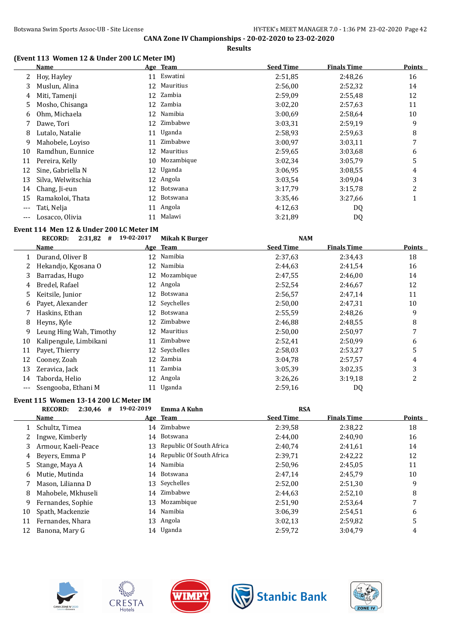**Results**

### **(Event 113 Women 12 & Under 200 LC Meter IM)**

|     | Name               |    | Age Team   | <b>Seed Time</b> | <b>Finals Time</b> | <b>Points</b> |
|-----|--------------------|----|------------|------------------|--------------------|---------------|
| 2   | Hoy, Hayley        | 11 | Eswatini   | 2:51,85          | 2:48,26            | 16            |
| 3   | Muslun, Alina      | 12 | Mauritius  | 2:56,00          | 2:52,32            | 14            |
| 4   | Miti, Tamenji      | 12 | Zambia     | 2:59,09          | 2:55,48            | 12            |
| 5   | Mosho, Chisanga    |    | 12 Zambia  | 3:02,20          | 2:57,63            | 11            |
| 6   | Ohm, Michaela      | 12 | Namibia    | 3:00.69          | 2:58,64            | 10            |
|     | Dawe, Tori         | 12 | Zimbabwe   | 3:03,31          | 2:59,19            | 9             |
| 8   | Lutalo, Natalie    | 11 | Uganda     | 2:58,93          | 2:59.63            | 8             |
| 9   | Mahobele, Loviso   | 11 | Zimbabwe   | 3:00,97          | 3:03,11            | 7             |
| 10  | Ramdhun, Eunnice   | 12 | Mauritius  | 2:59.65          | 3:03.68            | 6             |
| 11  | Pereira, Kelly     | 10 | Mozambique | 3:02,34          | 3:05.79            | 5             |
| 12  | Sine, Gabriella N  | 12 | Uganda     | 3:06.95          | 3:08.55            | 4             |
| 13  | Silva, Welwitschia |    | 12 Angola  | 3:03.54          | 3:09.04            | 3             |
| 14  | Chang, Ji-eun      | 12 | Botswana   | 3:17,79          | 3:15,78            | 2             |
| 15  | Ramakoloi, Thata   | 12 | Botswana   | 3:35,46          | 3:27,66            | $\mathbf{1}$  |
| --- | Tati, Nelja        | 11 | Angola     | 4:12.63          | DQ                 |               |
| --- | Losacco, Olivia    | 11 | Malawi     | 3:21,89          | DQ                 |               |

#### **Event 114 Men 12 & Under 200 LC Meter IM**

|    | <b>RECORD:</b><br>$2:31,82$ # | 19-02-2017 | Mikah K Burger | <b>NAM</b>       |                    |        |
|----|-------------------------------|------------|----------------|------------------|--------------------|--------|
|    | Name                          |            | Age Team       | <b>Seed Time</b> | <b>Finals Time</b> | Points |
| 1  | Durand, Oliver B              | 12         | Namibia        | 2:37,63          | 2:34,43            | 18     |
|    | Hekandjo, Kgosana O           | 12         | Namibia        | 2:44,63          | 2:41,54            | 16     |
| 3. | Barradas, Hugo                | 12         | Mozambique     | 2:47,55          | 2:46,00            | 14     |
| 4  | Bredel, Rafael                | 12         | Angola         | 2:52,54          | 2:46,67            | 12     |
| 5. | Keitsile, Junior              | 12         | Botswana       | 2:56,57          | 2:47,14            | 11     |
| 6  | Payet, Alexander              |            | 12 Seychelles  | 2:50,00          | 2:47,31            | 10     |
|    | Haskins, Ethan                | 12         | Botswana       | 2:55,59          | 2:48,26            | 9      |
| 8  | Heyns, Kyle                   | 12         | Zimbabwe       | 2:46,88          | 2:48.55            | 8      |
| 9  | Leung Hing Wah, Timothy       | 12         | Mauritius      | 2:50,00          | 2:50,97            | 7      |
| 10 | Kalipengule, Limbikani        | 11         | Zimbabwe       | 2:52,41          | 2:50,99            | 6      |
| 11 | Payet, Thierry                | 12         | Seychelles     | 2:58,03          | 2:53,27            | 5      |
| 12 | Cooney, Zoah                  | 12         | Zambia         | 3:04,78          | 2:57,57            | 4      |
| 13 | Zeravica, Jack                | 11         | Zambia         | 3:05.39          | 3:02.35            | 3      |
| 14 | Taborda, Helio                | 12         | Angola         | 3:26,26          | 3:19,18            | 2      |
|    | Ssengooba, Ethani M           |            | 11 Uganda      | 2:59,16          | DQ                 |        |

# **Event 115 Women 13-14 200 LC Meter IM**

|    | <b>RECORD:</b><br>$2:30,46$ # | 19-02-2019 | Emma A Kuhn                 | <b>RSA</b>       |                    |        |
|----|-------------------------------|------------|-----------------------------|------------------|--------------------|--------|
|    | <b>Name</b>                   |            | Age Team                    | <b>Seed Time</b> | <b>Finals Time</b> | Points |
|    | Schultz, Timea                |            | 14 Zimbabwe                 | 2:39.58          | 2:38,22            | 18     |
|    | Ingwe, Kimberly               |            | 14 Botswana                 | 2:44.00          | 2:40.90            | 16     |
| 3  | Armour, Kaeli-Peace           |            | 13 Republic Of South Africa | 2:40.74          | 2:41,61            | 14     |
| 4  | Beyers, Emma P                |            | 14 Republic Of South Africa | 2:39,71          | 2:42,22            | 12     |
| 5. | Stange, Maya A                |            | 14 Namibia                  | 2:50,96          | 2:45,05            | 11     |
| 6  | Mutie. Mutinda                |            | 14 Botswana                 | 2:47.14          | 2:45.79            | 10     |
|    | Mason, Lilianna D             |            | 13 Seychelles               | 2:52,00          | 2:51,30            | 9      |
| 8  | Mahobele, Mkhuseli            |            | 14 Zimbabwe                 | 2:44.63          | 2:52,10            | 8      |
| 9  | Fernandes, Sophie             | 13         | Mozambique                  | 2:51,90          | 2:53.64            |        |
| 10 | Spath, Mackenzie              |            | 14 Namibia                  | 3:06.39          | 2:54,51            | 6      |
| 11 | Fernandes, Nhara              | 13         | Angola                      | 3:02,13          | 2:59,82            | 5      |
| 12 | Banona, Mary G                |            | 14 Uganda                   | 2:59.72          | 3:04.79            | 4      |









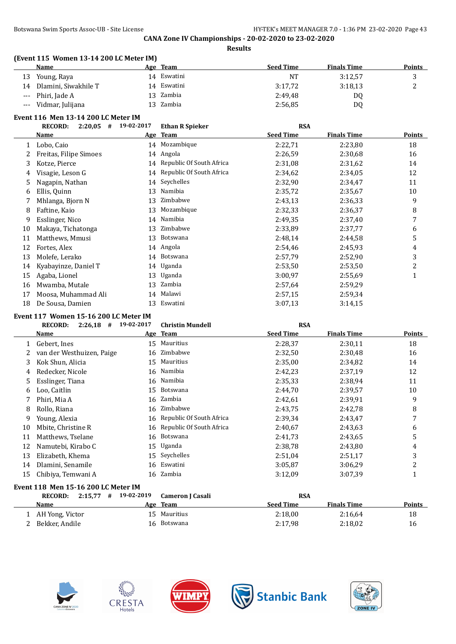| ш<br>S |
|--------|
|--------|

### **(Event 115 Women 13-14 200 LC Meter IM)**

|    | Name                 | Age Team    | <b>Seed Time</b> | <b>Finals Time</b> | <b>Points</b> |
|----|----------------------|-------------|------------------|--------------------|---------------|
| 13 | Young, Raya          | 14 Eswatini | <b>NT</b>        | 3:12,57            |               |
| 14 | Dlamini, Siwakhile T | 14 Eswatini | 3:17,72          | 3:18.13            | റ<br>∼        |
|    | --- Phiri, Jade A    | 13 Zambia   | 2:49,48          | DQ                 |               |
|    | --- Vidmar, Julijana | 13 Zambia   | 2:56,85          | DQ                 |               |

### **Event 116 Men 13-14 200 LC Meter IM**

|    | <b>RECORD:</b><br>2:20,05<br># | 19-02-2017 | <b>Ethan R Spieker</b>   | <b>RSA</b>       |                    |               |
|----|--------------------------------|------------|--------------------------|------------------|--------------------|---------------|
|    | Name                           |            | Age Team                 | <b>Seed Time</b> | <b>Finals Time</b> | <b>Points</b> |
|    | Lobo, Caio                     | 14         | Mozambique               | 2:22,71          | 2:23,80            | 18            |
|    | Freitas, Filipe Simoes         | 14         | Angola                   | 2:26,59          | 2:30.68            | 16            |
| 3  | Kotze, Pierce                  | 14         | Republic Of South Africa | 2:31,08          | 2:31,62            | 14            |
| 4  | Visagie, Leson G               | 14         | Republic Of South Africa | 2:34,62          | 2:34,05            | 12            |
| 5. | Nagapin, Nathan                |            | 14 Seychelles            | 2:32,90          | 2:34,47            | 11            |
| 6  | Ellis, Quinn                   | 13         | Namibia                  | 2:35,72          | 2:35,67            | 10            |
|    | Mhlanga, Bjorn N               | 13         | Zimbabwe                 | 2:43.13          | 2:36,33            | 9             |
| 8  | Faftine, Kaio                  | 13         | Mozambique               | 2:32,33          | 2:36,37            | 8             |
| 9  | Esslinger, Nico                | 14         | Namibia                  | 2:49,35          | 2:37,40            | 7             |
| 10 | Makaya, Tichatonga             | 13         | Zimbabwe                 | 2:33,89          | 2:37,77            | 6             |
| 11 | Matthews, Mmusi                | 13         | Botswana                 | 2:48,14          | 2:44.58            | 5             |
| 12 | Fortes, Alex                   | 14         | Angola                   | 2:54,46          | 2:45,93            | 4             |
| 13 | Molefe, Lerako                 | 14         | Botswana                 | 2:57,79          | 2:52,90            | 3             |
| 14 | Kyabayinze, Daniel T           | 14         | Uganda                   | 2:53,50          | 2:53,50            | 2             |
| 15 | Agaba, Lionel                  | 13         | Uganda                   | 3:00,97          | 2:55.69            | 1             |
| 16 | Mwamba, Mutale                 | 13         | Zambia                   | 2:57,64          | 2:59,29            |               |
| 17 | Moosa, Muhammad Ali            | 14         | Malawi                   | 2:57,15          | 2:59,34            |               |
| 18 | De Sousa, Damien               | 13         | Eswatini                 | 3:07,13          | 3:14,15            |               |

#### **Event 117 Women 15-16 200 LC Meter IM**

|    | <b>RECORD:</b><br>$2:26,18$ #                      | 19-02-2017 | <b>Christin Mundell</b>  | <b>RSA</b>       |                    |                |
|----|----------------------------------------------------|------------|--------------------------|------------------|--------------------|----------------|
|    | Name                                               |            | Age Team                 | <b>Seed Time</b> | <b>Finals Time</b> | <b>Points</b>  |
|    | Gebert, Ines                                       | 15         | Mauritius                | 2:28,37          | 2:30,11            | 18             |
| 2  | van der Westhuizen, Paige                          | 16         | Zimbabwe                 | 2:32,50          | 2:30,48            | 16             |
| 3  | Kok Shun, Alicia                                   | 15         | Mauritius                | 2:35,00          | 2:34,82            | 14             |
| 4  | Redecker, Nicole                                   | 16         | Namibia                  | 2:42,23          | 2:37,19            | 12             |
| 5  | Esslinger, Tiana                                   | 16         | Namibia                  | 2:35,33          | 2:38,94            | 11             |
| 6  | Loo, Caitlin                                       | 15         | Botswana                 | 2:44,70          | 2:39,57            | 10             |
|    | Phiri, Mia A                                       |            | 16 Zambia                | 2:42,61          | 2:39,91            | 9              |
| 8  | Rollo, Riana                                       | 16         | Zimbabwe                 | 2:43.75          | 2:42,78            | 8              |
| 9  | Young, Alexia                                      | 16         | Republic Of South Africa | 2:39,34          | 2:43,47            | 7              |
| 10 | Mbite, Christine R                                 | 16         | Republic Of South Africa | 2:40.67          | 2:43.63            | 6              |
| 11 | Matthews, Tselane                                  | 16         | Botswana                 | 2:41,73          | 2:43.65            | 5              |
| 12 | Namutebi, Kirabo C                                 | 15         | Uganda                   | 2:38,78          | 2:43,80            | 4              |
| 13 | Elizabeth, Khema                                   | 15         | Seychelles               | 2:51,04          | 2:51,17            | 3              |
| 14 | Dlamini, Senamile                                  | 16         | Eswatini                 | 3:05,87          | 3:06,29            | $\overline{2}$ |
| 15 | Chibiya, Temwani A                                 |            | 16 Zambia                | 3:12,09          | 3:07,39            | т              |
|    | $\sim$ 440 MF $\rightarrow$ 44000 MM $\rightarrow$ |            |                          |                  |                    |                |

| <b>Event 118 Men 15-16 200 LC Meter IM</b> |  |
|--------------------------------------------|--|
|                                            |  |

| $2:15.77$ #<br><b>RECORD:</b> | 19-02-2019 | Cameron I Casali | <b>RSA</b>       |                    |               |
|-------------------------------|------------|------------------|------------------|--------------------|---------------|
| <b>Name</b>                   |            | Age Team         | <b>Seed Time</b> | <b>Finals Time</b> | <b>Points</b> |
| AH Yong, Victor               |            | 15 Mauritius     | 2:18.00          | 2:16.64            | 18            |
| Bekker, Andile                |            | 16 Botswana      | 2:17.98          | 2:18.02            | 16            |









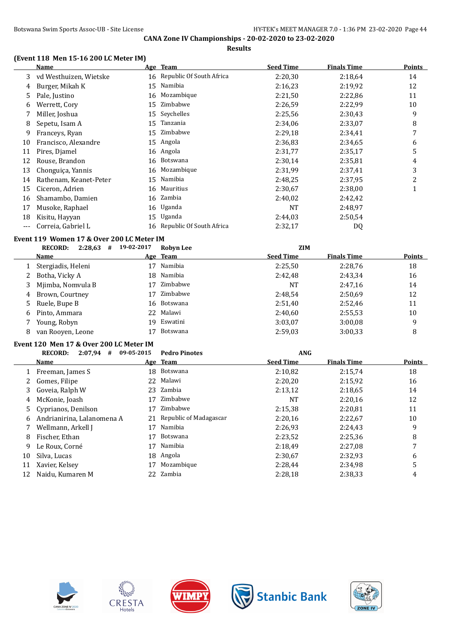### **(Event 118 Men 15-16 200 LC Meter IM)**

|     | <b>Name</b>            |    | Age Team                    | <b>Seed Time</b> | <b>Finals Time</b> | <b>Points</b> |
|-----|------------------------|----|-----------------------------|------------------|--------------------|---------------|
| 3   | vd Westhuizen, Wietske |    | 16 Republic Of South Africa | 2:20,30          | 2:18,64            | 14            |
| 4   | Burger, Mikah K        | 15 | Namibia                     | 2:16,23          | 2:19,92            | 12            |
| 5   | Pale, Justino          | 16 | Mozambique                  | 2:21,50          | 2:22,86            | 11            |
| 6   | Werrett, Cory          | 15 | Zimbabwe                    | 2:26.59          | 2:22,99            | 10            |
|     | Miller, Joshua         | 15 | Seychelles                  | 2:25,56          | 2:30,43            | 9             |
| 8   | Sepetu, Isam A         | 15 | Tanzania                    | 2:34,06          | 2:33,07            | 8             |
| 9   | Franceys, Ryan         | 15 | Zimbabwe                    | 2:29,18          | 2:34,41            | 7             |
| 10  | Francisco, Alexandre   | 15 | Angola                      | 2:36,83          | 2:34.65            | 6             |
| 11  | Pires, Djamel          | 16 | Angola                      | 2:31,77          | 2:35,17            | 5             |
| 12  | Rouse, Brandon         | 16 | Botswana                    | 2:30,14          | 2:35,81            | 4             |
| 13  | Chonguica, Yannis      | 16 | Mozambique                  | 2:31,99          | 2:37,41            | 3             |
| 14  | Rathenam, Keanet-Peter | 15 | Namibia                     | 2:48,25          | 2:37,95            | 2             |
| 15  | Ciceron, Adrien        |    | 16 Mauritius                | 2:30,67          | 2:38,00            | 1             |
| 16  | Shamambo, Damien       |    | 16 Zambia                   | 2:40,02          | 2:42,42            |               |
| 17  | Musoke, Raphael        |    | 16 Uganda                   | NT               | 2:48,97            |               |
| 18  | Kisitu, Hayyan         | 15 | Uganda                      | 2:44,03          | 2:50,54            |               |
| --- | Correia, Gabriel L     | 16 | Republic Of South Africa    | 2:32,17          | DQ                 |               |
|     |                        |    |                             |                  |                    |               |

# **Event 119 Women 17 & Over 200 LC Meter IM**

|              | 2:28,63<br><b>RECORD:</b><br># | 19-02-2017 | <b>Robyn Lee</b> | <b>ZIM</b>       |                    |               |
|--------------|--------------------------------|------------|------------------|------------------|--------------------|---------------|
|              | Name                           |            | Age Team         | <b>Seed Time</b> | <b>Finals Time</b> | <b>Points</b> |
|              | Stergiadis, Heleni             | 17         | Namibia          | 2:25.50          | 2:28,76            | 18            |
|              | 2 Botha, Vicky A               |            | 18 Namibia       | 2:42.48          | 2:43,34            | 16            |
|              | 3 Mjimba, Nomvula B            | 17         | Zimbabwe         | NT               | 2:47,16            | 14            |
| 4            | Brown, Courtney                | 17         | Zimbabwe         | 2:48.54          | 2:50.69            | 12            |
|              | 5 Ruele, Bupe B                |            | 16 Botswana      | 2:51,40          | 2:52,46            | 11            |
| <sub>b</sub> | Pinto, Ammara                  |            | 22 Malawi        | 2:40.60          | 2:55,53            | 10            |
|              | Young, Robyn                   | 19.        | Eswatini         | 3:03,07          | 3:00.08            | 9             |
| 8            | van Rooven, Leone              |            | <b>Botswana</b>  | 2:59.03          | 3:00,33            | 8             |

# **Event 120 Men 17 & Over 200 LC Meter IM**

|    | 2:07,94<br><b>RECORD:</b><br># | 09-05-2015   | <b>Pedro Pinotes</b>   | <b>ANG</b>       |                    |               |
|----|--------------------------------|--------------|------------------------|------------------|--------------------|---------------|
|    | Name                           |              | Age Team               | <b>Seed Time</b> | <b>Finals Time</b> | <b>Points</b> |
|    | Freeman, James S               | 18.          | Botswana               | 2:10,82          | 2:15,74            | 18            |
|    | Gomes, Filipe                  | 22           | Malawi                 | 2:20,20          | 2:15,92            | 16            |
| 3  | Goveia, Ralph W                |              | 23 Zambia              | 2:13,12          | 2:18.65            | 14            |
| 4  | McKonie, Joash                 | 17           | Zimbabwe               | NT               | 2:20.16            | 12            |
| 5. | Cyprianos, Denilson            | 17           | Zimbabwe               | 2:15,38          | 2:20,81            | 11            |
| 6  | Andrianirina, Lalanomena A     | 21           | Republic of Madagascar | 2:20,16          | 2:22,67            | 10            |
|    | Wellmann, Arkell J             | 17           | Namibia                | 2:26,93          | 2:24,43            | 9             |
| 8  | Fischer, Ethan                 | 17           | <b>Botswana</b>        | 2:23,52          | 2:25.36            | 8             |
| 9  | Le Roux, Corné                 | 17           | Namibia                | 2:18.49          | 2:27,08            | 7             |
| 10 | Silva, Lucas                   |              | 18 Angola              | 2:30,67          | 2:32.93            | 6             |
| 11 | Xavier, Kelsey                 | 17           | Mozambique             | 2:28.44          | 2:34.98            |               |
| 12 | Naidu, Kumaren M               | $22^{\circ}$ | Zambia                 | 2:28.18          | 2:38.33            | 4             |









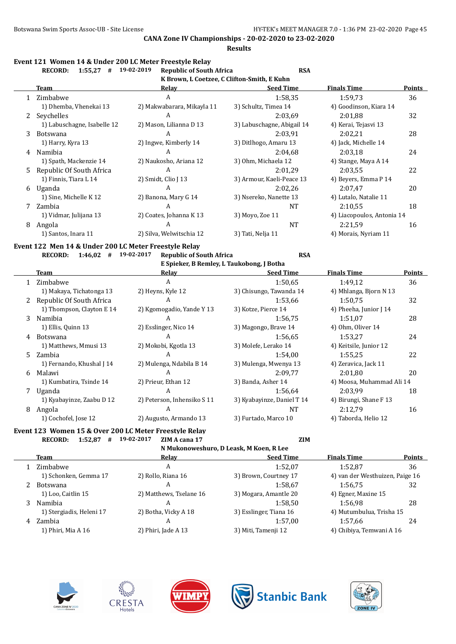**Results**

| Event 121  Women 14 & Under 200 LC Meter Freestyle Relav |  |                                                           |     |
|----------------------------------------------------------|--|-----------------------------------------------------------|-----|
|                                                          |  | RECORD: $1.55.27 \pm 19.02.2019$ Republic of South Africa | RSA |

|              | NELVND.<br>$1.33.41$ # $17.04 - 1017$ | Republic of South All Ita  | rэл                                         |                            |        |
|--------------|---------------------------------------|----------------------------|---------------------------------------------|----------------------------|--------|
|              |                                       |                            | K Brown, L Coetzee, C Clifton-Smith, E Kuhn |                            |        |
|              | Team                                  | Relay                      | <b>Seed Time</b>                            | <b>Finals Time</b>         | Points |
|              | 1 Zimbabwe                            | A                          | 1:58.35                                     | 1:59.73                    | 36     |
|              | 1) Dhemba, Vhenekai 13                | 2) Makwabarara, Mikayla 11 | 3) Schultz, Timea 14                        | 4) Goodinson, Kiara 14     |        |
| $\mathbf{Z}$ | Seychelles                            | A                          | 2:03.69                                     | 2:01.88                    | 32     |
|              | 1) Labuschagne, Isabelle 12           | 2) Mason, Lilianna D 13    | 3) Labuschagne, Abigail 14                  | 4) Kerai, Tejasvi 13       |        |
| 3.           | Botswana                              | A                          | 2:03.91                                     | 2:02.21                    | 28     |
|              | 1) Harry, Kyra 13                     | 2) Ingwe, Kimberly 14      | 3) Ditlhogo, Amaru 13                       | 4) Jack, Michelle 14       |        |
| 4            | Namibia                               | A                          | 2:04.68                                     | 2:03.18                    | 24     |
|              | 1) Spath, Mackenzie 14                | 2) Naukosho, Ariana 12     | 3) Ohm, Michaela 12                         | 4) Stange, Maya A 14       |        |
| 5.           | Republic Of South Africa              | A                          | 2:01,29                                     | 2:03.55                    | 22     |
|              | 1) Finnis, Tiara L 14                 | 2) Smidt, Clio J 13        | 3) Armour, Kaeli-Peace 13                   | 4) Beyers, Emma P 14       |        |
| 6            | Uganda                                | A                          | 2:02,26                                     | 2:07.47                    | 20     |
|              | 1) Sine, Michelle K 12                | 2) Banona, Mary G 14       | 3) Nsereko, Nanette 13                      | 4) Lutalo, Natalie 11      |        |
|              | Zambia                                | A                          | <b>NT</b>                                   | 2:10.55                    | 18     |
|              | 1) Vidmar, Julijana 13                | 2) Coates, Johanna K 13    | 3) Moyo, Zoe 11                             | 4) Liacopoulos, Antonia 14 |        |
| 8            | Angola                                | A                          | <b>NT</b>                                   | 2:21.59                    | 16     |
|              | 1) Santos, Inara 11                   | 2) Silva, Welwitschia 12   | 3) Tati, Nelja 11                           | 4) Morais, Nyriam 11       |        |
|              |                                       |                            |                                             |                            |        |

#### **Event 122 Men 14 & Under 200 LC Meter Freestyle Relay**

|    | <b>RECORD:</b><br>1:46,02<br># | 19-02-2017<br><b>Republic of South Africa</b> | <b>RSA</b>                 |                           |               |
|----|--------------------------------|-----------------------------------------------|----------------------------|---------------------------|---------------|
|    |                                | E Spieker, B Remley, L Taukobong, J Botha     |                            |                           |               |
|    | Team                           | Relay                                         | <b>Seed Time</b>           | <b>Finals Time</b>        | <b>Points</b> |
|    | 1 Zimbabwe                     | A                                             | 1:50.65                    | 1:49,12                   | 36            |
|    | 1) Makaya, Tichatonga 13       | 2) Heyns, Kyle 12                             | 3) Chisungo, Tawanda 14    | 4) Mhlanga, Bjorn N 13    |               |
| 2  | Republic Of South Africa       | A                                             | 1:53,66                    | 1:50,75                   | 32            |
|    | 1) Thompson, Clayton E 14      | 2) Kgomogadio, Yande Y 13                     | 3) Kotze, Pierce 14        | 4) Pheeha, Junior J 14    |               |
| 3. | Namibia                        | A                                             | 1:56,75                    | 1:51,07                   | 28            |
|    | 1) Ellis, Quinn 13             | 2) Esslinger, Nico 14                         | 3) Magongo, Brave 14       | 4) Ohm, Oliver 14         |               |
| 4  | Botswana                       | A                                             | 1:56.65                    | 1:53.27                   | 24            |
|    | 1) Matthews, Mmusi 13          | 2) Mokobi, Kgotla 13                          | 3) Molefe, Lerako 14       | 4) Keitsile, Junior 12    |               |
| 5. | Zambia                         | A                                             | 1:54.00                    | 1:55,25                   | 22            |
|    | 1) Fernando, Khushal J 14      | 2) Mulenga, Ndabila B 14                      | 3) Mulenga, Mwenya 13      | 4) Zeravica, Jack 11      |               |
| 6  | Malawi                         | A                                             | 2:09.77                    | 2:01.80                   | 20            |
|    | 1) Kumbatira, Tsinde 14        | 2) Prieur, Ethan 12                           | 3) Banda, Asher 14         | 4) Moosa, Muhammad Ali 14 |               |
| 7  | Uganda                         | A                                             | 1:56,64                    | 2:03,99                   | 18            |
|    | 1) Kyabayinze, Zaabu D 12      | 2) Peterson, Inhensiko S 11                   | 3) Kyabayinze, Daniel T 14 | 4) Birungi, Shane F 13    |               |
| 8  | Angola                         | A                                             | <b>NT</b>                  | 2:12,79                   | 16            |
|    | 1) Cochofel, Jose 12           | 2) Augusto, Armando 13                        | 3) Furtado, Marco 10       | 4) Taborda, Helio 12      |               |

#### **Event 123 Women 15 & Over 200 LC Meter Freestyle Relay RECORD: 1:52,87 # 19-02-2017 ZIM A cana 17 ZIM**

|   | N Mukonoweshuro, D Leask, M Koen, R Lee |                         |                        |                                 |        |  |  |
|---|-----------------------------------------|-------------------------|------------------------|---------------------------------|--------|--|--|
|   | <b>Team</b>                             | Relay                   | <b>Seed Time</b>       | <b>Finals Time</b>              | Points |  |  |
|   | Zimbabwe                                | A                       | 1:52.07                | 1:52.87                         | 36     |  |  |
|   | 1) Schonken, Gemma 17                   | 2) Rollo, Riana 16      | 3) Brown, Courtney 17  | 4) van der Westhuizen, Paige 16 |        |  |  |
|   | 2 Botswana                              | A                       | 1:58.67                | 1:56.75                         | 32     |  |  |
|   | 1) Loo, Caitlin 15                      | 2) Matthews, Tselane 16 | 3) Mogara, Amantle 20  | 4) Egner, Maxine 15             |        |  |  |
| 3 | Namibia                                 | A                       | 1:58.50                | 1:56.98                         | 28     |  |  |
|   | 1) Stergiadis, Heleni 17                | 2) Botha, Vicky A 18    | 3) Esslinger, Tiana 16 | 4) Mutumbulua, Trisha 15        |        |  |  |
| 4 | Zambia                                  | А                       | 1:57.00                | 1:57.66                         | 24     |  |  |
|   | 1) Phiri, Mia A 16                      | 2) Phiri, Jade A 13     | 3) Miti, Tamenji 12    | 4) Chibiya, Temwani A 16        |        |  |  |









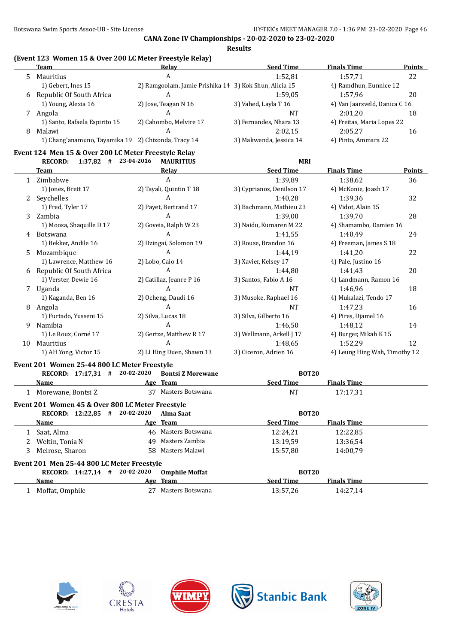# **(Event 123 Women 15 & Over 200 LC Meter Freestyle Relay)**

|   | Team                                                | Relay                                                  | <b>Seed Time</b>        | <b>Finals Time</b>            | <b>Points</b> |
|---|-----------------------------------------------------|--------------------------------------------------------|-------------------------|-------------------------------|---------------|
|   | Mauritius                                           | A                                                      | 1:52.81                 | 1:57.71                       | 22            |
|   | 1) Gebert, Ines 15                                  | 2) Ramgoolam, Jamie Prishika 14 3) Kok Shun, Alicia 15 |                         | 4) Ramdhun, Eunnice 12        |               |
| 6 | Republic Of South Africa                            | A                                                      | 1:59.05                 | 1:57.96                       | 20            |
|   | 1) Young, Alexia 16                                 | 2) Jose, Teagan N 16                                   | 3) Vahed, Layla T 16    | 4) Van Jaarsveld, Danica C 16 |               |
|   | Angola                                              |                                                        | NT                      | 2:01.20                       | 18            |
|   | 1) Santo, Rafaela Espirito 15                       | 2) Cahombo, Melvire 17                                 | 3) Fernandes, Nhara 13  | 4) Freitas, Maria Lopes 22    |               |
| 8 | Malawi                                              |                                                        | 2:02.15                 | 2:05.27                       | 16            |
|   | 1) Chang'anamuno, Tayamika 19 2) Chizonda, Tracy 14 |                                                        | 3) Makwenda, Jessica 14 | 4) Pinto, Ammara 22           |               |

#### **Event 124 Men 15 & Over 200 LC Meter Freestyle Relay RECORD: 1:37,82 # 23-04-2016 MAURITIUS MRI**

|    | RELURD:<br>$1.37,04 + 23.0 + 2010$ | MAUNITUS                  | MM                        |                               |        |
|----|------------------------------------|---------------------------|---------------------------|-------------------------------|--------|
|    | Team                               | Relay                     | <b>Seed Time</b>          | <b>Finals Time</b>            | Points |
|    | Zimbabwe                           | A                         | 1:39,89                   | 1:38,62                       | 36     |
|    | 1) Jones, Brett 17                 | 2) Tayali, Quintin T 18   | 3) Cyprianos, Denilson 17 | 4) McKonie, Joash 17          |        |
| 2  | Seychelles                         | A                         | 1:40,28                   | 1:39,36                       | 32     |
|    | 1) Fred, Tyler 17                  | 2) Payet, Bertrand 17     | 3) Bachmann, Mathieu 23   | 4) Vidot, Alain 15            |        |
| 3  | Zambia                             | A                         | 1:39,00                   | 1:39,70                       | 28     |
|    | 1) Moosa, Shaquille D 17           | 2) Goveia, Ralph W 23     | 3) Naidu, Kumaren M 22    | 4) Shamambo, Damien 16        |        |
| 4  | <b>Botswana</b>                    | A                         | 1:41,55                   | 1:40,49                       | 24     |
|    | 1) Bekker, Andile 16               | 2) Dzingai, Solomon 19    | 3) Rouse, Brandon 16      | 4) Freeman, James S 18        |        |
| 5. | Mozambique                         | A                         | 1:44,19                   | 1:41,20                       | 22     |
|    | 1) Lawrence, Matthew 16            | 2) Lobo, Caio 14          | 3) Xavier, Kelsey 17      | 4) Pale, Justino 16           |        |
| 6  | Republic Of South Africa           | A                         | 1:44,80                   | 1:41,43                       | 20     |
|    | 1) Verster, Dewie 16               | 2) Catillaz, Jeanre P 16  | 3) Santos, Fabio A 16     | 4) Landmann, Ramon 16         |        |
| 7  | Uganda                             | A                         | NT                        | 1:46.96                       | 18     |
|    | 1) Kaganda, Ben 16                 | 2) Ocheng, Daudi 16       | 3) Musoke, Raphael 16     | 4) Mukalazi, Tendo 17         |        |
| 8  | Angola                             | A                         | NT                        | 1:47,23                       | 16     |
|    | 1) Furtado, Yusseni 15             | 2) Silva, Lucas 18        | 3) Silva, Gilberto 16     | 4) Pires, Djamel 16           |        |
| 9  | Namibia                            | A                         | 1:46,50                   | 1:48,12                       | 14     |
|    | 1) Le Roux, Corné 17               | 2) Gertze, Matthew R 17   | 3) Wellmann, Arkell J 17  | 4) Burger, Mikah K 15         |        |
| 10 | Mauritius                          | A                         | 1:48.65                   | 1:52,29                       | 12     |
|    | 1) AH Yong, Victor 15              | 2) LI Hing Duen, Shawn 13 | 3) Ciceron, Adrien 16     | 4) Leung Hing Wah, Timothy 12 |        |

#### **Event 201 Women 25-44 800 LC Meter Freestyle**

| RECORD: 17:17.31 #                               | 20-02-2020 | <b>Bontsi Z Morewane</b> | <b>BOT20</b>     |                    |  |
|--------------------------------------------------|------------|--------------------------|------------------|--------------------|--|
| Name                                             |            | Age Team                 | <b>Seed Time</b> | <b>Finals Time</b> |  |
| 1 Morewane, Bontsi Z                             |            | 37 Masters Botswana      | NT               | 17:17.31           |  |
| Event 201 Women 45 & Over 800 LC Meter Freestyle |            |                          |                  |                    |  |
| RECORD: 12:22,85 #                               | 20-02-2020 | Alma Saat                | <b>BOT20</b>     |                    |  |
| <b>Name</b>                                      |            | Age Team                 | <b>Seed Time</b> | <b>Finals Time</b> |  |
| 1 Saat, Alma                                     |            | 46 Masters Botswana      | 12:24.21         | 12:22,85           |  |
| Weltin, Tonia N                                  |            | 49 Masters Zambia        | 13:19.59         | 13:36.54           |  |
| 3 Melrose, Sharon                                |            | 58 Masters Malawi        | 15:57.80         | 14:00.79           |  |
| Event 201 Men 25-44 800 LC Meter Freestyle       |            |                          |                  |                    |  |
| RECORD: 14:27,14 #                               | 20-02-2020 | <b>Omphile Moffat</b>    | <b>BOT20</b>     |                    |  |
| <b>Name</b>                                      |            | Age Team                 | <b>Seed Time</b> | <b>Finals Time</b> |  |
| Moffat, Omphile                                  | 27         | Masters Botswana         | 13:57.26         | 14:27.14           |  |









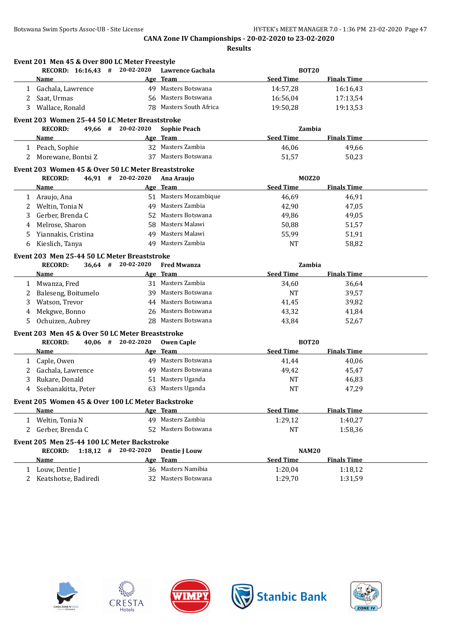|    | Event 201 Men 45 & Over 800 LC Meter Freestyle     |                      |                         |                  |                    |  |
|----|----------------------------------------------------|----------------------|-------------------------|------------------|--------------------|--|
|    | RECORD: 16:16,43 # 20-02-2020                      |                      | Lawrence Gachala        | <b>BOT20</b>     |                    |  |
|    | Name                                               |                      | Age Team                | <b>Seed Time</b> | <b>Finals Time</b> |  |
| 1  | Gachala, Lawrence                                  |                      | 49 Masters Botswana     | 14:57,28         | 16:16,43           |  |
| 2  | Saat, Urmas                                        |                      | 56 Masters Botswana     | 16:56,04         | 17:13,54           |  |
| 3  | Wallace, Ronald                                    |                      | 78 Masters South Africa | 19:50,28         | 19:13,53           |  |
|    | Event 203 Women 25-44 50 LC Meter Breaststroke     |                      |                         |                  |                    |  |
|    | <b>RECORD:</b>                                     | 49,66 # 20-02-2020   | <b>Sophie Peach</b>     | Zambia           |                    |  |
|    | <b>Name</b>                                        |                      | Age Team                | <b>Seed Time</b> | <b>Finals Time</b> |  |
|    | 1 Peach, Sophie                                    |                      | 32 Masters Zambia       | 46,06            | 49,66              |  |
|    | 2 Morewane, Bontsi Z                               |                      | 37 Masters Botswana     | 51,57            | 50,23              |  |
|    | Event 203 Women 45 & Over 50 LC Meter Breaststroke |                      |                         |                  |                    |  |
|    | <b>RECORD:</b>                                     | 46,91 # 20-02-2020   | Ana Araujo              | <b>MOZ20</b>     |                    |  |
|    | Name                                               |                      | Age Team                | <b>Seed Time</b> | <b>Finals Time</b> |  |
|    | 1 Araujo, Ana                                      |                      | 51 Masters Mozambique   | 46,69            | 46,91              |  |
| 2  | Weltin, Tonia N                                    |                      | 49 Masters Zambia       | 42,90            | 47,05              |  |
| 3  | Gerber, Brenda C                                   |                      | 52 Masters Botswana     | 49,86            | 49,05              |  |
| 4  | Melrose, Sharon                                    | 58                   | Masters Malawi          | 50,88            | 51,57              |  |
| 5  | Yiannakis, Cristina                                |                      | 49 Masters Malawi       | 55,99            | 51,91              |  |
| 6  | Kieslich, Tanya                                    |                      | 49 Masters Zambia       | <b>NT</b>        | 58,82              |  |
|    | Event 203 Men 25-44 50 LC Meter Breaststroke       |                      |                         |                  |                    |  |
|    | <b>RECORD:</b>                                     | $36,64$ # 20-02-2020 | <b>Fred Mwanza</b>      | Zambia           |                    |  |
|    | Name                                               |                      | Age Team                | <b>Seed Time</b> | <b>Finals Time</b> |  |
|    | 1 Mwanza, Fred                                     |                      | 31 Masters Zambia       | 34,60            | 36,64              |  |
| 2  | Baleseng, Boitumelo                                |                      | 39 Masters Botswana     | <b>NT</b>        | 39,57              |  |
| 3  | Watson, Trevor                                     |                      | 44 Masters Botswana     | 41,45            | 39,82              |  |
| 4  | Mekgwe, Bonno                                      |                      | 26 Masters Botswana     | 43,32            | 41,84              |  |
| 5. | Ochuizen, Aubrey                                   |                      | 28 Masters Botswana     | 43,84            | 52,67              |  |
|    | Event 203 Men 45 & Over 50 LC Meter Breaststroke   |                      |                         |                  |                    |  |
|    | <b>RECORD:</b>                                     | $40,06$ # 20-02-2020 | <b>Owen Caple</b>       | <b>BOT20</b>     |                    |  |
|    | <u>Name</u>                                        |                      | Age Team                | <b>Seed Time</b> | <b>Finals Time</b> |  |
| 1  | Caple, Owen                                        |                      | 49 Masters Botswana     | 41,44            | 40,06              |  |
| 2  | Gachala, Lawrence                                  |                      | 49 Masters Botswana     | 49,42            | 45,47              |  |
| 3  | Rukare, Donald                                     |                      | 51 Masters Uganda       | <b>NT</b>        | 46,83              |  |
| 4  | Ssebanakitta, Peter                                |                      | 63 Masters Uganda       | <b>NT</b>        | 47,29              |  |
|    | Event 205 Women 45 & Over 100 LC Meter Backstroke  |                      |                         |                  |                    |  |
|    | Name                                               |                      | Age Team                | <b>Seed Time</b> | <b>Finals Time</b> |  |
|    | 1 Weltin, Tonia N                                  |                      | 49 Masters Zambia       | 1:29,12          | 1:40,27            |  |
| 2  | Gerber, Brenda C                                   |                      | 52 Masters Botswana     | NT               | 1:58,36            |  |
|    | Event 205 Men 25-44 100 LC Meter Backstroke        |                      |                         |                  |                    |  |
|    | <b>RECORD:</b><br>$1:18,12$ #                      | 20-02-2020           | <b>Dentie J Louw</b>    | <b>NAM20</b>     |                    |  |
|    | <b>Name</b>                                        |                      | Age Team                | <b>Seed Time</b> | <b>Finals Time</b> |  |
|    | 1 Louw, Dentie J                                   |                      | 36 Masters Namibia      | 1:20,04          | 1:18,12            |  |
|    | 2 Keatshotse, Badiredi                             |                      | 32 Masters Botswana     | 1:29,70          | 1:31,59            |  |
|    |                                                    |                      |                         |                  |                    |  |









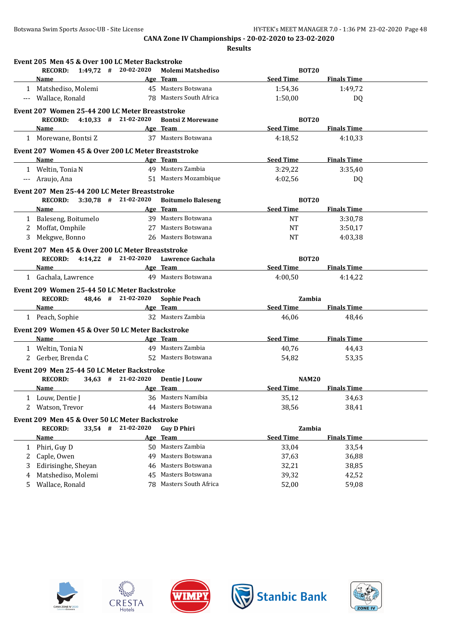|          | Event 205 Men 45 & Over 100 LC Meter Backstroke<br>RECORD: 1:49,72 # 20-02-2020 |                                  | <b>Molemi Matshediso</b>                    | <b>BOT20</b>     |                    |
|----------|---------------------------------------------------------------------------------|----------------------------------|---------------------------------------------|------------------|--------------------|
|          | Name                                                                            |                                  | Age Team                                    | <b>Seed Time</b> | <b>Finals Time</b> |
|          | 1 Matshediso, Molemi                                                            |                                  | 45 Masters Botswana                         | 1:54,36          | 1:49,72            |
|          | --- Wallace, Ronald                                                             |                                  | 78 Masters South Africa                     | 1:50,00          | DQ                 |
|          | Event 207 Women 25-44 200 LC Meter Breaststroke                                 |                                  |                                             |                  |                    |
|          | RECORD: 4:10,33 # 21-02-2020                                                    |                                  | <b>Bontsi Z Morewane</b>                    | <b>BOT20</b>     |                    |
|          | <b>Name</b>                                                                     |                                  | Age Team                                    | <b>Seed Time</b> | <b>Finals Time</b> |
|          | 1 Morewane, Bontsi Z                                                            |                                  | 37 Masters Botswana                         | 4:18,52          | 4:10,33            |
|          | Event 207 Women 45 & Over 200 LC Meter Breaststroke                             |                                  |                                             |                  |                    |
|          | Name                                                                            |                                  | Age Team                                    | <b>Seed Time</b> | <b>Finals Time</b> |
|          | 1 Weltin, Tonia N                                                               |                                  | 49 Masters Zambia                           | 3:29,22          | 3:35,40            |
| $\cdots$ | Araujo, Ana                                                                     |                                  | 51 Masters Mozambique                       | 4:02.56          | DQ                 |
|          |                                                                                 |                                  |                                             |                  |                    |
|          | Event 207 Men 25-44 200 LC Meter Breaststroke                                   |                                  |                                             |                  |                    |
|          | RECORD: 3:30,78 # 21-02-2020                                                    |                                  | <b>Boitumelo Baleseng</b>                   | <b>BOT20</b>     |                    |
|          | <b>Name</b>                                                                     |                                  | Age Team                                    | <b>Seed Time</b> | <b>Finals Time</b> |
|          | 1 Baleseng, Boitumelo                                                           |                                  | 39 Masters Botswana                         | <b>NT</b>        | 3:30,78            |
|          | 2 Moffat, Omphile                                                               |                                  | 27 Masters Botswana                         | NT               | 3:50,17            |
|          | 3 Mekgwe, Bonno                                                                 |                                  | 26 Masters Botswana                         | <b>NT</b>        | 4:03,38            |
|          | Event 207 Men 45 & Over 200 LC Meter Breaststroke                               |                                  |                                             |                  |                    |
|          | RECORD: 4:14,22 # 21-02-2020 Lawrence Gachala                                   |                                  |                                             | <b>BOT20</b>     |                    |
|          | Name Age Team                                                                   |                                  |                                             | <b>Seed Time</b> | <b>Finals Time</b> |
|          | 1 Gachala, Lawrence                                                             |                                  | 49 Masters Botswana                         | 4:00.50          | 4:14,22            |
|          | Event 209 Women 25-44 50 LC Meter Backstroke                                    |                                  |                                             |                  |                    |
|          | <b>RECORD:</b>                                                                  | 48,46 # 21-02-2020               | <b>Sophie Peach</b>                         | Zambia           |                    |
|          | Name                                                                            |                                  | Age Team                                    | <b>Seed Time</b> | <b>Finals Time</b> |
|          | 1 Peach, Sophie                                                                 |                                  | 32 Masters Zambia                           | 46,06            | 48,46              |
|          |                                                                                 |                                  |                                             |                  |                    |
|          | Event 209 Women 45 & Over 50 LC Meter Backstroke                                |                                  |                                             |                  |                    |
|          | Name                                                                            |                                  | Age Team                                    | <b>Seed Time</b> | <b>Finals Time</b> |
|          | 1 Weltin, Tonia N                                                               |                                  | 49 Masters Zambia                           | 40,76            | 44,43              |
|          | 2 Gerber, Brenda C                                                              |                                  | 52 Masters Botswana                         | 54,82            | 53,35              |
|          | Event 209 Men 25-44 50 LC Meter Backstroke                                      |                                  |                                             |                  |                    |
|          | <b>RECORD:</b>                                                                  | 34,63 # 21-02-2020 Dentie J Louw |                                             | <b>NAM20</b>     |                    |
|          | <b>Name</b>                                                                     |                                  | Age Team                                    | <b>Seed Time</b> | <b>Finals Time</b> |
|          | 1 Louw, Dentie J                                                                |                                  | 36 Masters Namibia                          | 35,12            | 34,63              |
|          | 2 Watson, Trevor                                                                |                                  | 44 Masters Botswana                         | 38,56            | 38,41              |
|          | Event 209 Men 45 & Over 50 LC Meter Backstroke                                  |                                  |                                             |                  |                    |
|          | <b>RECORD:</b><br>$33,54$ #                                                     | 21-02-2020                       | <b>Guy D Phiri</b>                          | Zambia           |                    |
|          | <u>Name</u>                                                                     |                                  | Age Team                                    | <b>Seed Time</b> | <b>Finals Time</b> |
|          | Phiri, Guy D                                                                    |                                  | 50 Masters Zambia                           | 33,04            | 33,54              |
|          |                                                                                 |                                  | Masters Botswana                            | 37,63            | 36,88              |
| 1        |                                                                                 |                                  |                                             |                  |                    |
| 2        | Caple, Owen                                                                     | 49                               |                                             |                  |                    |
| 3        | Edirisinghe, Sheyan                                                             | 46                               | Masters Botswana                            | 32,21            | 38,85              |
| 4<br>5.  | Matshediso, Molemi<br>Wallace, Ronald                                           | 45                               | Masters Botswana<br>78 Masters South Africa | 39,32<br>52,00   | 42,52<br>59,08     |









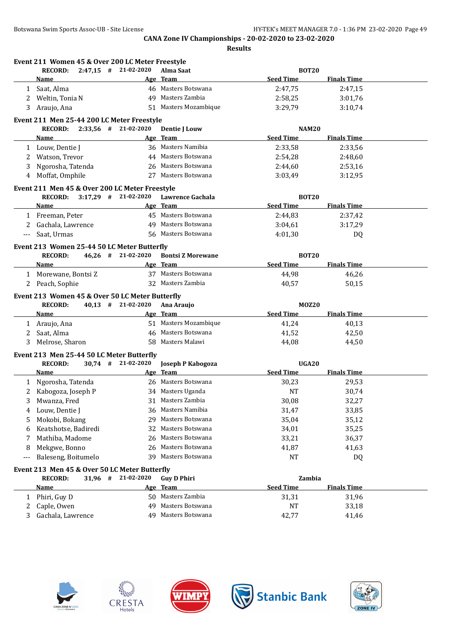|             |                      |  | Event 211 Women 45 & Over 200 LC Meter Freestyle                    |                                       |                  |                    |  |
|-------------|----------------------|--|---------------------------------------------------------------------|---------------------------------------|------------------|--------------------|--|
|             | <b>RECORD:</b>       |  | $2:47,15$ # 21-02-2020                                              | Alma Saat                             | <b>BOT20</b>     |                    |  |
|             | Name                 |  |                                                                     | Age Team                              | <b>Seed Time</b> | <b>Finals Time</b> |  |
|             | 1 Saat, Alma         |  |                                                                     | 46 Masters Botswana                   | 2:47,75          | 2:47,15            |  |
|             | 2 Weltin, Tonia N    |  |                                                                     | 49 Masters Zambia                     | 2:58,25          | 3:01,76            |  |
|             | 3 Araujo, Ana        |  |                                                                     | 51 Masters Mozambique                 | 3:29,79          | 3:10,74            |  |
|             |                      |  | Event 211 Men 25-44 200 LC Meter Freestyle                          |                                       |                  |                    |  |
|             |                      |  | RECORD: 2:33,56 # 21-02-2020                                        | Dentie J Louw                         | <b>NAM20</b>     |                    |  |
|             | Name                 |  |                                                                     | Age Team                              | <b>Seed Time</b> | <b>Finals Time</b> |  |
|             | 1 Louw, Dentie J     |  |                                                                     | 36 Masters Namibia                    | 2:33,58          | 2:33,56            |  |
| 2           | Watson, Trevor       |  |                                                                     | 44 Masters Botswana                   | 2:54,28          | 2:48,60            |  |
| 3           | Ngorosha, Tatenda    |  |                                                                     | 26 Masters Botswana                   | 2:44,60          | 2:53,16            |  |
| 4           | Moffat, Omphile      |  |                                                                     | 27 Masters Botswana                   | 3:03.49          | 3:12,95            |  |
|             |                      |  | Event 211 Men 45 & Over 200 LC Meter Freestyle                      |                                       |                  |                    |  |
|             | <b>RECORD:</b>       |  |                                                                     | 3:17,29 # 21-02-2020 Lawrence Gachala | <b>BOT20</b>     |                    |  |
|             | Name                 |  |                                                                     | Age Team                              | <b>Seed Time</b> | <b>Finals Time</b> |  |
|             | 1 Freeman, Peter     |  |                                                                     | 45 Masters Botswana                   | 2:44,83          | 2:37,42            |  |
|             | Gachala, Lawrence    |  |                                                                     | 49 Masters Botswana                   | 3:04,61          | 3:17,29            |  |
| ---         | Saat, Urmas          |  |                                                                     | 56 Masters Botswana                   | 4:01,30          | DQ                 |  |
|             |                      |  |                                                                     |                                       |                  |                    |  |
|             | <b>RECORD:</b>       |  | Event 213 Women 25-44 50 LC Meter Butterfly<br>$46,26$ # 21-02-2020 | <b>Bontsi Z Morewane</b>              | <b>BOT20</b>     |                    |  |
|             | Name                 |  |                                                                     | Age Team                              | <b>Seed Time</b> | <b>Finals Time</b> |  |
|             | 1 Morewane, Bontsi Z |  |                                                                     | 37 Masters Botswana                   | 44,98            | 46,26              |  |
|             | 2 Peach, Sophie      |  |                                                                     | 32 Masters Zambia                     | 40,57            | 50,15              |  |
|             |                      |  |                                                                     |                                       |                  |                    |  |
|             |                      |  | Event 213 Women 45 & Over 50 LC Meter Butterfly                     |                                       |                  |                    |  |
|             | <b>RECORD:</b>       |  | $40.13$ # 21-02-2020                                                | Ana Araujo                            | <b>MOZ20</b>     |                    |  |
|             | <b>Name</b>          |  |                                                                     | Age Team                              | <b>Seed Time</b> | <b>Finals Time</b> |  |
|             | 1 Araujo, Ana        |  |                                                                     | 51 Masters Mozambique                 | 41,24            | 40,13              |  |
| $2^{\circ}$ | Saat, Alma           |  |                                                                     | 46 Masters Botswana                   | 41,52            | 42,50              |  |
|             | Melrose, Sharon      |  |                                                                     | 58 Masters Malawi                     | 44,08            | 44,50              |  |
|             |                      |  | Event 213 Men 25-44 50 LC Meter Butterfly                           |                                       |                  |                    |  |
|             | <b>RECORD:</b>       |  | $30,74$ # 21-02-2020                                                | Joseph P Kabogoza                     | UGA20            |                    |  |
|             | Name                 |  |                                                                     | Age Team                              | <b>Seed Time</b> | <b>Finals Time</b> |  |
|             | 1 Ngorosha, Tatenda  |  |                                                                     | 26 Masters Botswana                   | 30,23            | 29,53              |  |
|             | 2 Kabogoza, Joseph P |  |                                                                     | 34 Masters Uganda                     | <b>NT</b>        | 30,74              |  |
|             | 3 Mwanza, Fred       |  |                                                                     | 31 Masters Zambia                     | 30,08            | 32,27              |  |
| 4           | Louw, Dentie J       |  |                                                                     | 36 Masters Namibia                    | 31,47            | 33,85              |  |
| 5           | Mokobi, Bokang       |  | 29                                                                  | Masters Botswana                      | 35,04            | 35,12              |  |
| 6           | Keatshotse, Badiredi |  | 32                                                                  | Masters Botswana                      | 34,01            | 35,25              |  |
| 7           | Mathiba, Madome      |  | 26                                                                  | Masters Botswana                      | 33,21            | 36,37              |  |
| 8           | Mekgwe, Bonno        |  | 26                                                                  | Masters Botswana                      | 41,87            | 41,63              |  |
| ---         | Baleseng, Boitumelo  |  | 39                                                                  | Masters Botswana                      | <b>NT</b>        | DQ                 |  |
|             |                      |  | Event 213 Men 45 & Over 50 LC Meter Butterfly                       |                                       |                  |                    |  |
|             | <b>RECORD:</b>       |  | 31,96 # 21-02-2020                                                  | <b>Guy D Phiri</b>                    | Zambia           |                    |  |
|             | <u>Name</u>          |  |                                                                     | Age Team                              | <b>Seed Time</b> | <b>Finals Time</b> |  |
| 1           | Phiri, Guy D         |  |                                                                     | 50 Masters Zambia                     | 31,31            | 31,96              |  |
| 2           | Caple, Owen          |  | 49                                                                  | Masters Botswana                      | NT               | 33,18              |  |
| 3           | Gachala, Lawrence    |  |                                                                     | 49 Masters Botswana                   | 42,77            | 41,46              |  |
|             |                      |  |                                                                     |                                       |                  |                    |  |









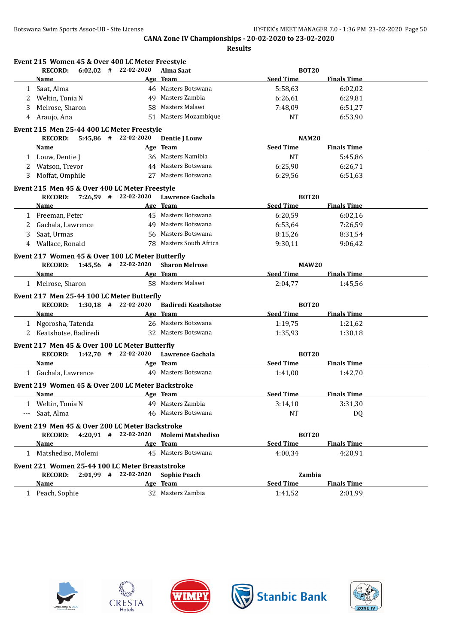|             |                        | RECORD: 6:02,02 # 22-02-2020                                                                                  | Alma Saat                                     | <b>BOT20</b>     |                    |  |
|-------------|------------------------|---------------------------------------------------------------------------------------------------------------|-----------------------------------------------|------------------|--------------------|--|
|             | Name                   | <u> 1980 - Johann Barbara, martxa alemaniar a</u>                                                             | Age Team                                      | <b>Seed Time</b> | <b>Finals Time</b> |  |
|             | 1 Saat, Alma           |                                                                                                               | 46 Masters Botswana                           | 5:58,63          | 6:02,02            |  |
|             | 2 Weltin, Tonia N      |                                                                                                               | 49 Masters Zambia                             | 6:26,61          | 6:29,81            |  |
| 3           | Melrose, Sharon        |                                                                                                               | 58 Masters Malawi                             | 7:48,09          | 6:51,27            |  |
| 4           | Araujo, Ana            |                                                                                                               | 51 Masters Mozambique                         | <b>NT</b>        | 6:53,90            |  |
|             |                        | Event 215 Men 25-44 400 LC Meter Freestyle                                                                    |                                               |                  |                    |  |
|             |                        | RECORD: 5:45,86 # 22-02-2020                                                                                  | <b>Dentie J Louw</b>                          | <b>NAM20</b>     |                    |  |
|             | <b>Name</b>            |                                                                                                               | Age Team                                      | <b>Seed Time</b> | <b>Finals Time</b> |  |
|             | 1 Louw, Dentie J       |                                                                                                               | 36 Masters Namibia                            | NT               | 5:45,86            |  |
|             | 2 Watson, Trevor       |                                                                                                               | 44 Masters Botswana                           | 6:25,90          | 6:26,71            |  |
|             | 3 Moffat, Omphile      |                                                                                                               | 27 Masters Botswana                           | 6:29,56          | 6:51,63            |  |
|             |                        |                                                                                                               |                                               |                  |                    |  |
|             |                        | Event 215 Men 45 & Over 400 LC Meter Freestyle                                                                |                                               |                  |                    |  |
|             |                        |                                                                                                               | RECORD: 7:26,59 # 22-02-2020 Lawrence Gachala | <b>BOT20</b>     |                    |  |
|             | <b>Name</b>            | the control of the control of the control of the control of                                                   | Age Team                                      | <b>Seed Time</b> | <b>Finals Time</b> |  |
|             | 1 Freeman, Peter       |                                                                                                               | 45 Masters Botswana                           | 6:20,59          | 6:02,16            |  |
| $2^{\circ}$ | Gachala, Lawrence      |                                                                                                               | 49 Masters Botswana                           | 6:53,64          | 7:26,59            |  |
| 3           | Saat, Urmas            |                                                                                                               | 56 Masters Botswana                           | 8:15,26          | 8:31,54            |  |
| 4           | Wallace, Ronald        |                                                                                                               | 78 Masters South Africa                       | 9:30,11          | 9:06.42            |  |
|             |                        | Event 217 Women 45 & Over 100 LC Meter Butterfly                                                              |                                               |                  |                    |  |
|             |                        | RECORD: 1:45.56 # 22-02-2020                                                                                  | <b>Sharon Melrose</b>                         | <b>MAW20</b>     |                    |  |
|             | Name                   | and the same of the same state of the same state of the same state of the same state of the same state of the |                                               | Seed Time        | <b>Finals Time</b> |  |
|             | 1 Melrose, Sharon      |                                                                                                               | 58 Masters Malawi                             | 2:04,77          | 1:45,56            |  |
|             |                        | Event 217 Men 25-44 100 LC Meter Butterfly                                                                    |                                               |                  |                    |  |
|             |                        | RECORD: 1:30,18 # 22-02-2020                                                                                  | <b>Badiredi Keatshotse</b>                    | <b>BOT20</b>     |                    |  |
|             | Name                   | <b>Example 2</b> Age Team                                                                                     |                                               | Seed Time        | <b>Finals Time</b> |  |
|             | 1 Ngorosha, Tatenda    |                                                                                                               | 26 Masters Botswana                           | 1:19,75          | 1:21,62            |  |
|             | 2 Keatshotse, Badiredi |                                                                                                               | 32 Masters Botswana                           | 1:35,93          | 1:30,18            |  |
|             |                        |                                                                                                               |                                               |                  |                    |  |
|             |                        | Event 217 Men 45 & Over 100 LC Meter Butterfly                                                                |                                               |                  |                    |  |
|             |                        |                                                                                                               | RECORD: 1:42,70 # 22-02-2020 Lawrence Gachala | <b>BOT20</b>     |                    |  |
|             | <b>Name</b>            |                                                                                                               | <b>Example 2018</b> Age Team                  | <b>Seed Time</b> | <b>Finals Time</b> |  |
|             | 1 Gachala, Lawrence    |                                                                                                               | 49 Masters Botswana                           | 1:41,00          | 1:42,70            |  |
|             |                        | Event 219 Women 45 & Over 200 LC Meter Backstroke                                                             |                                               |                  |                    |  |
|             | Name                   |                                                                                                               | Age Team                                      | <b>Seed Time</b> | <b>Finals Time</b> |  |
|             | Weltin, Tonia N        |                                                                                                               | 49 Masters Zambia                             | 3:14,10          | 3:31,30            |  |
|             | Saat, Alma             |                                                                                                               | 46 Masters Botswana                           | NT               | DQ                 |  |
|             |                        | Event 219 Men 45 & Over 200 LC Meter Backstroke                                                               |                                               |                  |                    |  |
|             | <b>RECORD:</b>         | $4:20.91$ # 22-02-2020                                                                                        | <b>Molemi Matshediso</b>                      | <b>BOT20</b>     |                    |  |
|             | Name                   |                                                                                                               | Age Team                                      | <b>Seed Time</b> | <b>Finals Time</b> |  |
|             | 1 Matshediso, Molemi   |                                                                                                               | 45 Masters Botswana                           | 4:00,34          | 4:20,91            |  |
|             |                        |                                                                                                               |                                               |                  |                    |  |
|             |                        | Event 221 Women 25-44 100 LC Meter Breaststroke                                                               |                                               |                  |                    |  |
|             |                        | RECORD: 2:01,99 # 22-02-2020                                                                                  | <b>Sophie Peach</b>                           | Zambia           |                    |  |
|             | Name                   |                                                                                                               | Age Team                                      | <b>Seed Time</b> | <b>Finals Time</b> |  |
|             | 1 Peach, Sophie        |                                                                                                               | 32 Masters Zambia                             | 1:41,52          | 2:01,99            |  |









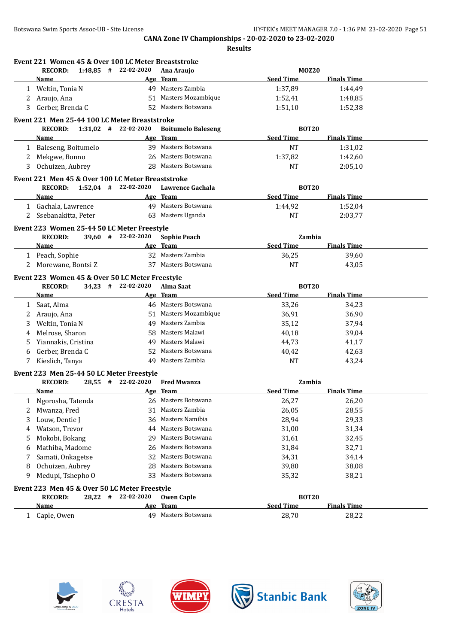|    | Event 221 Women 45 & Over 100 LC Meter Breaststroke<br><b>RECORD:</b> |  | $1:48.85$ # 22-02-2020       | Ana Araujo                      | <b>MOZ20</b>               |                    |  |
|----|-----------------------------------------------------------------------|--|------------------------------|---------------------------------|----------------------------|--------------------|--|
|    | Name                                                                  |  |                              | Age Team                        | <b>Seed Time</b>           | <b>Finals Time</b> |  |
| 1  | Weltin, Tonia N                                                       |  |                              | 49 Masters Zambia               | 1:37,89                    | 1:44,49            |  |
| 2  | Araujo, Ana                                                           |  |                              | 51 Masters Mozambique           | 1:52,41                    | 1:48,85            |  |
| 3  | Gerber, Brenda C                                                      |  |                              | 52 Masters Botswana             | 1:51,10                    | 1:52,38            |  |
|    | Event 221 Men 25-44 100 LC Meter Breaststroke                         |  |                              |                                 |                            |                    |  |
|    | <b>RECORD:</b>                                                        |  | $1:31,02$ # 22-02-2020       | <b>Boitumelo Baleseng</b>       | <b>BOT20</b>               |                    |  |
|    | Name                                                                  |  |                              | Age Team                        | <b>Seed Time</b>           | <b>Finals Time</b> |  |
|    | 1 Baleseng, Boitumelo                                                 |  |                              | 39 Masters Botswana             | <b>NT</b>                  | 1:31,02            |  |
| 2  | Mekgwe, Bonno                                                         |  |                              | 26 Masters Botswana             | 1:37,82                    | 1:42,60            |  |
| 3  | Ochuizen, Aubrey                                                      |  |                              | 28 Masters Botswana             | NT                         | 2:05,10            |  |
|    | Event 221 Men 45 & Over 100 LC Meter Breaststroke                     |  |                              |                                 |                            |                    |  |
|    |                                                                       |  | RECORD: 1:52,04 # 22-02-2020 | Lawrence Gachala                | <b>BOT20</b>               |                    |  |
|    | <u>Name</u>                                                           |  |                              | Age Team                        | <b>Seed Time</b>           | <b>Finals Time</b> |  |
|    | 1 Gachala, Lawrence                                                   |  |                              | 49 Masters Botswana             | 1:44,92                    | 1:52,04            |  |
| 2  | Ssebanakitta, Peter                                                   |  |                              | 63 Masters Uganda               | NT                         | 2:03,77            |  |
|    |                                                                       |  |                              |                                 |                            |                    |  |
|    | Event 223 Women 25-44 50 LC Meter Freestyle                           |  |                              |                                 |                            |                    |  |
|    | <b>RECORD:</b><br><b>Name</b>                                         |  | $39,60$ # 22-02-2020         | <b>Sophie Peach</b><br>Age Team | Zambia<br><b>Seed Time</b> | <b>Finals Time</b> |  |
|    | 1 Peach, Sophie                                                       |  |                              | 32 Masters Zambia               |                            |                    |  |
|    |                                                                       |  |                              | 37 Masters Botswana             | 36,25<br><b>NT</b>         | 39,60              |  |
|    | 2 Morewane, Bontsi Z                                                  |  |                              |                                 |                            | 43,05              |  |
|    | Event 223 Women 45 & Over 50 LC Meter Freestyle                       |  |                              |                                 |                            |                    |  |
|    | <b>RECORD:</b>                                                        |  | 34,23 # 22-02-2020           | Alma Saat                       | <b>BOT20</b>               |                    |  |
|    | Name                                                                  |  |                              | Age Team                        | <b>Seed Time</b>           | <b>Finals Time</b> |  |
| 1  | Saat, Alma                                                            |  |                              | 46 Masters Botswana             | 33,26                      | 34,23              |  |
| 2  | Araujo, Ana                                                           |  |                              | 51 Masters Mozambique           | 36,91                      | 36,90              |  |
| 3  | Weltin, Tonia N                                                       |  |                              | 49 Masters Zambia               | 35,12                      | 37,94              |  |
| 4  | Melrose, Sharon                                                       |  |                              | 58 Masters Malawi               | 40,18                      | 39,04              |  |
| 5. | Yiannakis, Cristina                                                   |  |                              | 49 Masters Malawi               | 44,73                      | 41,17              |  |
| 6  | Gerber, Brenda C                                                      |  |                              | 52 Masters Botswana             | 40,42                      | 42,63              |  |
| 7  | Kieslich, Tanya                                                       |  |                              | 49 Masters Zambia               | <b>NT</b>                  | 43,24              |  |
|    | Event 223 Men 25-44 50 LC Meter Freestyle                             |  |                              |                                 |                            |                    |  |
|    | <b>RECORD:</b>                                                        |  | 28,55 # 22-02-2020           | <b>Fred Mwanza</b>              | Zambia                     |                    |  |
|    | Name                                                                  |  |                              | Age Team                        | <b>Seed Time</b>           | <b>Finals Time</b> |  |
|    | Ngorosha, Tatenda                                                     |  |                              | 26 Masters Botswana             | 26,27                      | 26,20              |  |
|    | Mwanza, Fred                                                          |  |                              | 31 Masters Zambia               | 26,05                      | 28,55              |  |
| 3  | Louw, Dentie J                                                        |  | 36                           | Masters Namibia                 | 28,94                      | 29,33              |  |
| 4  | Watson, Trevor                                                        |  | 44                           | Masters Botswana                | 31,00                      | 31,34              |  |
| 5  | Mokobi, Bokang                                                        |  | 29                           | Masters Botswana                | 31,61                      | 32,45              |  |
| 6  | Mathiba, Madome                                                       |  | 26                           | Masters Botswana                | 31,84                      | 32,71              |  |
| 7  | Samati, Onkagetse                                                     |  | 32                           | Masters Botswana                | 34,31                      | 34,14              |  |
| 8  | Ochuizen, Aubrey                                                      |  | 28                           | Masters Botswana                | 39,80                      | 38,08              |  |
| 9  | Medupi, Tshepho O                                                     |  | 33                           | Masters Botswana                | 35,32                      | 38,21              |  |
|    | Event 223 Men 45 & Over 50 LC Meter Freestyle                         |  |                              |                                 |                            |                    |  |
|    |                                                                       |  | 28,22 # 22-02-2020           | <b>Owen Caple</b>               | <b>BOT20</b>               |                    |  |
|    | <b>RECORD:</b>                                                        |  |                              |                                 |                            |                    |  |
|    | <u>Name</u>                                                           |  |                              | Age Team                        | <b>Seed Time</b>           | <b>Finals Time</b> |  |









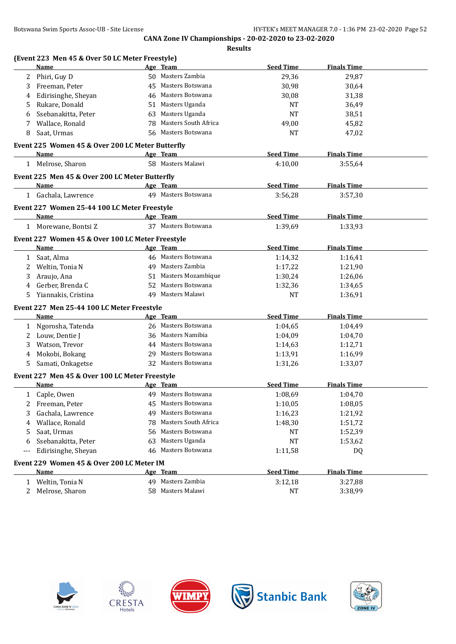|                   |                                                          |    | <b>Results</b>              |                  |                    |  |
|-------------------|----------------------------------------------------------|----|-----------------------------|------------------|--------------------|--|
|                   | (Event 223 Men 45 & Over 50 LC Meter Freestyle)          |    |                             |                  |                    |  |
|                   | Name                                                     |    | Age Team                    | <b>Seed Time</b> | <b>Finals Time</b> |  |
| 2                 | Phiri, Guy D                                             |    | 50 Masters Zambia           | 29,36            | 29,87              |  |
| 3                 | Freeman, Peter                                           |    | 45 Masters Botswana         | 30,98            | 30,64              |  |
|                   | Edirisinghe, Sheyan                                      |    | 46 Masters Botswana         | 30,08            | 31,38              |  |
| 5                 | Rukare, Donald                                           |    | 51 Masters Uganda           | NT               | 36,49              |  |
| 6                 | Ssebanakitta, Peter                                      | 63 | Masters Uganda              | <b>NT</b>        | 38,51              |  |
| 7                 | Wallace, Ronald                                          | 78 | Masters South Africa        | 49,00            | 45,82              |  |
| 8                 | Saat, Urmas                                              |    | 56 Masters Botswana         | NT               | 47,02              |  |
|                   | Event 225 Women 45 & Over 200 LC Meter Butterfly         |    |                             |                  |                    |  |
|                   | Name                                                     |    | Age Team                    | <b>Seed Time</b> | <b>Finals Time</b> |  |
|                   | 1 Melrose, Sharon                                        |    | 58 Masters Malawi           | 4:10,00          | 3:55,64            |  |
|                   | Event 225 Men 45 & Over 200 LC Meter Butterfly           |    |                             |                  |                    |  |
|                   | Name                                                     |    | Age Team                    | <b>Seed Time</b> | <b>Finals Time</b> |  |
|                   | 1 Gachala, Lawrence                                      |    | 49 Masters Botswana         | 3:56,28          | 3:57,30            |  |
|                   | Event 227 Women 25-44 100 LC Meter Freestyle             |    |                             |                  |                    |  |
|                   | Name                                                     |    | Age Team                    | <b>Seed Time</b> | <b>Finals Time</b> |  |
|                   | 1 Morewane, Bontsi Z                                     |    | 37 Masters Botswana         | 1:39,69          | 1:33,93            |  |
|                   | Event 227 Women 45 & Over 100 LC Meter Freestyle         |    |                             |                  |                    |  |
|                   | Name                                                     |    | Age Team                    | <b>Seed Time</b> | <b>Finals Time</b> |  |
|                   | 1 Saat, Alma                                             |    | 46 Masters Botswana         | 1:14,32          | 1:16,41            |  |
| 2                 | Weltin, Tonia N                                          |    | 49 Masters Zambia           | 1:17,22          | 1:21,90            |  |
| 3                 | Araujo, Ana                                              |    | 51 Masters Mozambique       | 1:30,24          | 1:26,06            |  |
| 4                 | Gerber, Brenda C                                         |    | 52 Masters Botswana         | 1:32,36          | 1:34,65            |  |
| 5.                | Yiannakis, Cristina                                      |    | 49 Masters Malawi           | <b>NT</b>        | 1:36,91            |  |
|                   | Event 227 Men 25-44 100 LC Meter Freestyle               |    |                             |                  |                    |  |
|                   | Name                                                     |    | Age Team                    | <b>Seed Time</b> | <b>Finals Time</b> |  |
| 1                 | Ngorosha, Tatenda                                        |    | 26 Masters Botswana         | 1:04,65          | 1:04,49            |  |
| 2                 | Louw, Dentie J                                           |    | 36 Masters Namibia          | 1:04,09          | 1:04,70            |  |
| 3                 | Watson, Trevor                                           |    | 44 Masters Botswana         | 1:14,63          | 1:12,71            |  |
| 4                 | Mokobi, Bokang                                           |    | 29 Masters Botswana         | 1:13,91          | 1:16,99            |  |
| 5.                | Samati, Onkagetse                                        |    | 32 Masters Botswana         | 1:31,26          | 1:33,07            |  |
|                   | Event 227 Men 45 & Over 100 LC Meter Freestyle           |    |                             |                  |                    |  |
|                   | Name                                                     |    | Age Team                    | <b>Seed Time</b> | <b>Finals Time</b> |  |
| 1                 | Caple, Owen                                              | 49 | Masters Botswana            | 1:08,69          | 1:04,70            |  |
| 2                 | Freeman, Peter                                           | 45 | Masters Botswana            | 1:10,05          | 1:08,05            |  |
| 3                 | Gachala, Lawrence                                        | 49 | Masters Botswana            | 1:16,23          | 1:21,92            |  |
| 4                 | Wallace, Ronald                                          | 78 | <b>Masters South Africa</b> | 1:48,30          | 1:51,72            |  |
| 5                 | Saat, Urmas                                              | 56 | Masters Botswana            | NT               | 1:52,39            |  |
| 6                 | Ssebanakitta, Peter                                      | 63 | Masters Uganda              | NT               | 1:53,62            |  |
| $\qquad \qquad -$ | Edirisinghe, Sheyan                                      |    | 46 Masters Botswana         | 1:11,58          | DQ                 |  |
|                   |                                                          |    |                             |                  |                    |  |
|                   | Event 229 Women 45 & Over 200 LC Meter IM<br><b>Name</b> |    | Age Team                    | <b>Seed Time</b> | <b>Finals Time</b> |  |
|                   |                                                          |    | 49 Masters Zambia           |                  |                    |  |
|                   | 1 Weltin, Tonia N                                        |    |                             | 3:12,18          | 3:27,88            |  |
| 2                 | Melrose, Sharon                                          |    | 58 Masters Malawi           | NT               | 3:38,99            |  |